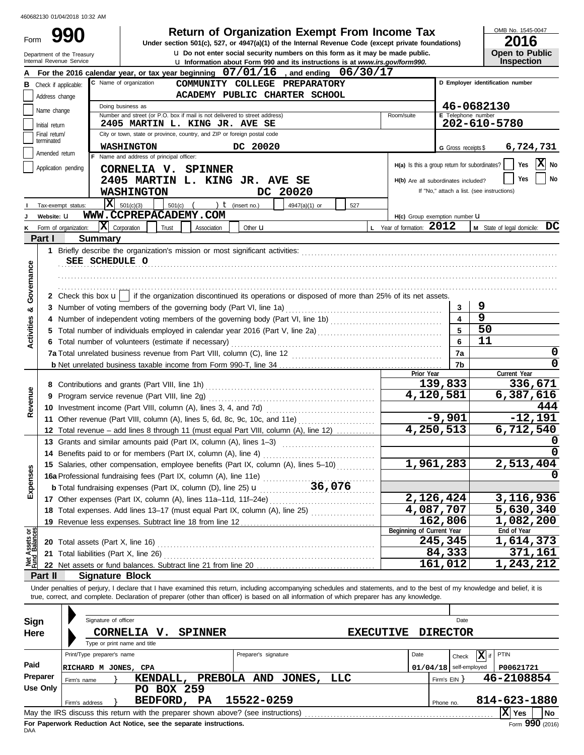Form 990

# **Return of Organization Exempt From Income Tax**  $\frac{\text{OMB No. 1545-0}}{2016}$

**Under section 501(c), 527, or 4947(a)(1) of the Internal Revenue Code (except private foundations)**

OMB No. 1545-0047

|  | <b>Open to Public</b> |
|--|-----------------------|
|  | <b>Inspection</b>     |

|                                | Department of the Treasury<br>Internal Revenue Service |                            | <b>u</b> Do not enter social security numbers on this form as it may be made public.                                                                                       |                          | <b>Open to Public</b><br><b>Inspection</b>                                      |
|--------------------------------|--------------------------------------------------------|----------------------------|----------------------------------------------------------------------------------------------------------------------------------------------------------------------------|--------------------------|---------------------------------------------------------------------------------|
|                                |                                                        |                            | <b>u</b> Information about Form 990 and its instructions is at www.irs.gov/form990.<br>For the 2016 calendar year, or tax year beginning 07/01/16, and ending 06/30/17     |                          |                                                                                 |
|                                | <b>B</b> Check if applicable:                          |                            | C Name of organization<br>COMMUNITY COLLEGE PREPARATORY                                                                                                                    |                          | D Employer identification number                                                |
|                                | Address change                                         |                            | ACADEMY PUBLIC CHARTER SCHOOL                                                                                                                                              |                          |                                                                                 |
|                                | Name change                                            |                            | Doing business as                                                                                                                                                          |                          | 46-0682130                                                                      |
|                                | E Telephone number                                     |                            |                                                                                                                                                                            |                          |                                                                                 |
|                                | Initial return                                         |                            | <b>2405 MARTIN L. KING JR. AVE SE</b>                                                                                                                                      |                          | 202-610-5780                                                                    |
|                                | Final return/                                          |                            | City or town, state or province, country, and ZIP or foreign postal code                                                                                                   |                          |                                                                                 |
|                                | terminated                                             |                            | <b>WASHINGTON</b><br>DC 20020                                                                                                                                              | G Gross receipts \$      | 6,724,731                                                                       |
|                                | Amended return                                         |                            | F Name and address of principal officer:                                                                                                                                   |                          | X No<br>Yes                                                                     |
|                                | Application pending                                    |                            | CORNELIA V. SPINNER                                                                                                                                                        |                          | $H(a)$ Is this a group return for subordinates? $\begin{bmatrix} \end{bmatrix}$ |
|                                |                                                        |                            | 2405 MARTIN L. KING JR. AVE SE<br>H(b) Are all subordinates included?                                                                                                      |                          | No<br>Yes                                                                       |
|                                |                                                        |                            | <b>WASHINGTON</b><br>DC 20020                                                                                                                                              |                          | If "No," attach a list. (see instructions)                                      |
|                                | Tax-exempt status:                                     |                            | $\overline{\mathbf{X}}$ 501(c)(3)<br>$501(c)$ (<br>) $t$ (insert no.)<br>4947(a)(1) or<br>527                                                                              |                          |                                                                                 |
|                                | Website: U                                             |                            | WWW.CCPREPACADEMY.COM<br>H(c) Group exemption number U                                                                                                                     |                          |                                                                                 |
| ĸ                              | Form of organization:                                  |                            | $ \mathbf{X} $ Corporation<br>L Year of formation: 2012<br>Trust<br>Association<br>Other <b>u</b>                                                                          |                          | M State of legal domicile: DC                                                   |
|                                | Part I                                                 | <b>Summary</b>             |                                                                                                                                                                            |                          |                                                                                 |
|                                |                                                        |                            |                                                                                                                                                                            |                          |                                                                                 |
|                                |                                                        |                            | SEE SCHEDULE O                                                                                                                                                             |                          |                                                                                 |
|                                |                                                        |                            |                                                                                                                                                                            |                          |                                                                                 |
|                                |                                                        |                            |                                                                                                                                                                            |                          |                                                                                 |
| Governance                     |                                                        |                            | 2 Check this box <b>u</b>   if the organization discontinued its operations or disposed of more than 25% of its net assets.                                                |                          |                                                                                 |
| œ                              |                                                        |                            | 3 Number of voting members of the governing body (Part VI, line 1a)                                                                                                        | 3                        | 9                                                                               |
|                                |                                                        |                            |                                                                                                                                                                            | $\overline{\mathbf{4}}$  | $\overline{9}$                                                                  |
| Activities                     |                                                        |                            |                                                                                                                                                                            | 5                        | 50                                                                              |
|                                |                                                        |                            | 6 Total number of volunteers (estimate if necessary)                                                                                                                       | 6                        | 11                                                                              |
|                                |                                                        |                            |                                                                                                                                                                            | 7a                       | 0                                                                               |
|                                |                                                        |                            |                                                                                                                                                                            | 7b                       | 0                                                                               |
|                                |                                                        |                            | Prior Year                                                                                                                                                                 |                          | Current Year                                                                    |
|                                |                                                        |                            |                                                                                                                                                                            | 139,833                  | 336,671                                                                         |
| Revenue                        |                                                        |                            |                                                                                                                                                                            | 4,120,581                | 6,387,616                                                                       |
|                                |                                                        |                            | 10 Investment income (Part VIII, column (A), lines 3, 4, and 7d) [                                                                                                         |                          | 444                                                                             |
|                                |                                                        |                            | 11 Other revenue (Part VIII, column (A), lines 5, 6d, 8c, 9c, 10c, and 11e)                                                                                                | $-9,901$                 | $-12,191$                                                                       |
|                                |                                                        |                            | 12 Total revenue - add lines 8 through 11 (must equal Part VIII, column (A), line 12)                                                                                      | 4,250,513                | 6,712,540                                                                       |
|                                |                                                        |                            | 13 Grants and similar amounts paid (Part IX, column (A), lines 1-3)                                                                                                        |                          |                                                                                 |
|                                |                                                        |                            | 14 Benefits paid to or for members (Part IX, column (A), line 4)                                                                                                           |                          |                                                                                 |
| <b>Ses</b>                     |                                                        |                            | 15 Salaries, other compensation, employee benefits (Part IX, column (A), lines 5-10)                                                                                       | 1,961,283                | 2,513,404                                                                       |
|                                |                                                        |                            | 16a Professional fundraising fees (Part IX, column (A), line 11e)<br>36,076                                                                                                |                          |                                                                                 |
| Expens                         |                                                        |                            | <b>b</b> Total fundraising expenses (Part IX, column (D), line 25) <b>u</b>                                                                                                |                          |                                                                                 |
|                                |                                                        |                            |                                                                                                                                                                            | 2,126,424                | 3,116,936                                                                       |
|                                |                                                        |                            | 18 Total expenses. Add lines 13-17 (must equal Part IX, column (A), line 25)                                                                                               | 4,087,707<br>162,806     | 5,630,340<br>1,082,200                                                          |
|                                |                                                        |                            | 19 Revenue less expenses. Subtract line 18 from line 12<br>Beginning of Current Year                                                                                       |                          | End of Year                                                                     |
| Net Assets or<br>Fund Balances | 20 Total assets (Part X, line 16)                      |                            |                                                                                                                                                                            | 245,345                  | 1,614,373                                                                       |
|                                | 21 Total liabilities (Part X, line 26)                 |                            |                                                                                                                                                                            | 84,333                   | 371,161                                                                         |
|                                |                                                        |                            |                                                                                                                                                                            | 161,012                  | 1,243,212                                                                       |
|                                | Part II                                                |                            | <b>Signature Block</b>                                                                                                                                                     |                          |                                                                                 |
|                                |                                                        |                            | Under penalties of perjury, I declare that I have examined this return, including accompanying schedules and statements, and to the best of my knowledge and belief, it is |                          |                                                                                 |
|                                |                                                        |                            | true, correct, and complete. Declaration of preparer (other than officer) is based on all information of which preparer has any knowledge.                                 |                          |                                                                                 |
|                                |                                                        |                            |                                                                                                                                                                            |                          |                                                                                 |
| Sign                           |                                                        | Signature of officer       |                                                                                                                                                                            | Date                     |                                                                                 |
|                                | Here                                                   |                            | CORNELIA V. SPINNER<br><b>EXECUTIVE</b>                                                                                                                                    | <b>DIRECTOR</b>          |                                                                                 |
|                                |                                                        |                            | Type or print name and title                                                                                                                                               |                          |                                                                                 |
|                                |                                                        | Print/Type preparer's name | Preparer's signature<br>Date                                                                                                                                               | Check                    | $ \mathbf{X} $ if<br><b>PTIN</b>                                                |
| Paid                           |                                                        |                            | RICHARD M JONES, CPA                                                                                                                                                       | $01/04/18$ self-employed | P00621721                                                                       |
|                                | Preparer<br>Firm's name                                |                            | KENDALL, PREBOLA AND JONES, LLC                                                                                                                                            | Firm's EIN }             | 46-2108854                                                                      |
|                                | <b>Use Only</b>                                        |                            | <b>PO BOX 259</b>                                                                                                                                                          |                          |                                                                                 |
|                                | Firm's address                                         |                            | BEDFORD, PA<br>15522-0259                                                                                                                                                  | Phone no.                | 814-623-1880                                                                    |
|                                |                                                        |                            |                                                                                                                                                                            |                          | $ X $ Yes<br>  No                                                               |

| Sign     |                                                                                   | Signature of officer |                                                                                   |                      |                              |             |         |     |  | Date                     |                 |              |                           |
|----------|-----------------------------------------------------------------------------------|----------------------|-----------------------------------------------------------------------------------|----------------------|------------------------------|-------------|---------|-----|--|--------------------------|-----------------|--------------|---------------------------|
| Here     | CORNELIA V.<br><b>SPINNER</b><br><b>EXECUTIVE</b><br>Type or print name and title |                      |                                                                                   |                      |                              |             |         |     |  |                          | <b>DIRECTOR</b> |              |                           |
|          | Print/Type preparer's name                                                        |                      |                                                                                   |                      | Ixl<br>PTIN<br>Date<br>Check |             |         |     |  |                          |                 |              |                           |
| Paid     | RICHARD M JONES, CPA                                                              |                      |                                                                                   |                      |                              |             |         |     |  | $01/04/18$ self-employed |                 | P00621721    |                           |
| Preparer | Firm's name                                                                       |                      | KENDALL,                                                                          |                      |                              | PREBOLA AND | JONES , | LLC |  | Firm's $EIN$ $\}$        |                 | 46-2108854   |                           |
| Use Only | Firm's address                                                                    |                      | PO.<br>BEDFORD,                                                                   | <b>BOX 259</b><br>PA |                              | 15522-0259  |         |     |  | Phone no.                |                 | 814-623-1880 |                           |
|          |                                                                                   |                      | May the IRS discuss this return with the preparer shown above? (see instructions) |                      |                              |             |         |     |  |                          |                 | Yes          | l No                      |
|          |                                                                                   |                      | For Panerwork Reduction Act Notice, see the senarate instructions                 |                      |                              |             |         |     |  |                          |                 |              | $F_{\text{c}}$ QQ0 (2016) |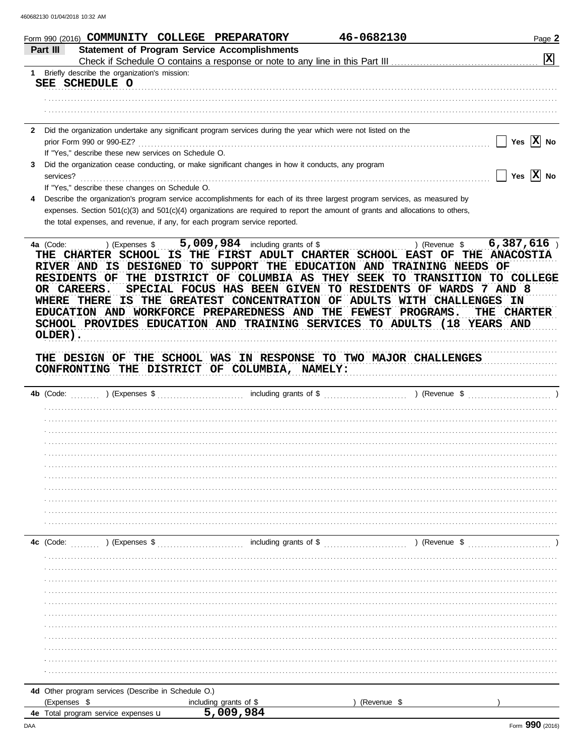| Part III                                             | Form 990 (2016) COMMUNITY COLLEGE PREPARATORY<br><b>Statement of Program Service Accomplishments</b>                           | 46-0682130                             | Page 2               |
|------------------------------------------------------|--------------------------------------------------------------------------------------------------------------------------------|----------------------------------------|----------------------|
|                                                      |                                                                                                                                |                                        | $\boxed{\mathbf{x}}$ |
| Briefly describe the organization's mission:<br>1    |                                                                                                                                |                                        |                      |
| SEE SCHEDULE O                                       |                                                                                                                                |                                        |                      |
|                                                      |                                                                                                                                |                                        |                      |
|                                                      |                                                                                                                                |                                        |                      |
|                                                      |                                                                                                                                |                                        |                      |
| $\mathbf{2}$<br>prior Form 990 or 990-EZ?            | Did the organization undertake any significant program services during the year which were not listed on the                   | Yes $ X $ No                           |                      |
| If "Yes," describe these new services on Schedule O. |                                                                                                                                |                                        |                      |
| 3                                                    | Did the organization cease conducting, or make significant changes in how it conducts, any program                             |                                        |                      |
| services?                                            |                                                                                                                                | Yes $ \mathbf{X} $ No                  |                      |
| If "Yes," describe these changes on Schedule O.      |                                                                                                                                |                                        |                      |
| 4                                                    | Describe the organization's program service accomplishments for each of its three largest program services, as measured by     |                                        |                      |
|                                                      | expenses. Section 501(c)(3) and 501(c)(4) organizations are required to report the amount of grants and allocations to others, |                                        |                      |
|                                                      | the total expenses, and revenue, if any, for each program service reported.                                                    |                                        |                      |
| ) (Expenses \$<br>4a (Code:                          | 5,009,984<br>including grants of \$                                                                                            | 6,387,616<br>) (Revenue \$             |                      |
|                                                      | THE CHARTER SCHOOL IS THE FIRST ADULT CHARTER SCHOOL EAST OF THE ANACOSTIA                                                     |                                        |                      |
|                                                      | RIVER AND IS DESIGNED TO SUPPORT THE EDUCATION AND TRAINING NEEDS OF                                                           |                                        |                      |
| RESIDENTS OF THE                                     | DISTRICT OF COLUMBIA AS THEY SEEK TO TRANSITION TO COLLEGE                                                                     |                                        |                      |
| OR CAREERS.                                          | SPECIAL FOCUS HAS BEEN GIVEN TO RESIDENTS OF WARDS                                                                             | 7 AND 8                                |                      |
| WHERE THERE                                          | IS THE GREATEST CONCENTRATION OF ADULTS                                                                                        | <b>WITH CHALLENGES</b><br>IN           |                      |
|                                                      | EDUCATION AND WORKFORCE PREPAREDNESS AND THE FEWEST                                                                            | <b>PROGRAMS.</b><br><b>THE CHARTER</b> |                      |
|                                                      | SCHOOL PROVIDES EDUCATION AND TRAINING SERVICES TO ADULTS (18 YEARS AND                                                        |                                        |                      |
|                                                      |                                                                                                                                |                                        |                      |
| OLDER).                                              |                                                                                                                                |                                        |                      |
|                                                      |                                                                                                                                |                                        |                      |
|                                                      | THE DESIGN OF THE SCHOOL WAS IN RESPONSE TO TWO MAJOR CHALLENGES                                                               | .                                      |                      |
|                                                      | CONFRONTING THE DISTRICT OF COLUMBIA, NAMELY:                                                                                  |                                        |                      |
| ) (Expenses \$<br>4b (Code:                          | including grants of \$                                                                                                         |                                        |                      |
|                                                      |                                                                                                                                |                                        |                      |
|                                                      |                                                                                                                                |                                        |                      |
|                                                      |                                                                                                                                |                                        |                      |
|                                                      |                                                                                                                                |                                        |                      |
|                                                      |                                                                                                                                |                                        |                      |
|                                                      |                                                                                                                                |                                        |                      |
|                                                      |                                                                                                                                |                                        |                      |
|                                                      |                                                                                                                                |                                        |                      |
|                                                      |                                                                                                                                |                                        |                      |
|                                                      |                                                                                                                                |                                        |                      |
|                                                      |                                                                                                                                |                                        |                      |
| 4c (Code:                                            |                                                                                                                                |                                        |                      |
| $\ldots$ ) (Expenses \$                              |                                                                                                                                |                                        |                      |
|                                                      |                                                                                                                                |                                        |                      |
|                                                      |                                                                                                                                |                                        |                      |
|                                                      |                                                                                                                                |                                        |                      |
|                                                      |                                                                                                                                |                                        |                      |
|                                                      |                                                                                                                                |                                        |                      |
|                                                      |                                                                                                                                |                                        |                      |
|                                                      |                                                                                                                                |                                        |                      |
|                                                      |                                                                                                                                |                                        |                      |
|                                                      |                                                                                                                                |                                        |                      |

| $\Gamma$ , $\Gamma$ , $\Gamma$ , $\Gamma$ , $\Gamma$ , $\Gamma$ , $\Gamma$ , $\Gamma$ , $\Gamma$ , $\Gamma$ , $\Gamma$ , $\Gamma$ , $\Gamma$ , $\Gamma$ , $\Gamma$ , $\Gamma$ , $\Gamma$ , $\Gamma$ , $\Gamma$ , $\Gamma$ , $\Gamma$ , $\Gamma$ , $\Gamma$ , $\Gamma$ , $\Gamma$ , $\Gamma$ , $\Gamma$ , $\Gamma$ , $\Gamma$ , $\Gamma$ , |                        |             |                 |
|-------------------------------------------------------------------------------------------------------------------------------------------------------------------------------------------------------------------------------------------------------------------------------------------------------------------------------------------|------------------------|-------------|-----------------|
| (Expenses                                                                                                                                                                                                                                                                                                                                 | including grants of \$ | (Revenue \$ |                 |
| <b>4e</b> Total program service expenses <b>u</b>                                                                                                                                                                                                                                                                                         | 5,009,984              |             |                 |
| <b>DAA</b>                                                                                                                                                                                                                                                                                                                                |                        |             | Form 990 (2016) |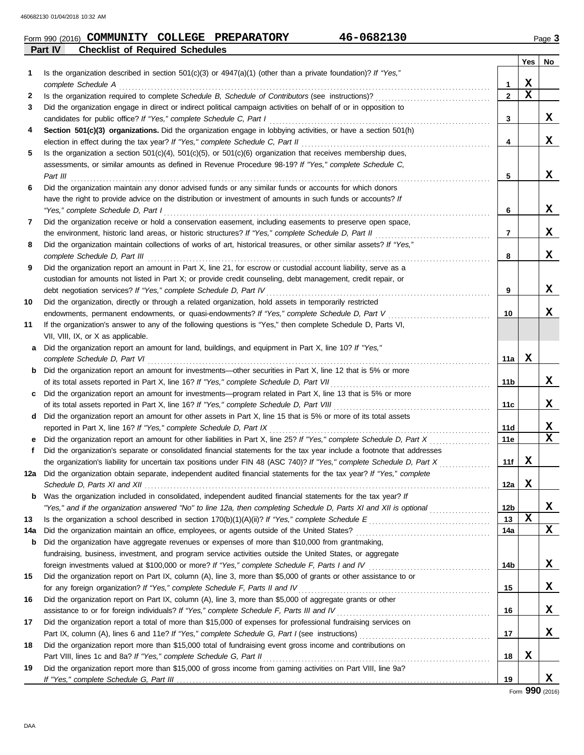## **Part IV Checklist of Required Schedules Form 990 (2016) COMMUNITY COLLEGE PREPARATORY** 46-0682130 **Page 3**

|     |                                                                                                                         |              | Yes         | No          |
|-----|-------------------------------------------------------------------------------------------------------------------------|--------------|-------------|-------------|
| 1   | Is the organization described in section $501(c)(3)$ or $4947(a)(1)$ (other than a private foundation)? If "Yes,"       |              |             |             |
|     | complete Schedule A                                                                                                     | 1            | X           |             |
| 2   |                                                                                                                         | $\mathbf{2}$ | $\mathbf x$ |             |
| 3   | Did the organization engage in direct or indirect political campaign activities on behalf of or in opposition to        |              |             |             |
|     |                                                                                                                         | 3            |             | X           |
| 4   | Section 501(c)(3) organizations. Did the organization engage in lobbying activities, or have a section 501(h)           |              |             |             |
|     |                                                                                                                         | 4            |             | x           |
| 5   | Is the organization a section $501(c)(4)$ , $501(c)(5)$ , or $501(c)(6)$ organization that receives membership dues,    |              |             |             |
|     | assessments, or similar amounts as defined in Revenue Procedure 98-19? If "Yes," complete Schedule C,                   |              |             |             |
|     | Part III                                                                                                                | 5            |             | x           |
| 6   | Did the organization maintain any donor advised funds or any similar funds or accounts for which donors                 |              |             |             |
|     | have the right to provide advice on the distribution or investment of amounts in such funds or accounts? If             |              |             |             |
|     | "Yes," complete Schedule D, Part I                                                                                      | 6            |             | x           |
| 7   | Did the organization receive or hold a conservation easement, including easements to preserve open space,               |              |             |             |
|     | the environment, historic land areas, or historic structures? If "Yes," complete Schedule D, Part II                    | 7            |             | x           |
| 8   | Did the organization maintain collections of works of art, historical treasures, or other similar assets? If "Yes,"     |              |             |             |
|     | complete Schedule D, Part III                                                                                           | 8            |             | x           |
| 9   | Did the organization report an amount in Part X, line 21, for escrow or custodial account liability, serve as a         |              |             |             |
|     | custodian for amounts not listed in Part X; or provide credit counseling, debt management, credit repair, or            |              |             |             |
|     |                                                                                                                         | 9            |             | X           |
| 10  | Did the organization, directly or through a related organization, hold assets in temporarily restricted                 |              |             |             |
|     | endowments, permanent endowments, or quasi-endowments? If "Yes," complete Schedule D, Part V                            | 10           |             | x           |
| 11  | If the organization's answer to any of the following questions is "Yes," then complete Schedule D, Parts VI,            |              |             |             |
|     | VII, VIII, IX, or X as applicable.                                                                                      |              |             |             |
|     | a Did the organization report an amount for land, buildings, and equipment in Part X, line 10? If "Yes,"                |              |             |             |
|     | complete Schedule D, Part VI                                                                                            | 11a          | X           |             |
|     | <b>b</b> Did the organization report an amount for investments—other securities in Part X, line 12 that is 5% or more   |              |             |             |
|     | of its total assets reported in Part X, line 16? If "Yes," complete Schedule D, Part VII                                | 11 b         |             | x           |
|     | c Did the organization report an amount for investments—program related in Part X, line 13 that is 5% or more           |              |             |             |
|     |                                                                                                                         | 11c          |             | x           |
|     | d Did the organization report an amount for other assets in Part X, line 15 that is 5% or more of its total assets      |              |             |             |
|     | reported in Part X, line 16? If "Yes," complete Schedule D, Part IX                                                     | 11d          |             | X           |
|     | e Did the organization report an amount for other liabilities in Part X, line 25? If "Yes," complete Schedule D, Part X | 11e          |             | $\mathbf x$ |
| f   | Did the organization's separate or consolidated financial statements for the tax year include a footnote that addresses |              |             |             |
|     | the organization's liability for uncertain tax positions under FIN 48 (ASC 740)? If "Yes," complete Schedule D, Part X  | 11f          | X           |             |
|     | 12a Did the organization obtain separate, independent audited financial statements for the tax year? If "Yes," complete |              |             |             |
|     |                                                                                                                         | 12a          | x           |             |
| b   | Was the organization included in consolidated, independent audited financial statements for the tax year? If            |              |             |             |
|     | "Yes," and if the organization answered "No" to line 12a, then completing Schedule D, Parts XI and XII is optional      | 12b          |             | X           |
| 13  |                                                                                                                         | 13           | X           |             |
| 14a |                                                                                                                         | 14a          |             | x           |
| b   | Did the organization have aggregate revenues or expenses of more than \$10,000 from grantmaking,                        |              |             |             |
|     | fundraising, business, investment, and program service activities outside the United States, or aggregate               |              |             |             |
|     | foreign investments valued at \$100,000 or more? If "Yes," complete Schedule F, Parts I and IV [[[[[[[[[[[[[[[          | 14b          |             | X           |
| 15  | Did the organization report on Part IX, column (A), line 3, more than \$5,000 of grants or other assistance to or       |              |             |             |
|     | for any foreign organization? If "Yes," complete Schedule F, Parts II and IV                                            | 15           |             | X           |
| 16  | Did the organization report on Part IX, column (A), line 3, more than \$5,000 of aggregate grants or other              |              |             |             |
|     |                                                                                                                         | 16           |             | X           |
| 17  | Did the organization report a total of more than \$15,000 of expenses for professional fundraising services on          |              |             |             |
|     |                                                                                                                         | 17           |             | X           |
| 18  | Did the organization report more than \$15,000 total of fundraising event gross income and contributions on             |              |             |             |
|     | Part VIII, lines 1c and 8a? If "Yes," complete Schedule G, Part II                                                      | 18           | X           |             |
| 19  | Did the organization report more than \$15,000 of gross income from gaming activities on Part VIII, line 9a?            |              |             |             |
|     |                                                                                                                         | 19           |             | x           |

Form **990** (2016)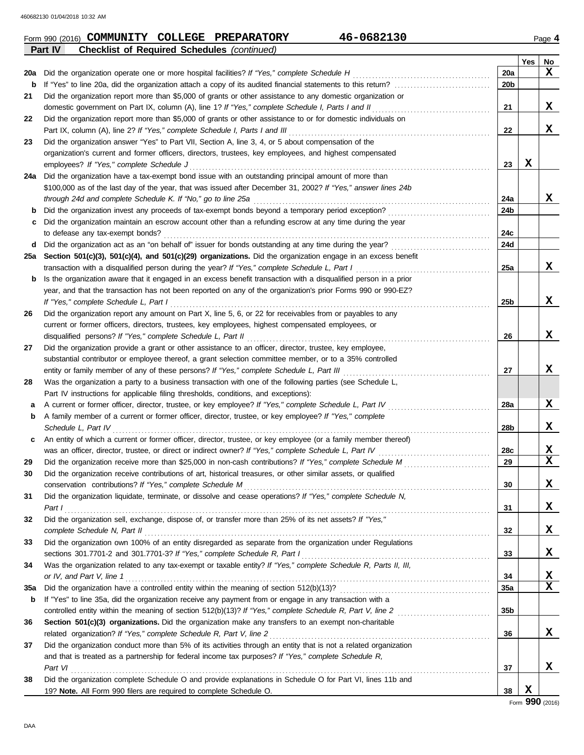| Yes<br>No<br>X<br>Did the organization operate one or more hospital facilities? If "Yes," complete Schedule H<br>20a<br>20a<br>20b<br>b<br>Did the organization report more than \$5,000 of grants or other assistance to any domestic organization or<br>21<br>x<br>domestic government on Part IX, column (A), line 1? If "Yes," complete Schedule I, Parts I and II<br>21<br>Did the organization report more than \$5,000 of grants or other assistance to or for domestic individuals on<br>22<br>x<br>Part IX, column (A), line 2? If "Yes," complete Schedule I, Parts I and III<br>22<br>Did the organization answer "Yes" to Part VII, Section A, line 3, 4, or 5 about compensation of the<br>23<br>organization's current and former officers, directors, trustees, key employees, and highest compensated<br>x<br>employees? If "Yes," complete Schedule J<br>23<br>Did the organization have a tax-exempt bond issue with an outstanding principal amount of more than<br>24a<br>\$100,000 as of the last day of the year, that was issued after December 31, 2002? If "Yes," answer lines 24b<br>x<br>through 24d and complete Schedule K. If "No," go to line 25a<br>24a<br>Did the organization invest any proceeds of tax-exempt bonds beyond a temporary period exception?<br>24b<br>$\mathbf b$<br>Did the organization maintain an escrow account other than a refunding escrow at any time during the year<br>с<br>24c<br>to defease any tax-exempt bonds?<br>Did the organization act as an "on behalf of" issuer for bonds outstanding at any time during the year?<br>24d<br>d<br>Section 501(c)(3), 501(c)(4), and 501(c)(29) organizations. Did the organization engage in an excess benefit<br>25a<br>x<br>transaction with a disqualified person during the year? If "Yes," complete Schedule L, Part I<br>25a<br>Is the organization aware that it engaged in an excess benefit transaction with a disqualified person in a prior<br>b<br>year, and that the transaction has not been reported on any of the organization's prior Forms 990 or 990-EZ?<br>x<br>If "Yes," complete Schedule L, Part I<br>25 <sub>b</sub><br>Did the organization report any amount on Part X, line 5, 6, or 22 for receivables from or payables to any<br>26<br>current or former officers, directors, trustees, key employees, highest compensated employees, or<br>x<br>disqualified persons? If "Yes," complete Schedule L, Part II<br>26<br>Did the organization provide a grant or other assistance to an officer, director, trustee, key employee,<br>27<br>substantial contributor or employee thereof, a grant selection committee member, or to a 35% controlled<br>x<br>entity or family member of any of these persons? If "Yes," complete Schedule L, Part III<br>27<br>Was the organization a party to a business transaction with one of the following parties (see Schedule L,<br>28<br>Part IV instructions for applicable filing thresholds, conditions, and exceptions):<br>x<br>A current or former officer, director, trustee, or key employee? If "Yes," complete Schedule L, Part IV<br>28a<br>а<br>A family member of a current or former officer, director, trustee, or key employee? If "Yes," complete<br>b<br>x<br>Schedule L, Part IV<br>28b<br>An entity of which a current or former officer, director, trustee, or key employee (or a family member thereof)<br>c<br>X<br>was an officer, director, trustee, or direct or indirect owner? If "Yes," complete Schedule L, Part IV<br>28c<br>$\mathbf x$<br>Did the organization receive more than \$25,000 in non-cash contributions? If "Yes," complete Schedule M<br>29<br>29<br>Did the organization receive contributions of art, historical treasures, or other similar assets, or qualified<br>x<br>conservation contributions? If "Yes," complete Schedule M<br>30<br>Did the organization liquidate, terminate, or dissolve and cease operations? If "Yes," complete Schedule N,<br>31<br>x<br>31<br>Part I<br>Did the organization sell, exchange, dispose of, or transfer more than 25% of its net assets? If "Yes,"<br>32<br>x<br>complete Schedule N, Part II<br>32<br>Did the organization own 100% of an entity disregarded as separate from the organization under Regulations<br>33<br>x<br>sections 301.7701-2 and 301.7701-3? If "Yes," complete Schedule R, Part I<br>33<br>Was the organization related to any tax-exempt or taxable entity? If "Yes," complete Schedule R, Parts II, III,<br>34<br>X<br>or IV, and Part V, line 1<br>34<br>$\mathbf x$<br>35a<br>35a<br>If "Yes" to line 35a, did the organization receive any payment from or engage in any transaction with a<br>b<br>35 <sub>b</sub><br>Section 501(c)(3) organizations. Did the organization make any transfers to an exempt non-charitable<br>36<br>x<br>related organization? If "Yes," complete Schedule R, Part V, line 2<br>36<br>Did the organization conduct more than 5% of its activities through an entity that is not a related organization<br>37<br>and that is treated as a partnership for federal income tax purposes? If "Yes," complete Schedule R,<br>x<br>37<br>Part VI<br>Did the organization complete Schedule O and provide explanations in Schedule O for Part VI, lines 11b and<br>38<br>X<br>19? Note. All Form 990 filers are required to complete Schedule O.<br>38<br>Form 990 (2016) | <b>Checklist of Required Schedules (continued)</b><br>Part IV |  |  |
|--------------------------------------------------------------------------------------------------------------------------------------------------------------------------------------------------------------------------------------------------------------------------------------------------------------------------------------------------------------------------------------------------------------------------------------------------------------------------------------------------------------------------------------------------------------------------------------------------------------------------------------------------------------------------------------------------------------------------------------------------------------------------------------------------------------------------------------------------------------------------------------------------------------------------------------------------------------------------------------------------------------------------------------------------------------------------------------------------------------------------------------------------------------------------------------------------------------------------------------------------------------------------------------------------------------------------------------------------------------------------------------------------------------------------------------------------------------------------------------------------------------------------------------------------------------------------------------------------------------------------------------------------------------------------------------------------------------------------------------------------------------------------------------------------------------------------------------------------------------------------------------------------------------------------------------------------------------------------------------------------------------------------------------------------------------------------------------------------------------------------------------------------------------------------------------------------------------------------------------------------------------------------------------------------------------------------------------------------------------------------------------------------------------------------------------------------------------------------------------------------------------------------------------------------------------------------------------------------------------------------------------------------------------------------------------------------------------------------------------------------------------------------------------------------------------------------------------------------------------------------------------------------------------------------------------------------------------------------------------------------------------------------------------------------------------------------------------------------------------------------------------------------------------------------------------------------------------------------------------------------------------------------------------------------------------------------------------------------------------------------------------------------------------------------------------------------------------------------------------------------------------------------------------------------------------------------------------------------------------------------------------------------------------------------------------------------------------------------------------------------------------------------------------------------------------------------------------------------------------------------------------------------------------------------------------------------------------------------------------------------------------------------------------------------------------------------------------------------------------------------------------------------------------------------------------------------------------------------------------------------------------------------------------------------------------------------------------------------------------------------------------------------------------------------------------------------------------------------------------------------------------------------------------------------------------------------------------------------------------------------------------------------------------------------------------------------------------------------------------------------------------------------------------------------------------------------------------------------------------------------------------------------------------------------------------------------------------------------------------------------------------------------------------------------------------------------------------------------------------------------------------------------------------------------------------------------------------------------------------------------------------------------------------------------------------------------------------------------------------------------------------------------------|---------------------------------------------------------------|--|--|
|                                                                                                                                                                                                                                                                                                                                                                                                                                                                                                                                                                                                                                                                                                                                                                                                                                                                                                                                                                                                                                                                                                                                                                                                                                                                                                                                                                                                                                                                                                                                                                                                                                                                                                                                                                                                                                                                                                                                                                                                                                                                                                                                                                                                                                                                                                                                                                                                                                                                                                                                                                                                                                                                                                                                                                                                                                                                                                                                                                                                                                                                                                                                                                                                                                                                                                                                                                                                                                                                                                                                                                                                                                                                                                                                                                                                                                                                                                                                                                                                                                                                                                                                                                                                                                                                                                                                                                                                                                                                                                                                                                                                                                                                                                                                                                                                                                                                                                                                                                                                                                                                                                                                                                                                                                                                                                                                                                                                        |                                                               |  |  |
|                                                                                                                                                                                                                                                                                                                                                                                                                                                                                                                                                                                                                                                                                                                                                                                                                                                                                                                                                                                                                                                                                                                                                                                                                                                                                                                                                                                                                                                                                                                                                                                                                                                                                                                                                                                                                                                                                                                                                                                                                                                                                                                                                                                                                                                                                                                                                                                                                                                                                                                                                                                                                                                                                                                                                                                                                                                                                                                                                                                                                                                                                                                                                                                                                                                                                                                                                                                                                                                                                                                                                                                                                                                                                                                                                                                                                                                                                                                                                                                                                                                                                                                                                                                                                                                                                                                                                                                                                                                                                                                                                                                                                                                                                                                                                                                                                                                                                                                                                                                                                                                                                                                                                                                                                                                                                                                                                                                                        |                                                               |  |  |
|                                                                                                                                                                                                                                                                                                                                                                                                                                                                                                                                                                                                                                                                                                                                                                                                                                                                                                                                                                                                                                                                                                                                                                                                                                                                                                                                                                                                                                                                                                                                                                                                                                                                                                                                                                                                                                                                                                                                                                                                                                                                                                                                                                                                                                                                                                                                                                                                                                                                                                                                                                                                                                                                                                                                                                                                                                                                                                                                                                                                                                                                                                                                                                                                                                                                                                                                                                                                                                                                                                                                                                                                                                                                                                                                                                                                                                                                                                                                                                                                                                                                                                                                                                                                                                                                                                                                                                                                                                                                                                                                                                                                                                                                                                                                                                                                                                                                                                                                                                                                                                                                                                                                                                                                                                                                                                                                                                                                        |                                                               |  |  |
|                                                                                                                                                                                                                                                                                                                                                                                                                                                                                                                                                                                                                                                                                                                                                                                                                                                                                                                                                                                                                                                                                                                                                                                                                                                                                                                                                                                                                                                                                                                                                                                                                                                                                                                                                                                                                                                                                                                                                                                                                                                                                                                                                                                                                                                                                                                                                                                                                                                                                                                                                                                                                                                                                                                                                                                                                                                                                                                                                                                                                                                                                                                                                                                                                                                                                                                                                                                                                                                                                                                                                                                                                                                                                                                                                                                                                                                                                                                                                                                                                                                                                                                                                                                                                                                                                                                                                                                                                                                                                                                                                                                                                                                                                                                                                                                                                                                                                                                                                                                                                                                                                                                                                                                                                                                                                                                                                                                                        |                                                               |  |  |
|                                                                                                                                                                                                                                                                                                                                                                                                                                                                                                                                                                                                                                                                                                                                                                                                                                                                                                                                                                                                                                                                                                                                                                                                                                                                                                                                                                                                                                                                                                                                                                                                                                                                                                                                                                                                                                                                                                                                                                                                                                                                                                                                                                                                                                                                                                                                                                                                                                                                                                                                                                                                                                                                                                                                                                                                                                                                                                                                                                                                                                                                                                                                                                                                                                                                                                                                                                                                                                                                                                                                                                                                                                                                                                                                                                                                                                                                                                                                                                                                                                                                                                                                                                                                                                                                                                                                                                                                                                                                                                                                                                                                                                                                                                                                                                                                                                                                                                                                                                                                                                                                                                                                                                                                                                                                                                                                                                                                        |                                                               |  |  |
|                                                                                                                                                                                                                                                                                                                                                                                                                                                                                                                                                                                                                                                                                                                                                                                                                                                                                                                                                                                                                                                                                                                                                                                                                                                                                                                                                                                                                                                                                                                                                                                                                                                                                                                                                                                                                                                                                                                                                                                                                                                                                                                                                                                                                                                                                                                                                                                                                                                                                                                                                                                                                                                                                                                                                                                                                                                                                                                                                                                                                                                                                                                                                                                                                                                                                                                                                                                                                                                                                                                                                                                                                                                                                                                                                                                                                                                                                                                                                                                                                                                                                                                                                                                                                                                                                                                                                                                                                                                                                                                                                                                                                                                                                                                                                                                                                                                                                                                                                                                                                                                                                                                                                                                                                                                                                                                                                                                                        |                                                               |  |  |
|                                                                                                                                                                                                                                                                                                                                                                                                                                                                                                                                                                                                                                                                                                                                                                                                                                                                                                                                                                                                                                                                                                                                                                                                                                                                                                                                                                                                                                                                                                                                                                                                                                                                                                                                                                                                                                                                                                                                                                                                                                                                                                                                                                                                                                                                                                                                                                                                                                                                                                                                                                                                                                                                                                                                                                                                                                                                                                                                                                                                                                                                                                                                                                                                                                                                                                                                                                                                                                                                                                                                                                                                                                                                                                                                                                                                                                                                                                                                                                                                                                                                                                                                                                                                                                                                                                                                                                                                                                                                                                                                                                                                                                                                                                                                                                                                                                                                                                                                                                                                                                                                                                                                                                                                                                                                                                                                                                                                        |                                                               |  |  |
|                                                                                                                                                                                                                                                                                                                                                                                                                                                                                                                                                                                                                                                                                                                                                                                                                                                                                                                                                                                                                                                                                                                                                                                                                                                                                                                                                                                                                                                                                                                                                                                                                                                                                                                                                                                                                                                                                                                                                                                                                                                                                                                                                                                                                                                                                                                                                                                                                                                                                                                                                                                                                                                                                                                                                                                                                                                                                                                                                                                                                                                                                                                                                                                                                                                                                                                                                                                                                                                                                                                                                                                                                                                                                                                                                                                                                                                                                                                                                                                                                                                                                                                                                                                                                                                                                                                                                                                                                                                                                                                                                                                                                                                                                                                                                                                                                                                                                                                                                                                                                                                                                                                                                                                                                                                                                                                                                                                                        |                                                               |  |  |
|                                                                                                                                                                                                                                                                                                                                                                                                                                                                                                                                                                                                                                                                                                                                                                                                                                                                                                                                                                                                                                                                                                                                                                                                                                                                                                                                                                                                                                                                                                                                                                                                                                                                                                                                                                                                                                                                                                                                                                                                                                                                                                                                                                                                                                                                                                                                                                                                                                                                                                                                                                                                                                                                                                                                                                                                                                                                                                                                                                                                                                                                                                                                                                                                                                                                                                                                                                                                                                                                                                                                                                                                                                                                                                                                                                                                                                                                                                                                                                                                                                                                                                                                                                                                                                                                                                                                                                                                                                                                                                                                                                                                                                                                                                                                                                                                                                                                                                                                                                                                                                                                                                                                                                                                                                                                                                                                                                                                        |                                                               |  |  |
|                                                                                                                                                                                                                                                                                                                                                                                                                                                                                                                                                                                                                                                                                                                                                                                                                                                                                                                                                                                                                                                                                                                                                                                                                                                                                                                                                                                                                                                                                                                                                                                                                                                                                                                                                                                                                                                                                                                                                                                                                                                                                                                                                                                                                                                                                                                                                                                                                                                                                                                                                                                                                                                                                                                                                                                                                                                                                                                                                                                                                                                                                                                                                                                                                                                                                                                                                                                                                                                                                                                                                                                                                                                                                                                                                                                                                                                                                                                                                                                                                                                                                                                                                                                                                                                                                                                                                                                                                                                                                                                                                                                                                                                                                                                                                                                                                                                                                                                                                                                                                                                                                                                                                                                                                                                                                                                                                                                                        |                                                               |  |  |
|                                                                                                                                                                                                                                                                                                                                                                                                                                                                                                                                                                                                                                                                                                                                                                                                                                                                                                                                                                                                                                                                                                                                                                                                                                                                                                                                                                                                                                                                                                                                                                                                                                                                                                                                                                                                                                                                                                                                                                                                                                                                                                                                                                                                                                                                                                                                                                                                                                                                                                                                                                                                                                                                                                                                                                                                                                                                                                                                                                                                                                                                                                                                                                                                                                                                                                                                                                                                                                                                                                                                                                                                                                                                                                                                                                                                                                                                                                                                                                                                                                                                                                                                                                                                                                                                                                                                                                                                                                                                                                                                                                                                                                                                                                                                                                                                                                                                                                                                                                                                                                                                                                                                                                                                                                                                                                                                                                                                        |                                                               |  |  |
|                                                                                                                                                                                                                                                                                                                                                                                                                                                                                                                                                                                                                                                                                                                                                                                                                                                                                                                                                                                                                                                                                                                                                                                                                                                                                                                                                                                                                                                                                                                                                                                                                                                                                                                                                                                                                                                                                                                                                                                                                                                                                                                                                                                                                                                                                                                                                                                                                                                                                                                                                                                                                                                                                                                                                                                                                                                                                                                                                                                                                                                                                                                                                                                                                                                                                                                                                                                                                                                                                                                                                                                                                                                                                                                                                                                                                                                                                                                                                                                                                                                                                                                                                                                                                                                                                                                                                                                                                                                                                                                                                                                                                                                                                                                                                                                                                                                                                                                                                                                                                                                                                                                                                                                                                                                                                                                                                                                                        |                                                               |  |  |
|                                                                                                                                                                                                                                                                                                                                                                                                                                                                                                                                                                                                                                                                                                                                                                                                                                                                                                                                                                                                                                                                                                                                                                                                                                                                                                                                                                                                                                                                                                                                                                                                                                                                                                                                                                                                                                                                                                                                                                                                                                                                                                                                                                                                                                                                                                                                                                                                                                                                                                                                                                                                                                                                                                                                                                                                                                                                                                                                                                                                                                                                                                                                                                                                                                                                                                                                                                                                                                                                                                                                                                                                                                                                                                                                                                                                                                                                                                                                                                                                                                                                                                                                                                                                                                                                                                                                                                                                                                                                                                                                                                                                                                                                                                                                                                                                                                                                                                                                                                                                                                                                                                                                                                                                                                                                                                                                                                                                        |                                                               |  |  |
|                                                                                                                                                                                                                                                                                                                                                                                                                                                                                                                                                                                                                                                                                                                                                                                                                                                                                                                                                                                                                                                                                                                                                                                                                                                                                                                                                                                                                                                                                                                                                                                                                                                                                                                                                                                                                                                                                                                                                                                                                                                                                                                                                                                                                                                                                                                                                                                                                                                                                                                                                                                                                                                                                                                                                                                                                                                                                                                                                                                                                                                                                                                                                                                                                                                                                                                                                                                                                                                                                                                                                                                                                                                                                                                                                                                                                                                                                                                                                                                                                                                                                                                                                                                                                                                                                                                                                                                                                                                                                                                                                                                                                                                                                                                                                                                                                                                                                                                                                                                                                                                                                                                                                                                                                                                                                                                                                                                                        |                                                               |  |  |
|                                                                                                                                                                                                                                                                                                                                                                                                                                                                                                                                                                                                                                                                                                                                                                                                                                                                                                                                                                                                                                                                                                                                                                                                                                                                                                                                                                                                                                                                                                                                                                                                                                                                                                                                                                                                                                                                                                                                                                                                                                                                                                                                                                                                                                                                                                                                                                                                                                                                                                                                                                                                                                                                                                                                                                                                                                                                                                                                                                                                                                                                                                                                                                                                                                                                                                                                                                                                                                                                                                                                                                                                                                                                                                                                                                                                                                                                                                                                                                                                                                                                                                                                                                                                                                                                                                                                                                                                                                                                                                                                                                                                                                                                                                                                                                                                                                                                                                                                                                                                                                                                                                                                                                                                                                                                                                                                                                                                        |                                                               |  |  |
|                                                                                                                                                                                                                                                                                                                                                                                                                                                                                                                                                                                                                                                                                                                                                                                                                                                                                                                                                                                                                                                                                                                                                                                                                                                                                                                                                                                                                                                                                                                                                                                                                                                                                                                                                                                                                                                                                                                                                                                                                                                                                                                                                                                                                                                                                                                                                                                                                                                                                                                                                                                                                                                                                                                                                                                                                                                                                                                                                                                                                                                                                                                                                                                                                                                                                                                                                                                                                                                                                                                                                                                                                                                                                                                                                                                                                                                                                                                                                                                                                                                                                                                                                                                                                                                                                                                                                                                                                                                                                                                                                                                                                                                                                                                                                                                                                                                                                                                                                                                                                                                                                                                                                                                                                                                                                                                                                                                                        |                                                               |  |  |
|                                                                                                                                                                                                                                                                                                                                                                                                                                                                                                                                                                                                                                                                                                                                                                                                                                                                                                                                                                                                                                                                                                                                                                                                                                                                                                                                                                                                                                                                                                                                                                                                                                                                                                                                                                                                                                                                                                                                                                                                                                                                                                                                                                                                                                                                                                                                                                                                                                                                                                                                                                                                                                                                                                                                                                                                                                                                                                                                                                                                                                                                                                                                                                                                                                                                                                                                                                                                                                                                                                                                                                                                                                                                                                                                                                                                                                                                                                                                                                                                                                                                                                                                                                                                                                                                                                                                                                                                                                                                                                                                                                                                                                                                                                                                                                                                                                                                                                                                                                                                                                                                                                                                                                                                                                                                                                                                                                                                        |                                                               |  |  |
|                                                                                                                                                                                                                                                                                                                                                                                                                                                                                                                                                                                                                                                                                                                                                                                                                                                                                                                                                                                                                                                                                                                                                                                                                                                                                                                                                                                                                                                                                                                                                                                                                                                                                                                                                                                                                                                                                                                                                                                                                                                                                                                                                                                                                                                                                                                                                                                                                                                                                                                                                                                                                                                                                                                                                                                                                                                                                                                                                                                                                                                                                                                                                                                                                                                                                                                                                                                                                                                                                                                                                                                                                                                                                                                                                                                                                                                                                                                                                                                                                                                                                                                                                                                                                                                                                                                                                                                                                                                                                                                                                                                                                                                                                                                                                                                                                                                                                                                                                                                                                                                                                                                                                                                                                                                                                                                                                                                                        |                                                               |  |  |
|                                                                                                                                                                                                                                                                                                                                                                                                                                                                                                                                                                                                                                                                                                                                                                                                                                                                                                                                                                                                                                                                                                                                                                                                                                                                                                                                                                                                                                                                                                                                                                                                                                                                                                                                                                                                                                                                                                                                                                                                                                                                                                                                                                                                                                                                                                                                                                                                                                                                                                                                                                                                                                                                                                                                                                                                                                                                                                                                                                                                                                                                                                                                                                                                                                                                                                                                                                                                                                                                                                                                                                                                                                                                                                                                                                                                                                                                                                                                                                                                                                                                                                                                                                                                                                                                                                                                                                                                                                                                                                                                                                                                                                                                                                                                                                                                                                                                                                                                                                                                                                                                                                                                                                                                                                                                                                                                                                                                        |                                                               |  |  |
|                                                                                                                                                                                                                                                                                                                                                                                                                                                                                                                                                                                                                                                                                                                                                                                                                                                                                                                                                                                                                                                                                                                                                                                                                                                                                                                                                                                                                                                                                                                                                                                                                                                                                                                                                                                                                                                                                                                                                                                                                                                                                                                                                                                                                                                                                                                                                                                                                                                                                                                                                                                                                                                                                                                                                                                                                                                                                                                                                                                                                                                                                                                                                                                                                                                                                                                                                                                                                                                                                                                                                                                                                                                                                                                                                                                                                                                                                                                                                                                                                                                                                                                                                                                                                                                                                                                                                                                                                                                                                                                                                                                                                                                                                                                                                                                                                                                                                                                                                                                                                                                                                                                                                                                                                                                                                                                                                                                                        |                                                               |  |  |
|                                                                                                                                                                                                                                                                                                                                                                                                                                                                                                                                                                                                                                                                                                                                                                                                                                                                                                                                                                                                                                                                                                                                                                                                                                                                                                                                                                                                                                                                                                                                                                                                                                                                                                                                                                                                                                                                                                                                                                                                                                                                                                                                                                                                                                                                                                                                                                                                                                                                                                                                                                                                                                                                                                                                                                                                                                                                                                                                                                                                                                                                                                                                                                                                                                                                                                                                                                                                                                                                                                                                                                                                                                                                                                                                                                                                                                                                                                                                                                                                                                                                                                                                                                                                                                                                                                                                                                                                                                                                                                                                                                                                                                                                                                                                                                                                                                                                                                                                                                                                                                                                                                                                                                                                                                                                                                                                                                                                        |                                                               |  |  |
|                                                                                                                                                                                                                                                                                                                                                                                                                                                                                                                                                                                                                                                                                                                                                                                                                                                                                                                                                                                                                                                                                                                                                                                                                                                                                                                                                                                                                                                                                                                                                                                                                                                                                                                                                                                                                                                                                                                                                                                                                                                                                                                                                                                                                                                                                                                                                                                                                                                                                                                                                                                                                                                                                                                                                                                                                                                                                                                                                                                                                                                                                                                                                                                                                                                                                                                                                                                                                                                                                                                                                                                                                                                                                                                                                                                                                                                                                                                                                                                                                                                                                                                                                                                                                                                                                                                                                                                                                                                                                                                                                                                                                                                                                                                                                                                                                                                                                                                                                                                                                                                                                                                                                                                                                                                                                                                                                                                                        |                                                               |  |  |
|                                                                                                                                                                                                                                                                                                                                                                                                                                                                                                                                                                                                                                                                                                                                                                                                                                                                                                                                                                                                                                                                                                                                                                                                                                                                                                                                                                                                                                                                                                                                                                                                                                                                                                                                                                                                                                                                                                                                                                                                                                                                                                                                                                                                                                                                                                                                                                                                                                                                                                                                                                                                                                                                                                                                                                                                                                                                                                                                                                                                                                                                                                                                                                                                                                                                                                                                                                                                                                                                                                                                                                                                                                                                                                                                                                                                                                                                                                                                                                                                                                                                                                                                                                                                                                                                                                                                                                                                                                                                                                                                                                                                                                                                                                                                                                                                                                                                                                                                                                                                                                                                                                                                                                                                                                                                                                                                                                                                        |                                                               |  |  |
|                                                                                                                                                                                                                                                                                                                                                                                                                                                                                                                                                                                                                                                                                                                                                                                                                                                                                                                                                                                                                                                                                                                                                                                                                                                                                                                                                                                                                                                                                                                                                                                                                                                                                                                                                                                                                                                                                                                                                                                                                                                                                                                                                                                                                                                                                                                                                                                                                                                                                                                                                                                                                                                                                                                                                                                                                                                                                                                                                                                                                                                                                                                                                                                                                                                                                                                                                                                                                                                                                                                                                                                                                                                                                                                                                                                                                                                                                                                                                                                                                                                                                                                                                                                                                                                                                                                                                                                                                                                                                                                                                                                                                                                                                                                                                                                                                                                                                                                                                                                                                                                                                                                                                                                                                                                                                                                                                                                                        |                                                               |  |  |
|                                                                                                                                                                                                                                                                                                                                                                                                                                                                                                                                                                                                                                                                                                                                                                                                                                                                                                                                                                                                                                                                                                                                                                                                                                                                                                                                                                                                                                                                                                                                                                                                                                                                                                                                                                                                                                                                                                                                                                                                                                                                                                                                                                                                                                                                                                                                                                                                                                                                                                                                                                                                                                                                                                                                                                                                                                                                                                                                                                                                                                                                                                                                                                                                                                                                                                                                                                                                                                                                                                                                                                                                                                                                                                                                                                                                                                                                                                                                                                                                                                                                                                                                                                                                                                                                                                                                                                                                                                                                                                                                                                                                                                                                                                                                                                                                                                                                                                                                                                                                                                                                                                                                                                                                                                                                                                                                                                                                        |                                                               |  |  |
|                                                                                                                                                                                                                                                                                                                                                                                                                                                                                                                                                                                                                                                                                                                                                                                                                                                                                                                                                                                                                                                                                                                                                                                                                                                                                                                                                                                                                                                                                                                                                                                                                                                                                                                                                                                                                                                                                                                                                                                                                                                                                                                                                                                                                                                                                                                                                                                                                                                                                                                                                                                                                                                                                                                                                                                                                                                                                                                                                                                                                                                                                                                                                                                                                                                                                                                                                                                                                                                                                                                                                                                                                                                                                                                                                                                                                                                                                                                                                                                                                                                                                                                                                                                                                                                                                                                                                                                                                                                                                                                                                                                                                                                                                                                                                                                                                                                                                                                                                                                                                                                                                                                                                                                                                                                                                                                                                                                                        |                                                               |  |  |
|                                                                                                                                                                                                                                                                                                                                                                                                                                                                                                                                                                                                                                                                                                                                                                                                                                                                                                                                                                                                                                                                                                                                                                                                                                                                                                                                                                                                                                                                                                                                                                                                                                                                                                                                                                                                                                                                                                                                                                                                                                                                                                                                                                                                                                                                                                                                                                                                                                                                                                                                                                                                                                                                                                                                                                                                                                                                                                                                                                                                                                                                                                                                                                                                                                                                                                                                                                                                                                                                                                                                                                                                                                                                                                                                                                                                                                                                                                                                                                                                                                                                                                                                                                                                                                                                                                                                                                                                                                                                                                                                                                                                                                                                                                                                                                                                                                                                                                                                                                                                                                                                                                                                                                                                                                                                                                                                                                                                        |                                                               |  |  |
|                                                                                                                                                                                                                                                                                                                                                                                                                                                                                                                                                                                                                                                                                                                                                                                                                                                                                                                                                                                                                                                                                                                                                                                                                                                                                                                                                                                                                                                                                                                                                                                                                                                                                                                                                                                                                                                                                                                                                                                                                                                                                                                                                                                                                                                                                                                                                                                                                                                                                                                                                                                                                                                                                                                                                                                                                                                                                                                                                                                                                                                                                                                                                                                                                                                                                                                                                                                                                                                                                                                                                                                                                                                                                                                                                                                                                                                                                                                                                                                                                                                                                                                                                                                                                                                                                                                                                                                                                                                                                                                                                                                                                                                                                                                                                                                                                                                                                                                                                                                                                                                                                                                                                                                                                                                                                                                                                                                                        |                                                               |  |  |
|                                                                                                                                                                                                                                                                                                                                                                                                                                                                                                                                                                                                                                                                                                                                                                                                                                                                                                                                                                                                                                                                                                                                                                                                                                                                                                                                                                                                                                                                                                                                                                                                                                                                                                                                                                                                                                                                                                                                                                                                                                                                                                                                                                                                                                                                                                                                                                                                                                                                                                                                                                                                                                                                                                                                                                                                                                                                                                                                                                                                                                                                                                                                                                                                                                                                                                                                                                                                                                                                                                                                                                                                                                                                                                                                                                                                                                                                                                                                                                                                                                                                                                                                                                                                                                                                                                                                                                                                                                                                                                                                                                                                                                                                                                                                                                                                                                                                                                                                                                                                                                                                                                                                                                                                                                                                                                                                                                                                        |                                                               |  |  |
|                                                                                                                                                                                                                                                                                                                                                                                                                                                                                                                                                                                                                                                                                                                                                                                                                                                                                                                                                                                                                                                                                                                                                                                                                                                                                                                                                                                                                                                                                                                                                                                                                                                                                                                                                                                                                                                                                                                                                                                                                                                                                                                                                                                                                                                                                                                                                                                                                                                                                                                                                                                                                                                                                                                                                                                                                                                                                                                                                                                                                                                                                                                                                                                                                                                                                                                                                                                                                                                                                                                                                                                                                                                                                                                                                                                                                                                                                                                                                                                                                                                                                                                                                                                                                                                                                                                                                                                                                                                                                                                                                                                                                                                                                                                                                                                                                                                                                                                                                                                                                                                                                                                                                                                                                                                                                                                                                                                                        |                                                               |  |  |
|                                                                                                                                                                                                                                                                                                                                                                                                                                                                                                                                                                                                                                                                                                                                                                                                                                                                                                                                                                                                                                                                                                                                                                                                                                                                                                                                                                                                                                                                                                                                                                                                                                                                                                                                                                                                                                                                                                                                                                                                                                                                                                                                                                                                                                                                                                                                                                                                                                                                                                                                                                                                                                                                                                                                                                                                                                                                                                                                                                                                                                                                                                                                                                                                                                                                                                                                                                                                                                                                                                                                                                                                                                                                                                                                                                                                                                                                                                                                                                                                                                                                                                                                                                                                                                                                                                                                                                                                                                                                                                                                                                                                                                                                                                                                                                                                                                                                                                                                                                                                                                                                                                                                                                                                                                                                                                                                                                                                        |                                                               |  |  |
|                                                                                                                                                                                                                                                                                                                                                                                                                                                                                                                                                                                                                                                                                                                                                                                                                                                                                                                                                                                                                                                                                                                                                                                                                                                                                                                                                                                                                                                                                                                                                                                                                                                                                                                                                                                                                                                                                                                                                                                                                                                                                                                                                                                                                                                                                                                                                                                                                                                                                                                                                                                                                                                                                                                                                                                                                                                                                                                                                                                                                                                                                                                                                                                                                                                                                                                                                                                                                                                                                                                                                                                                                                                                                                                                                                                                                                                                                                                                                                                                                                                                                                                                                                                                                                                                                                                                                                                                                                                                                                                                                                                                                                                                                                                                                                                                                                                                                                                                                                                                                                                                                                                                                                                                                                                                                                                                                                                                        |                                                               |  |  |
|                                                                                                                                                                                                                                                                                                                                                                                                                                                                                                                                                                                                                                                                                                                                                                                                                                                                                                                                                                                                                                                                                                                                                                                                                                                                                                                                                                                                                                                                                                                                                                                                                                                                                                                                                                                                                                                                                                                                                                                                                                                                                                                                                                                                                                                                                                                                                                                                                                                                                                                                                                                                                                                                                                                                                                                                                                                                                                                                                                                                                                                                                                                                                                                                                                                                                                                                                                                                                                                                                                                                                                                                                                                                                                                                                                                                                                                                                                                                                                                                                                                                                                                                                                                                                                                                                                                                                                                                                                                                                                                                                                                                                                                                                                                                                                                                                                                                                                                                                                                                                                                                                                                                                                                                                                                                                                                                                                                                        |                                                               |  |  |
|                                                                                                                                                                                                                                                                                                                                                                                                                                                                                                                                                                                                                                                                                                                                                                                                                                                                                                                                                                                                                                                                                                                                                                                                                                                                                                                                                                                                                                                                                                                                                                                                                                                                                                                                                                                                                                                                                                                                                                                                                                                                                                                                                                                                                                                                                                                                                                                                                                                                                                                                                                                                                                                                                                                                                                                                                                                                                                                                                                                                                                                                                                                                                                                                                                                                                                                                                                                                                                                                                                                                                                                                                                                                                                                                                                                                                                                                                                                                                                                                                                                                                                                                                                                                                                                                                                                                                                                                                                                                                                                                                                                                                                                                                                                                                                                                                                                                                                                                                                                                                                                                                                                                                                                                                                                                                                                                                                                                        |                                                               |  |  |
|                                                                                                                                                                                                                                                                                                                                                                                                                                                                                                                                                                                                                                                                                                                                                                                                                                                                                                                                                                                                                                                                                                                                                                                                                                                                                                                                                                                                                                                                                                                                                                                                                                                                                                                                                                                                                                                                                                                                                                                                                                                                                                                                                                                                                                                                                                                                                                                                                                                                                                                                                                                                                                                                                                                                                                                                                                                                                                                                                                                                                                                                                                                                                                                                                                                                                                                                                                                                                                                                                                                                                                                                                                                                                                                                                                                                                                                                                                                                                                                                                                                                                                                                                                                                                                                                                                                                                                                                                                                                                                                                                                                                                                                                                                                                                                                                                                                                                                                                                                                                                                                                                                                                                                                                                                                                                                                                                                                                        |                                                               |  |  |
|                                                                                                                                                                                                                                                                                                                                                                                                                                                                                                                                                                                                                                                                                                                                                                                                                                                                                                                                                                                                                                                                                                                                                                                                                                                                                                                                                                                                                                                                                                                                                                                                                                                                                                                                                                                                                                                                                                                                                                                                                                                                                                                                                                                                                                                                                                                                                                                                                                                                                                                                                                                                                                                                                                                                                                                                                                                                                                                                                                                                                                                                                                                                                                                                                                                                                                                                                                                                                                                                                                                                                                                                                                                                                                                                                                                                                                                                                                                                                                                                                                                                                                                                                                                                                                                                                                                                                                                                                                                                                                                                                                                                                                                                                                                                                                                                                                                                                                                                                                                                                                                                                                                                                                                                                                                                                                                                                                                                        |                                                               |  |  |
|                                                                                                                                                                                                                                                                                                                                                                                                                                                                                                                                                                                                                                                                                                                                                                                                                                                                                                                                                                                                                                                                                                                                                                                                                                                                                                                                                                                                                                                                                                                                                                                                                                                                                                                                                                                                                                                                                                                                                                                                                                                                                                                                                                                                                                                                                                                                                                                                                                                                                                                                                                                                                                                                                                                                                                                                                                                                                                                                                                                                                                                                                                                                                                                                                                                                                                                                                                                                                                                                                                                                                                                                                                                                                                                                                                                                                                                                                                                                                                                                                                                                                                                                                                                                                                                                                                                                                                                                                                                                                                                                                                                                                                                                                                                                                                                                                                                                                                                                                                                                                                                                                                                                                                                                                                                                                                                                                                                                        |                                                               |  |  |
|                                                                                                                                                                                                                                                                                                                                                                                                                                                                                                                                                                                                                                                                                                                                                                                                                                                                                                                                                                                                                                                                                                                                                                                                                                                                                                                                                                                                                                                                                                                                                                                                                                                                                                                                                                                                                                                                                                                                                                                                                                                                                                                                                                                                                                                                                                                                                                                                                                                                                                                                                                                                                                                                                                                                                                                                                                                                                                                                                                                                                                                                                                                                                                                                                                                                                                                                                                                                                                                                                                                                                                                                                                                                                                                                                                                                                                                                                                                                                                                                                                                                                                                                                                                                                                                                                                                                                                                                                                                                                                                                                                                                                                                                                                                                                                                                                                                                                                                                                                                                                                                                                                                                                                                                                                                                                                                                                                                                        |                                                               |  |  |
|                                                                                                                                                                                                                                                                                                                                                                                                                                                                                                                                                                                                                                                                                                                                                                                                                                                                                                                                                                                                                                                                                                                                                                                                                                                                                                                                                                                                                                                                                                                                                                                                                                                                                                                                                                                                                                                                                                                                                                                                                                                                                                                                                                                                                                                                                                                                                                                                                                                                                                                                                                                                                                                                                                                                                                                                                                                                                                                                                                                                                                                                                                                                                                                                                                                                                                                                                                                                                                                                                                                                                                                                                                                                                                                                                                                                                                                                                                                                                                                                                                                                                                                                                                                                                                                                                                                                                                                                                                                                                                                                                                                                                                                                                                                                                                                                                                                                                                                                                                                                                                                                                                                                                                                                                                                                                                                                                                                                        |                                                               |  |  |
|                                                                                                                                                                                                                                                                                                                                                                                                                                                                                                                                                                                                                                                                                                                                                                                                                                                                                                                                                                                                                                                                                                                                                                                                                                                                                                                                                                                                                                                                                                                                                                                                                                                                                                                                                                                                                                                                                                                                                                                                                                                                                                                                                                                                                                                                                                                                                                                                                                                                                                                                                                                                                                                                                                                                                                                                                                                                                                                                                                                                                                                                                                                                                                                                                                                                                                                                                                                                                                                                                                                                                                                                                                                                                                                                                                                                                                                                                                                                                                                                                                                                                                                                                                                                                                                                                                                                                                                                                                                                                                                                                                                                                                                                                                                                                                                                                                                                                                                                                                                                                                                                                                                                                                                                                                                                                                                                                                                                        |                                                               |  |  |
|                                                                                                                                                                                                                                                                                                                                                                                                                                                                                                                                                                                                                                                                                                                                                                                                                                                                                                                                                                                                                                                                                                                                                                                                                                                                                                                                                                                                                                                                                                                                                                                                                                                                                                                                                                                                                                                                                                                                                                                                                                                                                                                                                                                                                                                                                                                                                                                                                                                                                                                                                                                                                                                                                                                                                                                                                                                                                                                                                                                                                                                                                                                                                                                                                                                                                                                                                                                                                                                                                                                                                                                                                                                                                                                                                                                                                                                                                                                                                                                                                                                                                                                                                                                                                                                                                                                                                                                                                                                                                                                                                                                                                                                                                                                                                                                                                                                                                                                                                                                                                                                                                                                                                                                                                                                                                                                                                                                                        |                                                               |  |  |
|                                                                                                                                                                                                                                                                                                                                                                                                                                                                                                                                                                                                                                                                                                                                                                                                                                                                                                                                                                                                                                                                                                                                                                                                                                                                                                                                                                                                                                                                                                                                                                                                                                                                                                                                                                                                                                                                                                                                                                                                                                                                                                                                                                                                                                                                                                                                                                                                                                                                                                                                                                                                                                                                                                                                                                                                                                                                                                                                                                                                                                                                                                                                                                                                                                                                                                                                                                                                                                                                                                                                                                                                                                                                                                                                                                                                                                                                                                                                                                                                                                                                                                                                                                                                                                                                                                                                                                                                                                                                                                                                                                                                                                                                                                                                                                                                                                                                                                                                                                                                                                                                                                                                                                                                                                                                                                                                                                                                        |                                                               |  |  |
|                                                                                                                                                                                                                                                                                                                                                                                                                                                                                                                                                                                                                                                                                                                                                                                                                                                                                                                                                                                                                                                                                                                                                                                                                                                                                                                                                                                                                                                                                                                                                                                                                                                                                                                                                                                                                                                                                                                                                                                                                                                                                                                                                                                                                                                                                                                                                                                                                                                                                                                                                                                                                                                                                                                                                                                                                                                                                                                                                                                                                                                                                                                                                                                                                                                                                                                                                                                                                                                                                                                                                                                                                                                                                                                                                                                                                                                                                                                                                                                                                                                                                                                                                                                                                                                                                                                                                                                                                                                                                                                                                                                                                                                                                                                                                                                                                                                                                                                                                                                                                                                                                                                                                                                                                                                                                                                                                                                                        |                                                               |  |  |
|                                                                                                                                                                                                                                                                                                                                                                                                                                                                                                                                                                                                                                                                                                                                                                                                                                                                                                                                                                                                                                                                                                                                                                                                                                                                                                                                                                                                                                                                                                                                                                                                                                                                                                                                                                                                                                                                                                                                                                                                                                                                                                                                                                                                                                                                                                                                                                                                                                                                                                                                                                                                                                                                                                                                                                                                                                                                                                                                                                                                                                                                                                                                                                                                                                                                                                                                                                                                                                                                                                                                                                                                                                                                                                                                                                                                                                                                                                                                                                                                                                                                                                                                                                                                                                                                                                                                                                                                                                                                                                                                                                                                                                                                                                                                                                                                                                                                                                                                                                                                                                                                                                                                                                                                                                                                                                                                                                                                        |                                                               |  |  |
|                                                                                                                                                                                                                                                                                                                                                                                                                                                                                                                                                                                                                                                                                                                                                                                                                                                                                                                                                                                                                                                                                                                                                                                                                                                                                                                                                                                                                                                                                                                                                                                                                                                                                                                                                                                                                                                                                                                                                                                                                                                                                                                                                                                                                                                                                                                                                                                                                                                                                                                                                                                                                                                                                                                                                                                                                                                                                                                                                                                                                                                                                                                                                                                                                                                                                                                                                                                                                                                                                                                                                                                                                                                                                                                                                                                                                                                                                                                                                                                                                                                                                                                                                                                                                                                                                                                                                                                                                                                                                                                                                                                                                                                                                                                                                                                                                                                                                                                                                                                                                                                                                                                                                                                                                                                                                                                                                                                                        |                                                               |  |  |
|                                                                                                                                                                                                                                                                                                                                                                                                                                                                                                                                                                                                                                                                                                                                                                                                                                                                                                                                                                                                                                                                                                                                                                                                                                                                                                                                                                                                                                                                                                                                                                                                                                                                                                                                                                                                                                                                                                                                                                                                                                                                                                                                                                                                                                                                                                                                                                                                                                                                                                                                                                                                                                                                                                                                                                                                                                                                                                                                                                                                                                                                                                                                                                                                                                                                                                                                                                                                                                                                                                                                                                                                                                                                                                                                                                                                                                                                                                                                                                                                                                                                                                                                                                                                                                                                                                                                                                                                                                                                                                                                                                                                                                                                                                                                                                                                                                                                                                                                                                                                                                                                                                                                                                                                                                                                                                                                                                                                        |                                                               |  |  |
|                                                                                                                                                                                                                                                                                                                                                                                                                                                                                                                                                                                                                                                                                                                                                                                                                                                                                                                                                                                                                                                                                                                                                                                                                                                                                                                                                                                                                                                                                                                                                                                                                                                                                                                                                                                                                                                                                                                                                                                                                                                                                                                                                                                                                                                                                                                                                                                                                                                                                                                                                                                                                                                                                                                                                                                                                                                                                                                                                                                                                                                                                                                                                                                                                                                                                                                                                                                                                                                                                                                                                                                                                                                                                                                                                                                                                                                                                                                                                                                                                                                                                                                                                                                                                                                                                                                                                                                                                                                                                                                                                                                                                                                                                                                                                                                                                                                                                                                                                                                                                                                                                                                                                                                                                                                                                                                                                                                                        |                                                               |  |  |
|                                                                                                                                                                                                                                                                                                                                                                                                                                                                                                                                                                                                                                                                                                                                                                                                                                                                                                                                                                                                                                                                                                                                                                                                                                                                                                                                                                                                                                                                                                                                                                                                                                                                                                                                                                                                                                                                                                                                                                                                                                                                                                                                                                                                                                                                                                                                                                                                                                                                                                                                                                                                                                                                                                                                                                                                                                                                                                                                                                                                                                                                                                                                                                                                                                                                                                                                                                                                                                                                                                                                                                                                                                                                                                                                                                                                                                                                                                                                                                                                                                                                                                                                                                                                                                                                                                                                                                                                                                                                                                                                                                                                                                                                                                                                                                                                                                                                                                                                                                                                                                                                                                                                                                                                                                                                                                                                                                                                        |                                                               |  |  |
|                                                                                                                                                                                                                                                                                                                                                                                                                                                                                                                                                                                                                                                                                                                                                                                                                                                                                                                                                                                                                                                                                                                                                                                                                                                                                                                                                                                                                                                                                                                                                                                                                                                                                                                                                                                                                                                                                                                                                                                                                                                                                                                                                                                                                                                                                                                                                                                                                                                                                                                                                                                                                                                                                                                                                                                                                                                                                                                                                                                                                                                                                                                                                                                                                                                                                                                                                                                                                                                                                                                                                                                                                                                                                                                                                                                                                                                                                                                                                                                                                                                                                                                                                                                                                                                                                                                                                                                                                                                                                                                                                                                                                                                                                                                                                                                                                                                                                                                                                                                                                                                                                                                                                                                                                                                                                                                                                                                                        |                                                               |  |  |
|                                                                                                                                                                                                                                                                                                                                                                                                                                                                                                                                                                                                                                                                                                                                                                                                                                                                                                                                                                                                                                                                                                                                                                                                                                                                                                                                                                                                                                                                                                                                                                                                                                                                                                                                                                                                                                                                                                                                                                                                                                                                                                                                                                                                                                                                                                                                                                                                                                                                                                                                                                                                                                                                                                                                                                                                                                                                                                                                                                                                                                                                                                                                                                                                                                                                                                                                                                                                                                                                                                                                                                                                                                                                                                                                                                                                                                                                                                                                                                                                                                                                                                                                                                                                                                                                                                                                                                                                                                                                                                                                                                                                                                                                                                                                                                                                                                                                                                                                                                                                                                                                                                                                                                                                                                                                                                                                                                                                        |                                                               |  |  |
|                                                                                                                                                                                                                                                                                                                                                                                                                                                                                                                                                                                                                                                                                                                                                                                                                                                                                                                                                                                                                                                                                                                                                                                                                                                                                                                                                                                                                                                                                                                                                                                                                                                                                                                                                                                                                                                                                                                                                                                                                                                                                                                                                                                                                                                                                                                                                                                                                                                                                                                                                                                                                                                                                                                                                                                                                                                                                                                                                                                                                                                                                                                                                                                                                                                                                                                                                                                                                                                                                                                                                                                                                                                                                                                                                                                                                                                                                                                                                                                                                                                                                                                                                                                                                                                                                                                                                                                                                                                                                                                                                                                                                                                                                                                                                                                                                                                                                                                                                                                                                                                                                                                                                                                                                                                                                                                                                                                                        |                                                               |  |  |
|                                                                                                                                                                                                                                                                                                                                                                                                                                                                                                                                                                                                                                                                                                                                                                                                                                                                                                                                                                                                                                                                                                                                                                                                                                                                                                                                                                                                                                                                                                                                                                                                                                                                                                                                                                                                                                                                                                                                                                                                                                                                                                                                                                                                                                                                                                                                                                                                                                                                                                                                                                                                                                                                                                                                                                                                                                                                                                                                                                                                                                                                                                                                                                                                                                                                                                                                                                                                                                                                                                                                                                                                                                                                                                                                                                                                                                                                                                                                                                                                                                                                                                                                                                                                                                                                                                                                                                                                                                                                                                                                                                                                                                                                                                                                                                                                                                                                                                                                                                                                                                                                                                                                                                                                                                                                                                                                                                                                        |                                                               |  |  |
|                                                                                                                                                                                                                                                                                                                                                                                                                                                                                                                                                                                                                                                                                                                                                                                                                                                                                                                                                                                                                                                                                                                                                                                                                                                                                                                                                                                                                                                                                                                                                                                                                                                                                                                                                                                                                                                                                                                                                                                                                                                                                                                                                                                                                                                                                                                                                                                                                                                                                                                                                                                                                                                                                                                                                                                                                                                                                                                                                                                                                                                                                                                                                                                                                                                                                                                                                                                                                                                                                                                                                                                                                                                                                                                                                                                                                                                                                                                                                                                                                                                                                                                                                                                                                                                                                                                                                                                                                                                                                                                                                                                                                                                                                                                                                                                                                                                                                                                                                                                                                                                                                                                                                                                                                                                                                                                                                                                                        |                                                               |  |  |
|                                                                                                                                                                                                                                                                                                                                                                                                                                                                                                                                                                                                                                                                                                                                                                                                                                                                                                                                                                                                                                                                                                                                                                                                                                                                                                                                                                                                                                                                                                                                                                                                                                                                                                                                                                                                                                                                                                                                                                                                                                                                                                                                                                                                                                                                                                                                                                                                                                                                                                                                                                                                                                                                                                                                                                                                                                                                                                                                                                                                                                                                                                                                                                                                                                                                                                                                                                                                                                                                                                                                                                                                                                                                                                                                                                                                                                                                                                                                                                                                                                                                                                                                                                                                                                                                                                                                                                                                                                                                                                                                                                                                                                                                                                                                                                                                                                                                                                                                                                                                                                                                                                                                                                                                                                                                                                                                                                                                        |                                                               |  |  |
|                                                                                                                                                                                                                                                                                                                                                                                                                                                                                                                                                                                                                                                                                                                                                                                                                                                                                                                                                                                                                                                                                                                                                                                                                                                                                                                                                                                                                                                                                                                                                                                                                                                                                                                                                                                                                                                                                                                                                                                                                                                                                                                                                                                                                                                                                                                                                                                                                                                                                                                                                                                                                                                                                                                                                                                                                                                                                                                                                                                                                                                                                                                                                                                                                                                                                                                                                                                                                                                                                                                                                                                                                                                                                                                                                                                                                                                                                                                                                                                                                                                                                                                                                                                                                                                                                                                                                                                                                                                                                                                                                                                                                                                                                                                                                                                                                                                                                                                                                                                                                                                                                                                                                                                                                                                                                                                                                                                                        |                                                               |  |  |
|                                                                                                                                                                                                                                                                                                                                                                                                                                                                                                                                                                                                                                                                                                                                                                                                                                                                                                                                                                                                                                                                                                                                                                                                                                                                                                                                                                                                                                                                                                                                                                                                                                                                                                                                                                                                                                                                                                                                                                                                                                                                                                                                                                                                                                                                                                                                                                                                                                                                                                                                                                                                                                                                                                                                                                                                                                                                                                                                                                                                                                                                                                                                                                                                                                                                                                                                                                                                                                                                                                                                                                                                                                                                                                                                                                                                                                                                                                                                                                                                                                                                                                                                                                                                                                                                                                                                                                                                                                                                                                                                                                                                                                                                                                                                                                                                                                                                                                                                                                                                                                                                                                                                                                                                                                                                                                                                                                                                        |                                                               |  |  |

Form 990 (2016) **COMMUNITY COLLEGE PREPARATORY** 46-0682130 **Page 4 COMMUNITY COLLEGE PREPARATORY 46-0682130**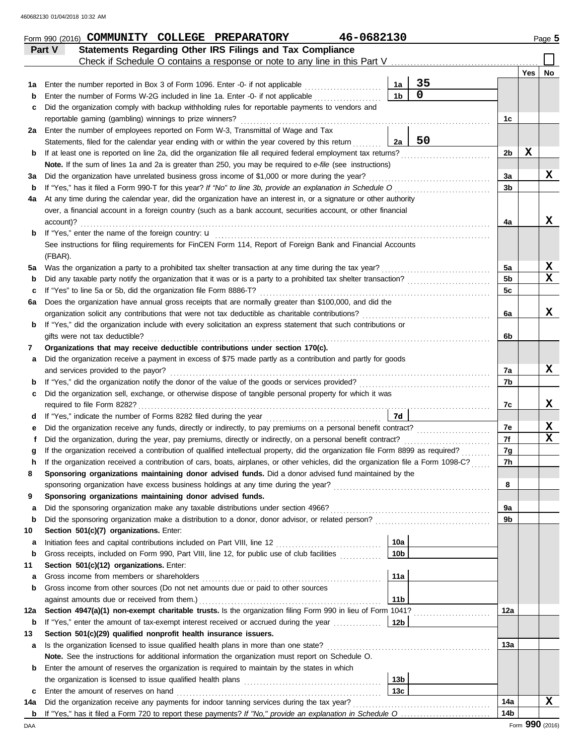|     | Part V                              | Statements Regarding Other IRS Filings and Tax Compliance                                                                                                                                                    |                 |             |                        |     |             |
|-----|-------------------------------------|--------------------------------------------------------------------------------------------------------------------------------------------------------------------------------------------------------------|-----------------|-------------|------------------------|-----|-------------|
|     |                                     | Check if Schedule O contains a response or note to any line in this Part V                                                                                                                                   |                 |             |                        |     |             |
|     |                                     |                                                                                                                                                                                                              |                 |             |                        | Yes | No          |
| 1а  |                                     | Enter the number reported in Box 3 of Form 1096. Enter -0- if not applicable                                                                                                                                 | 1а              | 35          |                        |     |             |
| b   |                                     | Enter the number of Forms W-2G included in line 1a. Enter -0- if not applicable                                                                                                                              | 1 <sub>b</sub>  | $\mathbf 0$ |                        |     |             |
| с   |                                     | Did the organization comply with backup withholding rules for reportable payments to vendors and                                                                                                             |                 |             |                        |     |             |
|     |                                     | reportable gaming (gambling) winnings to prize winners?                                                                                                                                                      |                 |             | 1c                     |     |             |
| 2a  |                                     | Enter the number of employees reported on Form W-3, Transmittal of Wage and Tax                                                                                                                              |                 |             |                        |     |             |
|     |                                     | Statements, filed for the calendar year ending with or within the year covered by this return                                                                                                                | 2a              | 50          |                        | х   |             |
| b   |                                     | If at least one is reported on line 2a, did the organization file all required federal employment tax returns?                                                                                               |                 |             | 2b                     |     |             |
|     |                                     | Note. If the sum of lines 1a and 2a is greater than 250, you may be required to e-file (see instructions)                                                                                                    |                 |             |                        |     | X           |
| За  |                                     | Did the organization have unrelated business gross income of \$1,000 or more during the year?<br>If "Yes," has it filed a Form 990-T for this year? If "No" to line 3b, provide an explanation in Schedule O |                 |             | 3a<br>3b               |     |             |
| b   |                                     | At any time during the calendar year, did the organization have an interest in, or a signature or other authority                                                                                            |                 |             |                        |     |             |
| 4a  |                                     | over, a financial account in a foreign country (such as a bank account, securities account, or other financial                                                                                               |                 |             |                        |     |             |
|     | account)?                           |                                                                                                                                                                                                              |                 |             | 4a                     |     | x           |
| b   |                                     | If "Yes," enter the name of the foreign country: <b>u</b>                                                                                                                                                    |                 |             |                        |     |             |
|     |                                     | See instructions for filing requirements for FinCEN Form 114, Report of Foreign Bank and Financial Accounts                                                                                                  |                 |             |                        |     |             |
|     | (FBAR).                             |                                                                                                                                                                                                              |                 |             |                        |     |             |
| 5a  |                                     | Was the organization a party to a prohibited tax shelter transaction at any time during the tax year?                                                                                                        |                 |             | 5a                     |     | X           |
| b   |                                     | Did any taxable party notify the organization that it was or is a party to a prohibited tax shelter transaction?                                                                                             |                 |             | 5 <sub>b</sub>         |     | $\mathbf x$ |
| c   |                                     | If "Yes" to line 5a or 5b, did the organization file Form 8886-T?                                                                                                                                            |                 |             | 5c                     |     |             |
| 6a  |                                     | Does the organization have annual gross receipts that are normally greater than \$100,000, and did the                                                                                                       |                 |             |                        |     |             |
|     |                                     | organization solicit any contributions that were not tax deductible as charitable contributions?                                                                                                             |                 |             | 6a                     |     | x           |
| b   |                                     | If "Yes," did the organization include with every solicitation an express statement that such contributions or                                                                                               |                 |             |                        |     |             |
|     | gifts were not tax deductible?      |                                                                                                                                                                                                              |                 |             | 6b                     |     |             |
| 7   |                                     | Organizations that may receive deductible contributions under section 170(c).                                                                                                                                |                 |             |                        |     |             |
| а   |                                     | Did the organization receive a payment in excess of \$75 made partly as a contribution and partly for goods                                                                                                  |                 |             |                        |     |             |
|     | and services provided to the payor? |                                                                                                                                                                                                              |                 |             | 7a                     |     | X           |
| b   |                                     | If "Yes," did the organization notify the donor of the value of the goods or services provided?                                                                                                              |                 |             | 7b                     |     |             |
| c   |                                     | Did the organization sell, exchange, or otherwise dispose of tangible personal property for which it was                                                                                                     |                 |             |                        |     |             |
|     | required to file Form 8282?         |                                                                                                                                                                                                              |                 |             | 7c                     |     | x           |
| d   |                                     |                                                                                                                                                                                                              | 7d              |             |                        |     |             |
| е   |                                     | Did the organization receive any funds, directly or indirectly, to pay premiums on a personal benefit contract?                                                                                              |                 |             | 7e                     |     | X           |
| f   |                                     | Did the organization, during the year, pay premiums, directly or indirectly, on a personal benefit contract?                                                                                                 |                 |             | 7f                     |     | X           |
| g   |                                     | If the organization received a contribution of qualified intellectual property, did the organization file Form 8899 as required?                                                                             |                 |             | 7g                     |     |             |
| h   |                                     | If the organization received a contribution of cars, boats, airplanes, or other vehicles, did the organization file a Form 1098-C?                                                                           |                 |             | 7h                     |     |             |
|     |                                     | Sponsoring organizations maintaining donor advised funds. Did a donor advised fund maintained by the                                                                                                         |                 |             | 8                      |     |             |
| 9   |                                     | Sponsoring organizations maintaining donor advised funds.                                                                                                                                                    |                 |             |                        |     |             |
| а   |                                     |                                                                                                                                                                                                              |                 |             | 9a                     |     |             |
| b   |                                     | Did the sponsoring organization make a distribution to a donor, donor advisor, or related person?                                                                                                            |                 |             | 9b                     |     |             |
| 10  |                                     | Section 501(c)(7) organizations. Enter:                                                                                                                                                                      |                 |             |                        |     |             |
| а   |                                     |                                                                                                                                                                                                              | 10a             |             |                        |     |             |
| b   |                                     | Gross receipts, included on Form 990, Part VIII, line 12, for public use of club facilities                                                                                                                  | 10 <sub>b</sub> |             |                        |     |             |
| 11  |                                     | Section 501(c)(12) organizations. Enter:                                                                                                                                                                     |                 |             |                        |     |             |
| а   |                                     | Gross income from members or shareholders                                                                                                                                                                    | 11a             |             |                        |     |             |
| b   |                                     | Gross income from other sources (Do not net amounts due or paid to other sources                                                                                                                             |                 |             |                        |     |             |
|     |                                     | against amounts due or received from them.)                                                                                                                                                                  | 11 <sub>b</sub> |             |                        |     |             |
| 12a |                                     | Section 4947(a)(1) non-exempt charitable trusts. Is the organization filing Form 990 in lieu of Form 1041?                                                                                                   |                 |             | 12a                    |     |             |
| b   |                                     | If "Yes," enter the amount of tax-exempt interest received or accrued during the year manu-                                                                                                                  | 12b             |             |                        |     |             |
| 13  |                                     | Section 501(c)(29) qualified nonprofit health insurance issuers.                                                                                                                                             |                 |             |                        |     |             |
| а   |                                     | Is the organization licensed to issue qualified health plans in more than one state?                                                                                                                         |                 |             | 13а                    |     |             |
|     |                                     | Note. See the instructions for additional information the organization must report on Schedule O.                                                                                                            |                 |             |                        |     |             |
| b   |                                     | Enter the amount of reserves the organization is required to maintain by the states in which                                                                                                                 |                 |             |                        |     |             |
|     |                                     |                                                                                                                                                                                                              | 13 <sub>b</sub> |             |                        |     |             |
| c   |                                     | Enter the amount of reserves on hand                                                                                                                                                                         | 13 <sub>c</sub> |             |                        |     |             |
| 14a |                                     | Did the organization receive any payments for indoor tanning services during the tax year?                                                                                                                   |                 |             | 14a<br>14 <sub>b</sub> |     | x           |
|     |                                     |                                                                                                                                                                                                              |                 |             |                        |     |             |

**Form 990 (2016) COMMUNITY COLLEGE PREPARATORY** 46-0682130 **Page 5**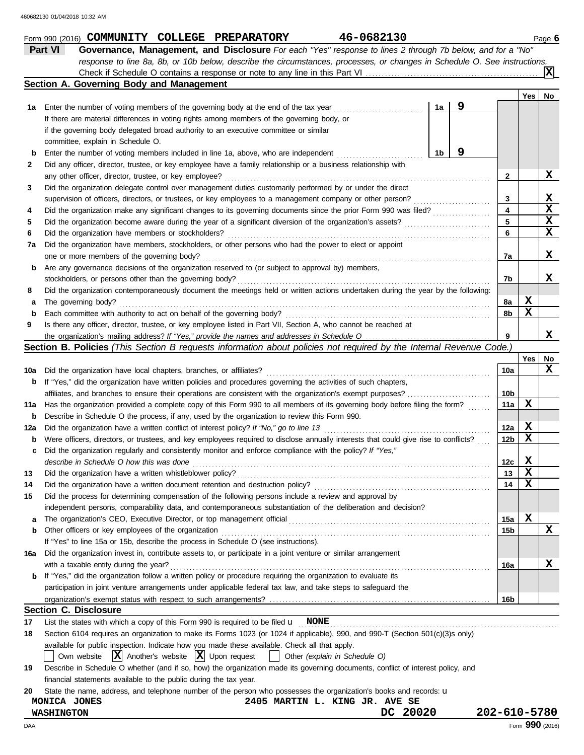|        | Part VI<br>Governance, Management, and Disclosure For each "Yes" response to lines 2 through 7b below, and for a "No"<br>response to line 8a, 8b, or 10b below, describe the circumstances, processes, or changes in Schedule O. See instructions. |                 |                         |                 |
|--------|----------------------------------------------------------------------------------------------------------------------------------------------------------------------------------------------------------------------------------------------------|-----------------|-------------------------|-----------------|
|        |                                                                                                                                                                                                                                                    |                 |                         | X               |
|        | Section A. Governing Body and Management                                                                                                                                                                                                           |                 |                         |                 |
|        | 9                                                                                                                                                                                                                                                  |                 | Yes                     | No              |
| 1а     | Enter the number of voting members of the governing body at the end of the tax year<br>1a                                                                                                                                                          |                 |                         |                 |
|        | If there are material differences in voting rights among members of the governing body, or                                                                                                                                                         |                 |                         |                 |
|        | if the governing body delegated broad authority to an executive committee or similar<br>committee, explain in Schedule O.                                                                                                                          |                 |                         |                 |
|        | 9<br>Enter the number of voting members included in line 1a, above, who are independent<br>1b                                                                                                                                                      |                 |                         |                 |
| b<br>2 | Did any officer, director, trustee, or key employee have a family relationship or a business relationship with                                                                                                                                     |                 |                         |                 |
|        | any other officer, director, trustee, or key employee?                                                                                                                                                                                             | 2               |                         | x               |
| 3      | Did the organization delegate control over management duties customarily performed by or under the direct                                                                                                                                          |                 |                         |                 |
|        | supervision of officers, directors, or trustees, or key employees to a management company or other person?                                                                                                                                         | 3               |                         | x               |
| 4      | <u> 1999 - Johann Stoff, martin a</u><br>Did the organization make any significant changes to its governing documents since the prior Form 990 was filed?                                                                                          | 4               |                         | X               |
| 5      | Did the organization become aware during the year of a significant diversion of the organization's assets?                                                                                                                                         | 5               |                         | X               |
| 6      | Did the organization have members or stockholders?                                                                                                                                                                                                 | 6               |                         | X               |
| 7а     | Did the organization have members, stockholders, or other persons who had the power to elect or appoint                                                                                                                                            |                 |                         |                 |
|        | one or more members of the governing body?                                                                                                                                                                                                         | 7a              |                         | X               |
| b      | Are any governance decisions of the organization reserved to (or subject to approval by) members,                                                                                                                                                  |                 |                         |                 |
|        | stockholders, or persons other than the governing body?                                                                                                                                                                                            | 7b              |                         | x               |
| 8      | Did the organization contemporaneously document the meetings held or written actions undertaken during the year by the following:                                                                                                                  |                 |                         |                 |
| а      | The governing body?                                                                                                                                                                                                                                | 8a              | X                       |                 |
| b      | Each committee with authority to act on behalf of the governing body?                                                                                                                                                                              | 8b              | X                       |                 |
| 9      | Is there any officer, director, trustee, or key employee listed in Part VII, Section A, who cannot be reached at                                                                                                                                   |                 |                         |                 |
|        |                                                                                                                                                                                                                                                    | 9               |                         | x               |
|        | Section B. Policies (This Section B requests information about policies not required by the Internal Revenue Code.)                                                                                                                                |                 |                         |                 |
|        |                                                                                                                                                                                                                                                    |                 | Yes                     | No              |
| 10a    | Did the organization have local chapters, branches, or affiliates?                                                                                                                                                                                 | 10a             |                         | x               |
| b      | If "Yes," did the organization have written policies and procedures governing the activities of such chapters,                                                                                                                                     |                 |                         |                 |
|        |                                                                                                                                                                                                                                                    | 10b             |                         |                 |
| 11a    | Has the organization provided a complete copy of this Form 990 to all members of its governing body before filing the form?                                                                                                                        | 11a             | х                       |                 |
| b      | Describe in Schedule O the process, if any, used by the organization to review this Form 990.                                                                                                                                                      |                 |                         |                 |
| 12a    | Did the organization have a written conflict of interest policy? If "No," go to line 13                                                                                                                                                            | 12a             | X                       |                 |
| b      | Were officers, directors, or trustees, and key employees required to disclose annually interests that could give rise to conflicts?                                                                                                                | 12 <sub>b</sub> | х                       |                 |
| c      | Did the organization regularly and consistently monitor and enforce compliance with the policy? If "Yes,"                                                                                                                                          |                 |                         |                 |
|        | describe in Schedule O how this was done                                                                                                                                                                                                           | 12c             | x                       |                 |
| 13     | Did the organization have a written whistleblower policy?                                                                                                                                                                                          | 13              | $\overline{\mathbf{x}}$ |                 |
| 14     | Did the organization have a written document retention and destruction policy?                                                                                                                                                                     | 14              | X                       |                 |
| 15     | Did the process for determining compensation of the following persons include a review and approval by                                                                                                                                             |                 |                         |                 |
|        | independent persons, comparability data, and contemporaneous substantiation of the deliberation and decision?                                                                                                                                      |                 |                         |                 |
| a      |                                                                                                                                                                                                                                                    | 15a             | X                       |                 |
| b      | Other officers or key employees of the organization                                                                                                                                                                                                | 15b             |                         | x               |
|        | If "Yes" to line 15a or 15b, describe the process in Schedule O (see instructions).                                                                                                                                                                |                 |                         |                 |
| 16a    | Did the organization invest in, contribute assets to, or participate in a joint venture or similar arrangement                                                                                                                                     |                 |                         |                 |
|        | with a taxable entity during the year?<br>If "Yes," did the organization follow a written policy or procedure requiring the organization to evaluate its                                                                                           | 16a             |                         | x               |
| b      | participation in joint venture arrangements under applicable federal tax law, and take steps to safeguard the                                                                                                                                      |                 |                         |                 |
|        |                                                                                                                                                                                                                                                    | 16b             |                         |                 |
|        | <b>Section C. Disclosure</b>                                                                                                                                                                                                                       |                 |                         |                 |
| 17     | List the states with which a copy of this Form 990 is required to be filed $\mathbf u$ NONE                                                                                                                                                        |                 |                         |                 |
| 18     | Section 6104 requires an organization to make its Forms 1023 (or 1024 if applicable), 990, and 990-T (Section 501(c)(3)s only)                                                                                                                     |                 |                         |                 |
|        | available for public inspection. Indicate how you made these available. Check all that apply.                                                                                                                                                      |                 |                         |                 |
|        | $ \mathbf{X} $ Another's website $ \mathbf{X} $ Upon request<br>Other (explain in Schedule O)<br>Own website                                                                                                                                       |                 |                         |                 |
| 19     | Describe in Schedule O whether (and if so, how) the organization made its governing documents, conflict of interest policy, and                                                                                                                    |                 |                         |                 |
|        | financial statements available to the public during the tax year.                                                                                                                                                                                  |                 |                         |                 |
| 20     | State the name, address, and telephone number of the person who possesses the organization's books and records: u                                                                                                                                  |                 |                         |                 |
|        | 2405 MARTIN L. KING JR. AVE SE<br>MONICA JONES                                                                                                                                                                                                     |                 |                         |                 |
|        | DC 20020<br><b>WASHINGTON</b>                                                                                                                                                                                                                      | 202-610-5780    |                         |                 |
| DAA    |                                                                                                                                                                                                                                                    |                 |                         | Form 990 (2016) |

Form 990 (2016) Page **6**

**COMMUNITY COLLEGE PREPARATORY 46-0682130**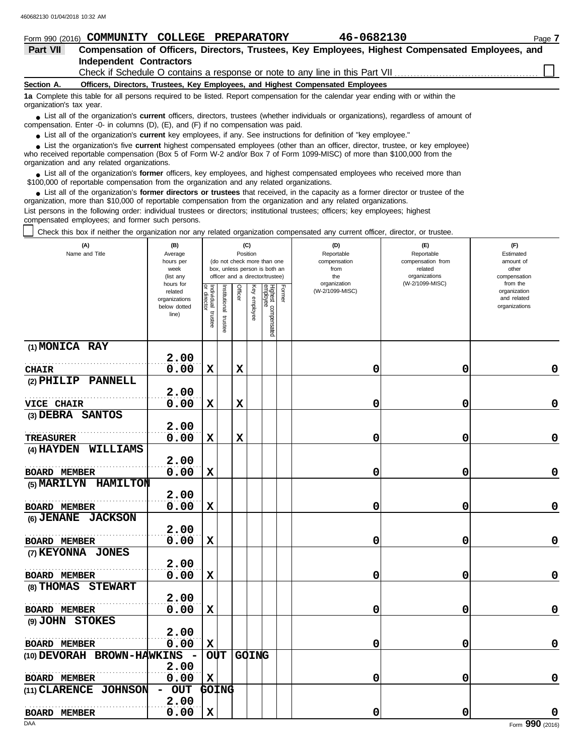|                          | 46-0682130<br>Form 990 (2016) COMMUNITY COLLEGE PREPARATORY<br>Page 7                                                                                                                                                               |  |
|--------------------------|-------------------------------------------------------------------------------------------------------------------------------------------------------------------------------------------------------------------------------------|--|
| <b>Part VII</b>          | Compensation of Officers, Directors, Trustees, Key Employees, Highest Compensated Employees, and                                                                                                                                    |  |
|                          | <b>Independent Contractors</b>                                                                                                                                                                                                      |  |
|                          |                                                                                                                                                                                                                                     |  |
| Section A.               | Officers, Directors, Trustees, Key Employees, and Highest Compensated Employees                                                                                                                                                     |  |
| organization's tax year. | 1a Complete this table for all persons required to be listed. Report compensation for the calendar year ending with or within the                                                                                                   |  |
|                          | • List all of the organization's current officers, directors, trustees (whether individuals or organizations), regardless of amount of<br>compensation. Enter -0- in columns $(D)$ , $(E)$ , and $(F)$ if no compensation was paid. |  |

● List all of the organization's **current** key employees, if any. See instructions for definition of "key employee."

who received reportable compensation (Box 5 of Form W-2 and/or Box 7 of Form 1099-MISC) of more than \$100,000 from the organization and any related organizations. ■ List the organization's five **current** highest compensated employees (other than an officer, director, trustee, or key employee)<br> **•** Preceived reportable compensation (Box 5 of Form W.2 and/or Box 7 of Form 1000 MISC)

■ List all of the organization's **former** officers, key employees, and highest compensated employees who received more than<br> **•** 00,000 of reportable compensation from the ergonization and any related ergonizations \$100,000 of reportable compensation from the organization and any related organizations.

■ List all of the organization's **former directors or trustees** that received, in the capacity as a former director or trustee of the<br>paization, more than \$10,000 of reportable compensation from the organization and any r organization, more than \$10,000 of reportable compensation from the organization and any related organizations. List persons in the following order: individual trustees or directors; institutional trustees; officers; key employees; highest compensated employees; and former such persons.

Check this box if neither the organization nor any related organization compensated any current officer, director, or trustee.

| (A)<br>Name and Title                   | (B)<br>Average<br>hours per<br>week<br>(list any               |                                      |                         | (C)<br>Position |              | (do not check more than one<br>box, unless person is both an<br>officer and a director/trustee) |        | (D)<br>Reportable<br>compensation<br>from<br>the | (E)<br>Reportable<br>compensation from<br>related<br>organizations | (F)<br>Estimated<br>amount of<br>other<br>compensation   |
|-----------------------------------------|----------------------------------------------------------------|--------------------------------------|-------------------------|-----------------|--------------|-------------------------------------------------------------------------------------------------|--------|--------------------------------------------------|--------------------------------------------------------------------|----------------------------------------------------------|
|                                         | hours for<br>related<br>organizations<br>below dotted<br>line) | Individual<br>or director<br>trustee | nstitutional<br>trustee | Officer         | Key employee | Highest compensated<br>amployee                                                                 | Former | organization<br>(W-2/1099-MISC)                  | (W-2/1099-MISC)                                                    | from the<br>organization<br>and related<br>organizations |
| (1) MONICA RAY                          |                                                                |                                      |                         |                 |              |                                                                                                 |        |                                                  |                                                                    |                                                          |
|                                         | 2.00                                                           |                                      |                         |                 |              |                                                                                                 |        |                                                  |                                                                    |                                                          |
| <b>CHAIR</b>                            | 0.00                                                           | $\mathbf x$                          |                         | $\mathbf x$     |              |                                                                                                 |        | 0                                                | 0                                                                  | 0                                                        |
| (2) PHILIP PANNELL                      |                                                                |                                      |                         |                 |              |                                                                                                 |        |                                                  |                                                                    |                                                          |
|                                         | 2.00                                                           |                                      |                         |                 |              |                                                                                                 |        |                                                  |                                                                    |                                                          |
| <b>VICE CHAIR</b>                       | 0.00                                                           | X                                    |                         | $\mathbf x$     |              |                                                                                                 |        | 0                                                | 0                                                                  | 0                                                        |
| (3) DEBRA SANTOS                        |                                                                |                                      |                         |                 |              |                                                                                                 |        |                                                  |                                                                    |                                                          |
|                                         | 2.00                                                           | $\mathbf x$                          |                         | $\mathbf x$     |              |                                                                                                 |        |                                                  |                                                                    |                                                          |
| <b>TREASURER</b><br>(4) HAYDEN WILLIAMS | 0.00                                                           |                                      |                         |                 |              |                                                                                                 |        | 0                                                | 0                                                                  | 0                                                        |
|                                         | 2.00                                                           |                                      |                         |                 |              |                                                                                                 |        |                                                  |                                                                    |                                                          |
| <b>BOARD MEMBER</b>                     | 0.00                                                           | $\mathbf x$                          |                         |                 |              |                                                                                                 |        | 0                                                | 0                                                                  | 0                                                        |
| (5) MARILYN HAMILTON                    |                                                                |                                      |                         |                 |              |                                                                                                 |        |                                                  |                                                                    |                                                          |
|                                         | 2.00                                                           |                                      |                         |                 |              |                                                                                                 |        |                                                  |                                                                    |                                                          |
| BOARD MEMBER                            | 0.00                                                           | $\mathbf x$                          |                         |                 |              |                                                                                                 |        | 0                                                | 0                                                                  | 0                                                        |
| (6) JENANE JACKSON                      |                                                                |                                      |                         |                 |              |                                                                                                 |        |                                                  |                                                                    |                                                          |
|                                         | 2.00                                                           |                                      |                         |                 |              |                                                                                                 |        |                                                  |                                                                    |                                                          |
| <b>BOARD MEMBER</b>                     | 0.00                                                           | $\mathbf x$                          |                         |                 |              |                                                                                                 |        | 0                                                | 0                                                                  | $\mathbf 0$                                              |
| (7) KEYONNA JONES                       |                                                                |                                      |                         |                 |              |                                                                                                 |        |                                                  |                                                                    |                                                          |
|                                         | 2.00                                                           |                                      |                         |                 |              |                                                                                                 |        |                                                  |                                                                    |                                                          |
| <b>BOARD MEMBER</b>                     | 0.00                                                           | $\mathbf x$                          |                         |                 |              |                                                                                                 |        | 0                                                | 0                                                                  | $\mathbf 0$                                              |
| (8) THOMAS STEWART                      |                                                                |                                      |                         |                 |              |                                                                                                 |        |                                                  |                                                                    |                                                          |
|                                         | 2.00                                                           |                                      |                         |                 |              |                                                                                                 |        |                                                  |                                                                    |                                                          |
| <b>BOARD MEMBER</b>                     | 0.00                                                           | $\mathbf x$                          |                         |                 |              |                                                                                                 |        | 0                                                | 0                                                                  | 0                                                        |
| <b>STOKES</b><br>(9) JOHN               |                                                                |                                      |                         |                 |              |                                                                                                 |        |                                                  |                                                                    |                                                          |
|                                         | 2.00                                                           |                                      |                         |                 |              |                                                                                                 |        |                                                  |                                                                    |                                                          |
| <b>BOARD MEMBER</b>                     | 0.00                                                           | X                                    |                         |                 |              |                                                                                                 |        | 0                                                | 0                                                                  | 0                                                        |
| (10) DEVORAH BROWN-HAWKINS              |                                                                | <b>OUT</b>                           |                         | GOING           |              |                                                                                                 |        |                                                  |                                                                    |                                                          |
|                                         | 2.00                                                           |                                      |                         |                 |              |                                                                                                 |        |                                                  |                                                                    |                                                          |
| <b>BOARD MEMBER</b>                     | 0.00                                                           | $\mathbf x$                          |                         |                 |              |                                                                                                 |        | 0                                                | 0                                                                  | $\mathbf 0$                                              |
| (11) CLARENCE JOHNSON                   | <b>OUT</b><br>$\blacksquare$                                   |                                      | <b>GOING</b>            |                 |              |                                                                                                 |        |                                                  |                                                                    |                                                          |
|                                         | 2.00                                                           |                                      |                         |                 |              |                                                                                                 |        |                                                  |                                                                    |                                                          |
| <b>BOARD MEMBER</b>                     | 0.00                                                           | $\mathbf x$                          |                         |                 |              |                                                                                                 |        | 0                                                | 0                                                                  | 0                                                        |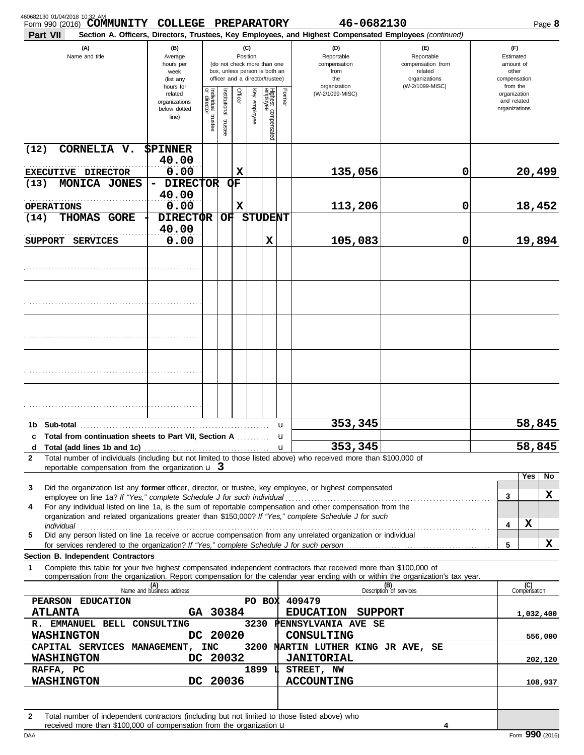| Part VII                                                                  | Form 990 (2016) COMMUNITY COLLEGE PREPARATORY                                                                                                                         |                                                                |                                      |                       |                 |              |                                                                                                 |        | 46-0682130<br>Section A. Officers, Directors, Trustees, Key Employees, and Highest Compensated Employees (continued)                                                                                                                                                                                                                            |                                                                    |                                                          | Page 8              |
|---------------------------------------------------------------------------|-----------------------------------------------------------------------------------------------------------------------------------------------------------------------|----------------------------------------------------------------|--------------------------------------|-----------------------|-----------------|--------------|-------------------------------------------------------------------------------------------------|--------|-------------------------------------------------------------------------------------------------------------------------------------------------------------------------------------------------------------------------------------------------------------------------------------------------------------------------------------------------|--------------------------------------------------------------------|----------------------------------------------------------|---------------------|
| (A)<br>(B)<br>Name and title<br>Average<br>hours per<br>week<br>(list any |                                                                                                                                                                       |                                                                |                                      |                       | (C)<br>Position |              | (do not check more than one<br>box, unless person is both an<br>officer and a director/trustee) |        | (D)<br>Reportable<br>compensation<br>from<br>the                                                                                                                                                                                                                                                                                                | (E)<br>Reportable<br>compensation from<br>related<br>organizations | (F)<br>Estimated<br>amount of<br>other<br>compensation   |                     |
|                                                                           |                                                                                                                                                                       | hours for<br>related<br>organizations<br>below dotted<br>line) | Individual<br>or director<br>trustee | Institutional trustee | Officer         | Key employee | Highest compensated<br>employee                                                                 | Former | organization<br>(W-2/1099-MISC)                                                                                                                                                                                                                                                                                                                 | (W-2/1099-MISC)                                                    | from the<br>organization<br>and related<br>organizations |                     |
| (12)                                                                      | CORNELIA V.                                                                                                                                                           | \$PINNER                                                       |                                      |                       |                 |              |                                                                                                 |        |                                                                                                                                                                                                                                                                                                                                                 |                                                                    |                                                          |                     |
| (13)                                                                      | EXECUTIVE DIRECTOR<br>MONICA JONES                                                                                                                                    | 40.00<br>0.00<br><b>DIRECTOR</b><br>-                          |                                      |                       | X<br>ΟF         |              |                                                                                                 |        | 135,056                                                                                                                                                                                                                                                                                                                                         | 0                                                                  |                                                          | 20,499              |
| <b>OPERATIONS</b>                                                         |                                                                                                                                                                       | 40.00<br>0.00                                                  |                                      |                       | $\mathbf x$     |              |                                                                                                 |        | 113,206                                                                                                                                                                                                                                                                                                                                         | 0                                                                  |                                                          | 18,452              |
| (14)                                                                      | THOMAS<br><b>GORE</b>                                                                                                                                                 | <b>DIRECTOR</b>                                                |                                      | ОĘ                    |                 |              | <b>STUDENT</b>                                                                                  |        |                                                                                                                                                                                                                                                                                                                                                 |                                                                    |                                                          |                     |
| <b>SUPPORT</b>                                                            | <b>SERVICES</b>                                                                                                                                                       | 40.00<br>0.00                                                  |                                      |                       |                 |              | X                                                                                               |        | 105,083                                                                                                                                                                                                                                                                                                                                         | 0                                                                  |                                                          | 19,894              |
|                                                                           |                                                                                                                                                                       |                                                                |                                      |                       |                 |              |                                                                                                 |        |                                                                                                                                                                                                                                                                                                                                                 |                                                                    |                                                          |                     |
|                                                                           |                                                                                                                                                                       |                                                                |                                      |                       |                 |              |                                                                                                 |        |                                                                                                                                                                                                                                                                                                                                                 |                                                                    |                                                          |                     |
|                                                                           |                                                                                                                                                                       |                                                                |                                      |                       |                 |              |                                                                                                 |        |                                                                                                                                                                                                                                                                                                                                                 |                                                                    |                                                          |                     |
|                                                                           |                                                                                                                                                                       |                                                                |                                      |                       |                 |              |                                                                                                 |        |                                                                                                                                                                                                                                                                                                                                                 |                                                                    |                                                          |                     |
|                                                                           |                                                                                                                                                                       |                                                                |                                      |                       |                 |              |                                                                                                 |        |                                                                                                                                                                                                                                                                                                                                                 |                                                                    |                                                          |                     |
|                                                                           |                                                                                                                                                                       |                                                                |                                      |                       |                 |              |                                                                                                 |        |                                                                                                                                                                                                                                                                                                                                                 |                                                                    |                                                          |                     |
| 1b Sub-total                                                              | c Total from continuation sheets to Part VII, Section A                                                                                                               |                                                                |                                      |                       |                 |              |                                                                                                 | u<br>u | 353,345                                                                                                                                                                                                                                                                                                                                         |                                                                    |                                                          | 58,845              |
| 2                                                                         |                                                                                                                                                                       |                                                                |                                      |                       |                 |              |                                                                                                 | u      | 353,345<br>Total number of individuals (including but not limited to those listed above) who received more than \$100,000 of                                                                                                                                                                                                                    |                                                                    |                                                          | 58,845              |
|                                                                           | reportable compensation from the organization $\bf{u}$ 3                                                                                                              |                                                                |                                      |                       |                 |              |                                                                                                 |        |                                                                                                                                                                                                                                                                                                                                                 |                                                                    |                                                          | Yes<br>No           |
| 3                                                                         |                                                                                                                                                                       |                                                                |                                      |                       |                 |              |                                                                                                 |        | Did the organization list any former officer, director, or trustee, key employee, or highest compensated                                                                                                                                                                                                                                        |                                                                    | 3                                                        | X                   |
| 4                                                                         |                                                                                                                                                                       |                                                                |                                      |                       |                 |              |                                                                                                 |        | For any individual listed on line 1a, is the sum of reportable compensation and other compensation from the<br>organization and related organizations greater than \$150,000? If "Yes," complete Schedule J for such                                                                                                                            |                                                                    |                                                          |                     |
| 5                                                                         |                                                                                                                                                                       |                                                                |                                      |                       |                 |              |                                                                                                 |        | individual with a construction of the construction of the construction of the construction of the construction of the construction of the construction of the construction of the construction of the construction of the cons<br>Did any person listed on line 1a receive or accrue compensation from any unrelated organization or individual |                                                                    | 4                                                        | X                   |
|                                                                           | for services rendered to the organization? If "Yes," complete Schedule J for such person<br>Section B. Independent Contractors                                        |                                                                |                                      |                       |                 |              |                                                                                                 |        |                                                                                                                                                                                                                                                                                                                                                 |                                                                    | 5                                                        | X                   |
| 1                                                                         |                                                                                                                                                                       |                                                                |                                      |                       |                 |              |                                                                                                 |        | Complete this table for your five highest compensated independent contractors that received more than \$100,000 of<br>compensation from the organization. Report compensation for the calendar year ending with or within the organization's tax year.                                                                                          |                                                                    |                                                          |                     |
|                                                                           |                                                                                                                                                                       | (A)<br>Name and business address                               |                                      |                       |                 |              |                                                                                                 |        |                                                                                                                                                                                                                                                                                                                                                 | (B)<br>Description of services                                     |                                                          | (C)<br>Compensation |
| <b>ATLANTA</b>                                                            | PEARSON EDUCATION                                                                                                                                                     |                                                                |                                      | GA 30384              |                 |              |                                                                                                 |        | PO BOX 409479<br><b>EDUCATION</b><br><b>SUPPORT</b>                                                                                                                                                                                                                                                                                             |                                                                    |                                                          | 1,032,400           |
| <b>WASHINGTON</b>                                                         | R. EMMANUEL BELL CONSULTING                                                                                                                                           |                                                                |                                      | DC 20020              |                 | 3230         |                                                                                                 |        | PENNSYLVANIA AVE SE<br>CONSULTING                                                                                                                                                                                                                                                                                                               |                                                                    |                                                          | 556,000             |
| <b>WASHINGTON</b>                                                         | CAPITAL SERVICES MANAGEMENT, INC                                                                                                                                      | DC 20032                                                       |                                      |                       |                 |              |                                                                                                 |        | 3200 MARTIN LUTHER KING JR AVE, SE<br><b>JANITORIAL</b>                                                                                                                                                                                                                                                                                         |                                                                    |                                                          | 202,120             |
| RAFFA, PC<br><b>WASHINGTON</b>                                            |                                                                                                                                                                       |                                                                |                                      | DC 20036              |                 |              |                                                                                                 |        | 1899 $\frac{1}{2}$ STREET, NW<br><b>ACCOUNTING</b>                                                                                                                                                                                                                                                                                              |                                                                    |                                                          |                     |
|                                                                           |                                                                                                                                                                       |                                                                |                                      |                       |                 |              |                                                                                                 |        |                                                                                                                                                                                                                                                                                                                                                 |                                                                    |                                                          | 108,937             |
| 2                                                                         | Total number of independent contractors (including but not limited to those listed above) who<br>received more than \$100,000 of compensation from the organization u |                                                                |                                      |                       |                 |              |                                                                                                 |        |                                                                                                                                                                                                                                                                                                                                                 | 4                                                                  |                                                          |                     |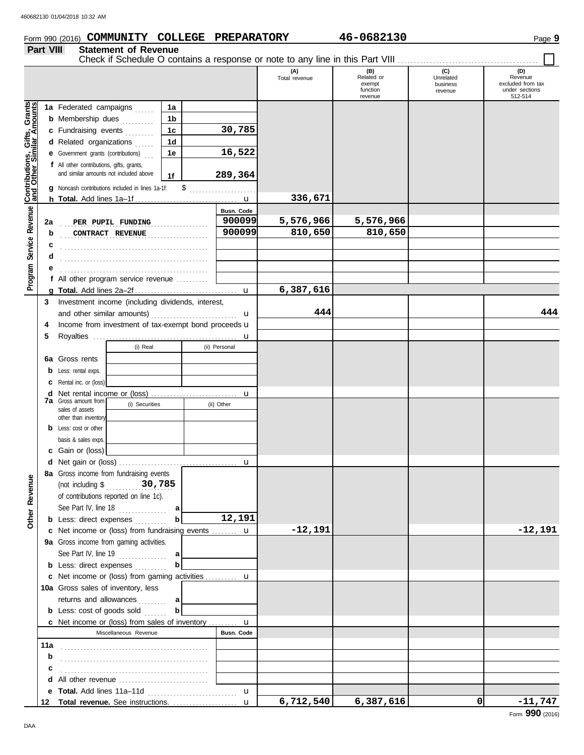## **Form 990 (2016) COMMUNITY COLLEGE PREPARATORY** 46-0682130 **Page 9** Page 9

## **Part VIII Statement of Revenue**

|                                                             | <b>Fail VIII</b> | <b>ORIGINGIN</b> OF <b>IVE</b> STING                             |                |               |                      |                                                    |                                         |                                                                  |
|-------------------------------------------------------------|------------------|------------------------------------------------------------------|----------------|---------------|----------------------|----------------------------------------------------|-----------------------------------------|------------------------------------------------------------------|
|                                                             |                  |                                                                  |                |               | (A)<br>Total revenue | (B)<br>Related or<br>exempt<br>function<br>revenue | (C)<br>Unrelated<br>business<br>revenue | (D)<br>Revenue<br>excluded from tax<br>under sections<br>512-514 |
|                                                             |                  | 1a Federated campaigns                                           | 1a             |               |                      |                                                    |                                         |                                                                  |
|                                                             |                  | <b>b</b> Membership dues                                         | 1 <sub>b</sub> |               |                      |                                                    |                                         |                                                                  |
|                                                             |                  | c Fundraising events                                             | 1 <sub>c</sub> | 30,785        |                      |                                                    |                                         |                                                                  |
|                                                             |                  | d Related organizations                                          | 1 <sub>d</sub> |               |                      |                                                    |                                         |                                                                  |
|                                                             |                  | e Government grants (contributions)                              | 1e             | 16,522        |                      |                                                    |                                         |                                                                  |
|                                                             |                  | f All other contributions, gifts, grants,                        |                |               |                      |                                                    |                                         |                                                                  |
|                                                             |                  | and similar amounts not included above                           | 1f             | 289,364       |                      |                                                    |                                         |                                                                  |
|                                                             |                  | g Noncash contributions included in lines 1a-1f:                 | \$             |               |                      |                                                    |                                         |                                                                  |
|                                                             |                  |                                                                  |                |               | 336,671              |                                                    |                                         |                                                                  |
|                                                             |                  |                                                                  |                | Busn. Code    |                      |                                                    |                                         |                                                                  |
|                                                             | 2a               | PER PUPIL FUNDING                                                |                | 900099        | 5,576,966            | 5,576,966                                          |                                         |                                                                  |
|                                                             | b                | CONTRACT REVENUE                                                 |                | 900099        | 810,650              | 810,650                                            |                                         |                                                                  |
|                                                             | с                |                                                                  |                |               |                      |                                                    |                                         |                                                                  |
|                                                             | d                |                                                                  |                |               |                      |                                                    |                                         |                                                                  |
|                                                             |                  |                                                                  |                |               |                      |                                                    |                                         |                                                                  |
| Program Service Revenue <b>Contributions, Gifts, Grants</b> |                  | f All other program service revenue                              |                |               |                      |                                                    |                                         |                                                                  |
|                                                             |                  |                                                                  |                |               | 6,387,616            |                                                    |                                         |                                                                  |
|                                                             |                  | 3 Investment income (including dividends, interest,              |                |               |                      |                                                    |                                         |                                                                  |
|                                                             |                  | and other similar amounts)                                       |                | u             | 444                  |                                                    |                                         | 444                                                              |
|                                                             | 4                | Income from investment of tax-exempt bond proceeds u             |                |               |                      |                                                    |                                         |                                                                  |
|                                                             | 5                |                                                                  |                |               |                      |                                                    |                                         |                                                                  |
|                                                             |                  | (i) Real                                                         |                | (ii) Personal |                      |                                                    |                                         |                                                                  |
|                                                             | 6а               | Gross rents                                                      |                |               |                      |                                                    |                                         |                                                                  |
|                                                             | b                | Less: rental exps.                                               |                |               |                      |                                                    |                                         |                                                                  |
|                                                             |                  | Rental inc. or (loss)                                            |                |               |                      |                                                    |                                         |                                                                  |
|                                                             | d                |                                                                  |                |               |                      |                                                    |                                         |                                                                  |
|                                                             |                  | <b>7a</b> Gross amount from<br>(i) Securities<br>sales of assets |                | (ii) Other    |                      |                                                    |                                         |                                                                  |
|                                                             |                  | other than inventory                                             |                |               |                      |                                                    |                                         |                                                                  |
|                                                             | b                | Less: cost or other                                              |                |               |                      |                                                    |                                         |                                                                  |
|                                                             |                  | basis & sales exps.                                              |                |               |                      |                                                    |                                         |                                                                  |
|                                                             |                  | c Gain or (loss)                                                 |                |               |                      |                                                    |                                         |                                                                  |
|                                                             |                  |                                                                  |                |               |                      |                                                    |                                         |                                                                  |
| Ф                                                           |                  | 8a Gross income from fundraising events                          |                |               |                      |                                                    |                                         |                                                                  |
|                                                             |                  |                                                                  |                |               |                      |                                                    |                                         |                                                                  |
|                                                             |                  | of contributions reported on line 1c).                           |                |               |                      |                                                    |                                         |                                                                  |
| Other Revenu                                                |                  | See Part IV, line 18                                             | a              |               |                      |                                                    |                                         |                                                                  |
|                                                             |                  | <b>b</b> Less: direct expenses                                   | b              | 12,191        |                      |                                                    |                                         |                                                                  |
|                                                             |                  | c Net income or (loss) from fundraising events  u                |                |               | $-12,191$            |                                                    |                                         | $-12,191$                                                        |
|                                                             |                  | 9a Gross income from gaming activities.                          |                |               |                      |                                                    |                                         |                                                                  |
|                                                             |                  | See Part IV, line 19 $\ldots$                                    | a              |               |                      |                                                    |                                         |                                                                  |
|                                                             |                  | <b>b</b> Less: direct expenses                                   | b              |               |                      |                                                    |                                         |                                                                  |
|                                                             |                  | c Net income or (loss) from gaming activities  u                 |                |               |                      |                                                    |                                         |                                                                  |
|                                                             |                  | 10a Gross sales of inventory, less                               |                |               |                      |                                                    |                                         |                                                                  |
|                                                             |                  | returns and allowances                                           | a              |               |                      |                                                    |                                         |                                                                  |
|                                                             |                  | <b>b</b> Less: cost of goods sold                                | b              |               |                      |                                                    |                                         |                                                                  |
|                                                             |                  | c Net income or (loss) from sales of inventory  u                |                |               |                      |                                                    |                                         |                                                                  |
|                                                             |                  | Miscellaneous Revenue                                            |                | Busn. Code    |                      |                                                    |                                         |                                                                  |
|                                                             | 11a              |                                                                  |                |               |                      |                                                    |                                         |                                                                  |
|                                                             | b                |                                                                  |                |               |                      |                                                    |                                         |                                                                  |
|                                                             | с                |                                                                  |                |               |                      |                                                    |                                         |                                                                  |
|                                                             |                  | d All other revenue                                              |                |               |                      |                                                    |                                         |                                                                  |
|                                                             |                  | e Total. Add lines 11a-11d                                       |                | u             |                      |                                                    |                                         |                                                                  |
|                                                             |                  | 12 Total revenue. See instructions.  u                           |                |               | 6,712,540            | 6,387,616                                          | 0                                       | $-11,747$                                                        |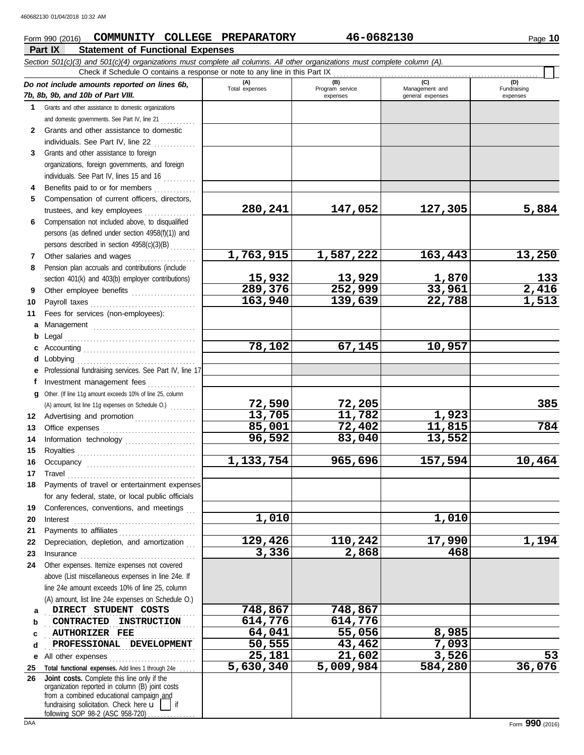## **Form 990 (2016) COMMUNITY COLLEGE PREPARATORY 46-0682130** Page 10

|          | Part IX<br><b>Statement of Functional Expenses</b>                                                                         |                          |                                    |                                           |                                              |
|----------|----------------------------------------------------------------------------------------------------------------------------|--------------------------|------------------------------------|-------------------------------------------|----------------------------------------------|
|          | Section 501(c)(3) and 501(c)(4) organizations must complete all columns. All other organizations must complete column (A). |                          |                                    |                                           |                                              |
|          | Check if Schedule O contains a response or note to any line in this Part IX                                                |                          |                                    |                                           |                                              |
|          | Do not include amounts reported on lines 6b,<br>7b, 8b, 9b, and 10b of Part VIII.                                          | (A)<br>Total expenses    | (B)<br>Program service<br>expenses | (C)<br>Management and<br>general expenses | (D)<br>Fundraising<br>expenses               |
| 1        | Grants and other assistance to domestic organizations                                                                      |                          |                                    |                                           |                                              |
|          | and domestic governments. See Part IV, line 21                                                                             |                          |                                    |                                           |                                              |
| 2        | Grants and other assistance to domestic                                                                                    |                          |                                    |                                           |                                              |
|          | individuals. See Part IV, line 22                                                                                          |                          |                                    |                                           |                                              |
| 3        | Grants and other assistance to foreign                                                                                     |                          |                                    |                                           |                                              |
|          | organizations, foreign governments, and foreign                                                                            |                          |                                    |                                           |                                              |
|          | individuals. See Part IV, lines 15 and 16                                                                                  |                          |                                    |                                           |                                              |
|          | Benefits paid to or for members<br>.                                                                                       |                          |                                    |                                           |                                              |
| 5        | Compensation of current officers, directors,                                                                               |                          |                                    |                                           |                                              |
|          | trustees, and key employees                                                                                                | 280,241                  | 147,052                            | 127,305                                   | 5,884                                        |
| 6        | Compensation not included above, to disqualified                                                                           |                          |                                    |                                           |                                              |
|          | persons (as defined under section 4958(f)(1)) and                                                                          |                          |                                    |                                           |                                              |
|          | persons described in section 4958(c)(3)(B)                                                                                 |                          |                                    |                                           |                                              |
| 7        | Other salaries and wages                                                                                                   | $\overline{1,763,915}$   | 1,587,222                          | 163,443                                   | 13,250                                       |
| 8        | Pension plan accruals and contributions (include                                                                           |                          |                                    |                                           |                                              |
|          | section 401(k) and 403(b) employer contributions)                                                                          | <u>15,932</u><br>289,376 | 13,929<br>252,999                  | 1,870<br>33,961                           |                                              |
| 9<br>10  | Other employee benefits                                                                                                    | 163,940                  | 139,639                            | 22,788                                    | $\frac{133}{2,416}$<br>$\frac{2,416}{1,513}$ |
| 11       | Fees for services (non-employees):                                                                                         |                          |                                    |                                           |                                              |
| a        |                                                                                                                            |                          |                                    |                                           |                                              |
|          | Legal                                                                                                                      |                          |                                    |                                           |                                              |
|          |                                                                                                                            | 78,102                   | 67,145                             | 10,957                                    |                                              |
|          | Lobbying                                                                                                                   |                          |                                    |                                           |                                              |
|          | Professional fundraising services. See Part IV, line 17                                                                    |                          |                                    |                                           |                                              |
|          | Investment management fees                                                                                                 |                          |                                    |                                           |                                              |
| g        | Other. (If line 11g amount exceeds 10% of line 25, column                                                                  |                          |                                    |                                           |                                              |
|          | (A) amount, list line 11g expenses on Schedule O.)                                                                         | <u>72,590</u>            | 72,205                             |                                           | 385                                          |
| 12       | Advertising and promotion [11] [11] Advertising and promotion                                                              | 13,705                   | 11,782                             | 1,923                                     |                                              |
| 13       |                                                                                                                            | 85,001                   | 72,402                             | 11,815                                    | 784                                          |
| 14       | Information technology                                                                                                     | 96,592                   | 83,040                             | 13,552                                    |                                              |
| 15       |                                                                                                                            |                          |                                    |                                           |                                              |
| 16       |                                                                                                                            | 1,133,754                | 965,696                            | 157,594                                   | 10,464                                       |
| 17       | Travel                                                                                                                     |                          |                                    |                                           |                                              |
| 18       | Payments of travel or entertainment expenses<br>for any federal, state, or local public officials                          |                          |                                    |                                           |                                              |
| 19       | Conferences, conventions, and meetings                                                                                     |                          |                                    |                                           |                                              |
| 20       | Interest                                                                                                                   | 1,010                    |                                    | 1,010                                     |                                              |
| 21       | Payments to affiliates                                                                                                     |                          |                                    |                                           |                                              |
| 22       | Depreciation, depletion, and amortization                                                                                  | 129,426                  | 110,242                            | 17,990                                    | 1,194                                        |
| 23       | Insurance                                                                                                                  | 3,336                    | 2,868                              | 468                                       |                                              |
| 24       | Other expenses. Itemize expenses not covered                                                                               |                          |                                    |                                           |                                              |
|          | above (List miscellaneous expenses in line 24e. If                                                                         |                          |                                    |                                           |                                              |
|          | line 24e amount exceeds 10% of line 25, column                                                                             |                          |                                    |                                           |                                              |
|          | (A) amount, list line 24e expenses on Schedule O.)                                                                         |                          |                                    |                                           |                                              |
| а        | DIRECT STUDENT COSTS                                                                                                       | 748,867                  | 748,867                            |                                           |                                              |
| b        | CONTRACTED INSTRUCTION                                                                                                     | 614,776                  | 614,776                            |                                           |                                              |
| c        | <b>AUTHORIZER FEE</b>                                                                                                      | 64,041                   | 55,056                             | 8,985                                     |                                              |
| d        | PROFESSIONAL DEVELOPMENT                                                                                                   | 50,555                   | 43,462                             | 7,093                                     |                                              |
| е        | All other expenses                                                                                                         | 25,181<br>5,630,340      | $\overline{21}$ , 602<br>5,009,984 | 3,526<br>584,280                          | 53<br>36,076                                 |
| 25<br>26 | Total functional expenses. Add lines 1 through 24e<br>Joint costs. Complete this line only if the                          |                          |                                    |                                           |                                              |
|          | organization reported in column (B) joint costs                                                                            |                          |                                    |                                           |                                              |
|          | from a combined educational campaign and                                                                                   |                          |                                    |                                           |                                              |
|          | fundraising solicitation. Check here $\mathbf{u}$<br>if<br>following SOP 98-2 (ASC 958-720)                                |                          |                                    |                                           |                                              |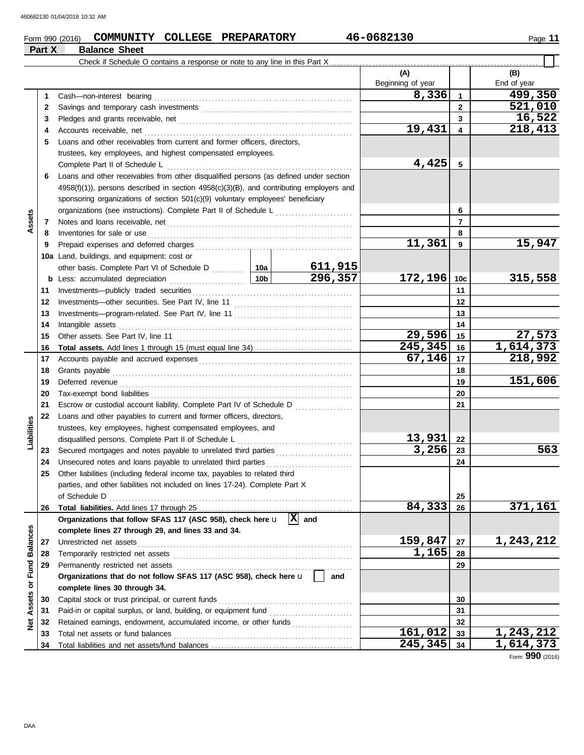### **Form 990 (2016) COMMUNITY COLLEGE PREPARATORY 46-0682130** Page 11 **Part X Balance Sheet**

 $\overline{\phantom{0}}$ 

|                              |    |                                                                                               |           | (A)<br>Beginning of year |                 | (B)<br>End of year |
|------------------------------|----|-----------------------------------------------------------------------------------------------|-----------|--------------------------|-----------------|--------------------|
|                              | 1  | Cash-non-interest bearing                                                                     |           | 8,336                    | $\mathbf{1}$    | 499,350            |
|                              | 2  |                                                                                               |           | $\mathbf{2}$             | 521,010         |                    |
|                              | 3  |                                                                                               |           | 3                        | 16,522          |                    |
|                              | 4  | Accounts receivable, net                                                                      |           | 19,431                   | 4               | 218,413            |
|                              | 5  | Loans and other receivables from current and former officers, directors,                      |           |                          |                 |                    |
|                              |    | trustees, key employees, and highest compensated employees.                                   |           |                          |                 |                    |
|                              |    | Complete Part II of Schedule L                                                                |           | 4,425                    | 5               |                    |
|                              | 6  | Loans and other receivables from other disqualified persons (as defined under section         |           |                          |                 |                    |
|                              |    | $4958(f)(1)$ ), persons described in section $4958(c)(3)(B)$ , and contributing employers and |           |                          |                 |                    |
|                              |    | sponsoring organizations of section 501(c)(9) voluntary employees' beneficiary                |           |                          |                 |                    |
|                              |    |                                                                                               |           |                          | 6               |                    |
| Assets                       | 7  |                                                                                               |           |                          | 7               |                    |
|                              | 8  | Inventories for sale or use                                                                   |           |                          | 8               |                    |
|                              | 9  |                                                                                               |           | 11,361                   | 9               | 15,947             |
|                              |    | 10a Land, buildings, and equipment: cost or                                                   |           |                          |                 |                    |
|                              |    | other basis. Complete Part VI of Schedule D    10a   611, 915                                 |           |                          |                 |                    |
|                              |    |                                                                                               | 296,357   | 172,196                  | 10 <sub>c</sub> | 315,558            |
|                              | 11 |                                                                                               |           |                          | 11              |                    |
|                              | 12 |                                                                                               |           |                          | 12              |                    |
|                              | 13 |                                                                                               |           |                          | 13              |                    |
|                              | 14 | Intangible assets                                                                             |           |                          | 14              |                    |
|                              | 15 |                                                                                               | 29,596    | 15                       | 27,573          |                    |
|                              | 16 |                                                                                               |           | 245,345                  | 16              | 1,614,373          |
|                              | 17 |                                                                                               |           | 67,146                   | 17              | 218,992            |
|                              | 18 |                                                                                               |           | 18                       |                 |                    |
|                              | 19 |                                                                                               |           |                          | 19              | 151,606            |
|                              | 20 |                                                                                               |           |                          | 20              |                    |
|                              | 21 | Escrow or custodial account liability. Complete Part IV of Schedule D                         |           |                          | 21              |                    |
|                              | 22 | Loans and other payables to current and former officers, directors,                           |           |                          |                 |                    |
| Liabilities                  |    | trustees, key employees, highest compensated employees, and                                   |           |                          |                 |                    |
|                              |    | disqualified persons. Complete Part II of Schedule L                                          |           | 13,931                   | 22              |                    |
|                              | 23 |                                                                                               | 3,256     | 23                       | 563             |                    |
|                              | 24 | Unsecured notes and loans payable to unrelated third parties                                  |           |                          | 24              |                    |
|                              | 25 | Other liabilities (including federal income tax, payables to related third                    |           |                          |                 |                    |
|                              |    | parties, and other liabilities not included on lines 17-24). Complete Part X                  |           |                          |                 |                    |
|                              |    |                                                                                               |           |                          | 25              |                    |
|                              | 26 |                                                                                               |           | 84,333                   | 26              | 371,161            |
|                              |    | Organizations that follow SFAS 117 (ASC 958), check here u                                    | $ X $ and |                          |                 |                    |
|                              |    | complete lines 27 through 29, and lines 33 and 34.                                            |           |                          |                 |                    |
|                              | 27 | Unrestricted net assets                                                                       |           | 159,847                  | 27              | 1,243,212          |
| <b>Balances</b>              | 28 |                                                                                               |           | 1,165                    | 28              |                    |
|                              | 29 | Permanently restricted net assets                                                             |           |                          | 29              |                    |
| Fund                         |    | Organizations that do not follow SFAS 117 (ASC 958), check here u                             | and       |                          |                 |                    |
| $\overleftarrow{\mathrm{o}}$ |    | complete lines 30 through 34.                                                                 |           |                          |                 |                    |
|                              | 30 | Capital stock or trust principal, or current funds                                            |           |                          | 30              |                    |
| Assets                       | 31 |                                                                                               |           |                          | 31              |                    |
|                              | 32 | Retained earnings, endowment, accumulated income, or other funds                              |           |                          | 32              |                    |
| ğ                            | 33 | Total net assets or fund balances                                                             |           | 161,012                  | 33              | 1,243,212          |
|                              | 34 |                                                                                               |           | $245, 345$ 34            |                 | 1,614,373          |
|                              |    |                                                                                               |           |                          |                 |                    |

Form **990** (2016)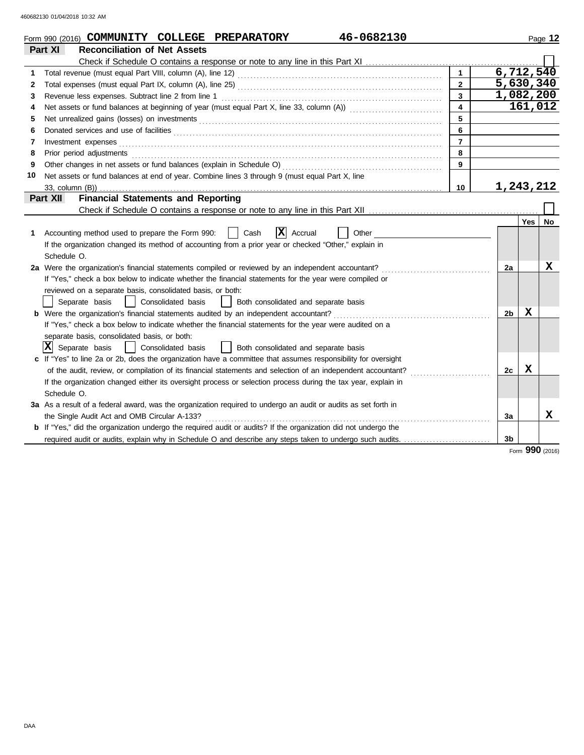|              | 46-0682130<br>Form 990 (2016) COMMUNITY COLLEGE PREPARATORY                                                                                                                                                                    |                         |                |           | Page 12 |
|--------------|--------------------------------------------------------------------------------------------------------------------------------------------------------------------------------------------------------------------------------|-------------------------|----------------|-----------|---------|
|              | Part XI<br><b>Reconciliation of Net Assets</b>                                                                                                                                                                                 |                         |                |           |         |
|              |                                                                                                                                                                                                                                |                         |                |           |         |
| 1            |                                                                                                                                                                                                                                | $\mathbf{1}$            |                | 6,712,540 |         |
| $\mathbf{2}$ |                                                                                                                                                                                                                                | $\overline{2}$          |                | 5,630,340 |         |
| 3            | Revenue less expenses. Subtract line 2 from line 1                                                                                                                                                                             | $\mathbf{3}$            |                | 1,082,200 |         |
| 4            |                                                                                                                                                                                                                                | $\overline{\mathbf{4}}$ |                | 161,012   |         |
| 5            |                                                                                                                                                                                                                                | 5                       |                |           |         |
| 6            | Donated services and use of facilities <b>constructs</b> and the service of the service of the services and use of facilities                                                                                                  | 6                       |                |           |         |
| 7            | Investment expenses                                                                                                                                                                                                            | $\overline{7}$          |                |           |         |
| 8            | Prior period adjustments entertainments and a series of the series of the series of the series of the series of the series of the series of the series of the series of the series of the series of the series of the series o | 8                       |                |           |         |
| 9            |                                                                                                                                                                                                                                | 9                       |                |           |         |
| 10           | Net assets or fund balances at end of year. Combine lines 3 through 9 (must equal Part X, line                                                                                                                                 |                         |                |           |         |
|              |                                                                                                                                                                                                                                | 10                      |                | 1,243,212 |         |
|              | <b>Financial Statements and Reporting</b><br>Part XII                                                                                                                                                                          |                         |                |           |         |
|              |                                                                                                                                                                                                                                |                         |                |           |         |
|              |                                                                                                                                                                                                                                |                         |                | Yes       | No.     |
| 1            | $ \mathbf{X} $ Accrual<br>Accounting method used to prepare the Form 990:<br>Cash<br>Other                                                                                                                                     |                         |                |           |         |
|              | If the organization changed its method of accounting from a prior year or checked "Other," explain in                                                                                                                          |                         |                |           |         |
|              | Schedule O.                                                                                                                                                                                                                    |                         |                |           |         |
|              | 2a Were the organization's financial statements compiled or reviewed by an independent accountant?                                                                                                                             |                         | 2a             |           | X       |
|              | If "Yes," check a box below to indicate whether the financial statements for the year were compiled or                                                                                                                         |                         |                |           |         |
|              | reviewed on a separate basis, consolidated basis, or both:                                                                                                                                                                     |                         |                |           |         |
|              | Separate basis<br>Consolidated basis<br>  Both consolidated and separate basis                                                                                                                                                 |                         |                |           |         |
|              | <b>b</b> Were the organization's financial statements audited by an independent accountant?                                                                                                                                    |                         | 2 <sub>b</sub> | X         |         |
|              | If "Yes," check a box below to indicate whether the financial statements for the year were audited on a                                                                                                                        |                         |                |           |         |
|              | separate basis, consolidated basis, or both:                                                                                                                                                                                   |                         |                |           |         |
|              | $ X $ Separate basis<br>Consolidated basis<br>  Both consolidated and separate basis                                                                                                                                           |                         |                |           |         |
|              | c If "Yes" to line 2a or 2b, does the organization have a committee that assumes responsibility for oversight                                                                                                                  |                         |                |           |         |
|              | of the audit, review, or compilation of its financial statements and selection of an independent accountant?                                                                                                                   |                         | 2c             | х         |         |
|              | If the organization changed either its oversight process or selection process during the tax year, explain in                                                                                                                  |                         |                |           |         |
|              | Schedule O.                                                                                                                                                                                                                    |                         |                |           |         |
|              | 3a As a result of a federal award, was the organization required to undergo an audit or audits as set forth in                                                                                                                 |                         |                |           |         |
|              | the Single Audit Act and OMB Circular A-133?                                                                                                                                                                                   |                         | 3a             |           | х       |
|              | <b>b</b> If "Yes," did the organization undergo the required audit or audits? If the organization did not undergo the                                                                                                          |                         |                |           |         |
|              |                                                                                                                                                                                                                                |                         | 3b             |           |         |

Form **990** (2016)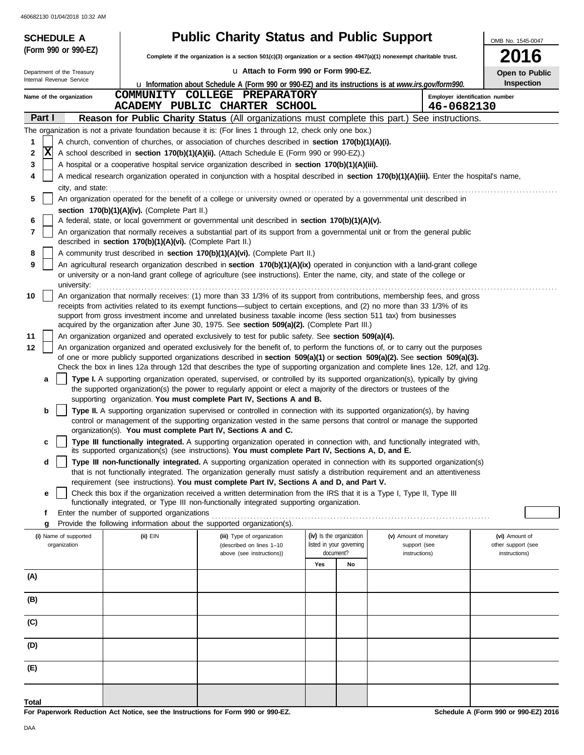| <b>SCHEDULE A</b>          |                                                            | <b>Public Charity Status and Public Support</b>                                                                                                                                                                    |                                       |                                                                                                                                                                                                                                                                | OMB No. 1545-0047                   |  |  |
|----------------------------|------------------------------------------------------------|--------------------------------------------------------------------------------------------------------------------------------------------------------------------------------------------------------------------|---------------------------------------|----------------------------------------------------------------------------------------------------------------------------------------------------------------------------------------------------------------------------------------------------------------|-------------------------------------|--|--|
| (Form 990 or 990-EZ)       |                                                            | 2016<br>Complete if the organization is a section 501(c)(3) organization or a section 4947(a)(1) nonexempt charitable trust.                                                                                       |                                       |                                                                                                                                                                                                                                                                |                                     |  |  |
| Department of the Treasury |                                                            | La Attach to Form 990 or Form 990-EZ.                                                                                                                                                                              |                                       |                                                                                                                                                                                                                                                                |                                     |  |  |
| Internal Revenue Service   |                                                            | <b>u</b> Information about Schedule A (Form 990 or 990-EZ) and its instructions is at www.irs.gov/form990.                                                                                                         |                                       |                                                                                                                                                                                                                                                                | Open to Public<br><b>Inspection</b> |  |  |
| Name of the organization   |                                                            | COMMUNITY COLLEGE PREPARATORY                                                                                                                                                                                      |                                       | Employer identification number                                                                                                                                                                                                                                 |                                     |  |  |
|                            |                                                            | ACADEMY PUBLIC CHARTER SCHOOL                                                                                                                                                                                      |                                       | 46-0682130                                                                                                                                                                                                                                                     |                                     |  |  |
| Part I                     |                                                            |                                                                                                                                                                                                                    |                                       | Reason for Public Charity Status (All organizations must complete this part.) See instructions.                                                                                                                                                                |                                     |  |  |
|                            |                                                            | The organization is not a private foundation because it is: (For lines 1 through 12, check only one box.)                                                                                                          |                                       |                                                                                                                                                                                                                                                                |                                     |  |  |
| 1                          |                                                            | A church, convention of churches, or association of churches described in section 170(b)(1)(A)(i).                                                                                                                 |                                       |                                                                                                                                                                                                                                                                |                                     |  |  |
| x<br>2                     |                                                            | A school described in section 170(b)(1)(A)(ii). (Attach Schedule E (Form 990 or 990-EZ).)                                                                                                                          |                                       |                                                                                                                                                                                                                                                                |                                     |  |  |
| 3                          |                                                            | A hospital or a cooperative hospital service organization described in section 170(b)(1)(A)(iii).                                                                                                                  |                                       |                                                                                                                                                                                                                                                                |                                     |  |  |
| 4                          |                                                            |                                                                                                                                                                                                                    |                                       | A medical research organization operated in conjunction with a hospital described in section 170(b)(1)(A)(iii). Enter the hospital's name,                                                                                                                     |                                     |  |  |
| city, and state:           |                                                            |                                                                                                                                                                                                                    |                                       |                                                                                                                                                                                                                                                                |                                     |  |  |
| 5                          | section 170(b)(1)(A)(iv). (Complete Part II.)              | An organization operated for the benefit of a college or university owned or operated by a governmental unit described in                                                                                          |                                       |                                                                                                                                                                                                                                                                |                                     |  |  |
| 6                          |                                                            | A federal, state, or local government or governmental unit described in section 170(b)(1)(A)(v).                                                                                                                   |                                       |                                                                                                                                                                                                                                                                |                                     |  |  |
| 7                          | described in section 170(b)(1)(A)(vi). (Complete Part II.) | An organization that normally receives a substantial part of its support from a governmental unit or from the general public                                                                                       |                                       |                                                                                                                                                                                                                                                                |                                     |  |  |
| 8                          |                                                            | A community trust described in section 170(b)(1)(A)(vi). (Complete Part II.)                                                                                                                                       |                                       |                                                                                                                                                                                                                                                                |                                     |  |  |
| 9                          |                                                            |                                                                                                                                                                                                                    |                                       | An agricultural research organization described in section 170(b)(1)(A)(ix) operated in conjunction with a land-grant college                                                                                                                                  |                                     |  |  |
| university:                |                                                            | or university or a non-land grant college of agriculture (see instructions). Enter the name, city, and state of the college or                                                                                     |                                       |                                                                                                                                                                                                                                                                |                                     |  |  |
| 10                         |                                                            |                                                                                                                                                                                                                    |                                       | An organization that normally receives: (1) more than 33 1/3% of its support from contributions, membership fees, and gross                                                                                                                                    |                                     |  |  |
|                            |                                                            | receipts from activities related to its exempt functions—subject to certain exceptions, and (2) no more than 33 1/3% of its                                                                                        |                                       |                                                                                                                                                                                                                                                                |                                     |  |  |
|                            |                                                            | support from gross investment income and unrelated business taxable income (less section 511 tax) from businesses<br>acquired by the organization after June 30, 1975. See section 509(a)(2). (Complete Part III.) |                                       |                                                                                                                                                                                                                                                                |                                     |  |  |
| 11                         |                                                            | An organization organized and operated exclusively to test for public safety. See section 509(a)(4).                                                                                                               |                                       |                                                                                                                                                                                                                                                                |                                     |  |  |
| 12                         |                                                            |                                                                                                                                                                                                                    |                                       | An organization organized and operated exclusively for the benefit of, to perform the functions of, or to carry out the purposes                                                                                                                               |                                     |  |  |
|                            |                                                            |                                                                                                                                                                                                                    |                                       | of one or more publicly supported organizations described in section 509(a)(1) or section 509(a)(2). See section 509(a)(3).<br>Check the box in lines 12a through 12d that describes the type of supporting organization and complete lines 12e, 12f, and 12g. |                                     |  |  |
| а                          |                                                            |                                                                                                                                                                                                                    |                                       | Type I. A supporting organization operated, supervised, or controlled by its supported organization(s), typically by giving                                                                                                                                    |                                     |  |  |
|                            |                                                            | the supported organization(s) the power to regularly appoint or elect a majority of the directors or trustees of the<br>supporting organization. You must complete Part IV, Sections A and B.                      |                                       |                                                                                                                                                                                                                                                                |                                     |  |  |
| b                          |                                                            | Type II. A supporting organization supervised or controlled in connection with its supported organization(s), by having                                                                                            |                                       |                                                                                                                                                                                                                                                                |                                     |  |  |
|                            |                                                            | organization(s). You must complete Part IV, Sections A and C.                                                                                                                                                      |                                       | control or management of the supporting organization vested in the same persons that control or manage the supported                                                                                                                                           |                                     |  |  |
| c                          |                                                            |                                                                                                                                                                                                                    |                                       | Type III functionally integrated. A supporting organization operated in connection with, and functionally integrated with,                                                                                                                                     |                                     |  |  |
|                            |                                                            | its supported organization(s) (see instructions). You must complete Part IV, Sections A, D, and E.                                                                                                                 |                                       |                                                                                                                                                                                                                                                                |                                     |  |  |
| d                          |                                                            |                                                                                                                                                                                                                    |                                       | Type III non-functionally integrated. A supporting organization operated in connection with its supported organization(s)<br>that is not functionally integrated. The organization generally must satisfy a distribution requirement and an attentiveness      |                                     |  |  |
|                            |                                                            | requirement (see instructions). You must complete Part IV, Sections A and D, and Part V.                                                                                                                           |                                       |                                                                                                                                                                                                                                                                |                                     |  |  |
| е                          |                                                            | Check this box if the organization received a written determination from the IRS that it is a Type I, Type II, Type III                                                                                            |                                       |                                                                                                                                                                                                                                                                |                                     |  |  |
| f                          | Enter the number of supported organizations                | functionally integrated, or Type III non-functionally integrated supporting organization.                                                                                                                          |                                       |                                                                                                                                                                                                                                                                |                                     |  |  |
| g                          |                                                            | Provide the following information about the supported organization(s).                                                                                                                                             |                                       |                                                                                                                                                                                                                                                                |                                     |  |  |
| (i) Name of supported      | $(ii)$ EIN                                                 | (iii) Type of organization                                                                                                                                                                                         | (iv) Is the organization              | (v) Amount of monetary                                                                                                                                                                                                                                         | (vi) Amount of                      |  |  |
| organization               |                                                            | (described on lines 1-10<br>above (see instructions))                                                                                                                                                              | listed in your governing<br>document? | support (see<br>instructions)                                                                                                                                                                                                                                  | other support (see<br>instructions) |  |  |
|                            |                                                            |                                                                                                                                                                                                                    | Yes<br>No                             |                                                                                                                                                                                                                                                                |                                     |  |  |
| (A)                        |                                                            |                                                                                                                                                                                                                    |                                       |                                                                                                                                                                                                                                                                |                                     |  |  |
|                            |                                                            |                                                                                                                                                                                                                    |                                       |                                                                                                                                                                                                                                                                |                                     |  |  |
| (B)                        |                                                            |                                                                                                                                                                                                                    |                                       |                                                                                                                                                                                                                                                                |                                     |  |  |
| (C)                        |                                                            |                                                                                                                                                                                                                    |                                       |                                                                                                                                                                                                                                                                |                                     |  |  |
| (D)                        |                                                            |                                                                                                                                                                                                                    |                                       |                                                                                                                                                                                                                                                                |                                     |  |  |
| (E)                        |                                                            |                                                                                                                                                                                                                    |                                       |                                                                                                                                                                                                                                                                |                                     |  |  |
|                            |                                                            |                                                                                                                                                                                                                    |                                       |                                                                                                                                                                                                                                                                |                                     |  |  |
| Total                      |                                                            |                                                                                                                                                                                                                    |                                       |                                                                                                                                                                                                                                                                |                                     |  |  |

**For Paperwork Reduction Act Notice, see the Instructions for Form 990 or 990-EZ.**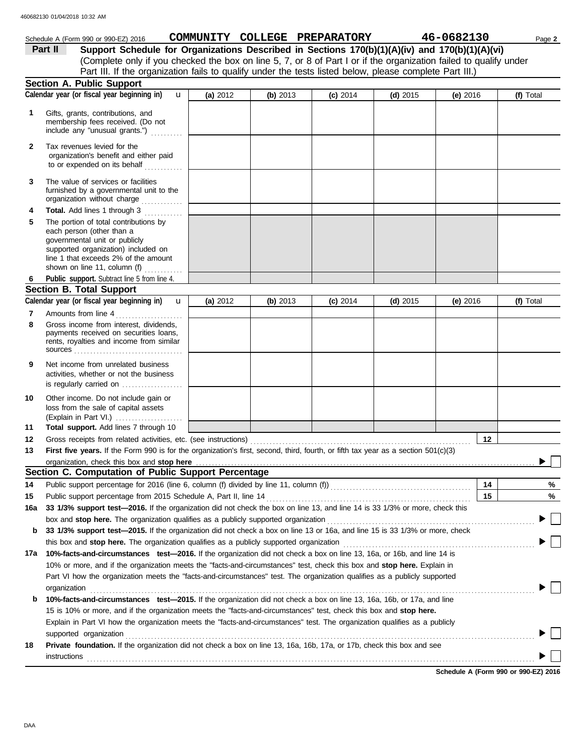|                                                                                                                                  | Schedule A (Form 990 or 990-EZ) 2016                                                                                                                                                                                        |          | COMMUNITY COLLEGE PREPARATORY |            |            | 46-0682130 | Page 2    |
|----------------------------------------------------------------------------------------------------------------------------------|-----------------------------------------------------------------------------------------------------------------------------------------------------------------------------------------------------------------------------|----------|-------------------------------|------------|------------|------------|-----------|
|                                                                                                                                  | Support Schedule for Organizations Described in Sections 170(b)(1)(A)(iv) and 170(b)(1)(A)(vi)<br>Part II                                                                                                                   |          |                               |            |            |            |           |
|                                                                                                                                  | (Complete only if you checked the box on line 5, 7, or 8 of Part I or if the organization failed to qualify under                                                                                                           |          |                               |            |            |            |           |
|                                                                                                                                  | Part III. If the organization fails to qualify under the tests listed below, please complete Part III.)                                                                                                                     |          |                               |            |            |            |           |
|                                                                                                                                  | <b>Section A. Public Support</b>                                                                                                                                                                                            |          |                               |            |            |            |           |
|                                                                                                                                  | Calendar year (or fiscal year beginning in)<br>$\mathbf{u}$                                                                                                                                                                 | (a) 2012 | (b) 2013                      | $(c)$ 2014 | $(d)$ 2015 | (e) $2016$ | (f) Total |
| 1                                                                                                                                | Gifts, grants, contributions, and<br>membership fees received. (Do not<br>include any "unusual grants.")                                                                                                                    |          |                               |            |            |            |           |
| $\mathbf{2}$                                                                                                                     | Tax revenues levied for the<br>organization's benefit and either paid<br>to or expended on its behalf                                                                                                                       |          |                               |            |            |            |           |
| 3                                                                                                                                | The value of services or facilities<br>furnished by a governmental unit to the<br>organization without charge                                                                                                               |          |                               |            |            |            |           |
| 4                                                                                                                                | Total. Add lines 1 through 3                                                                                                                                                                                                |          |                               |            |            |            |           |
| 5                                                                                                                                | The portion of total contributions by<br>each person (other than a<br>governmental unit or publicly<br>supported organization) included on<br>line 1 that exceeds 2% of the amount<br>shown on line 11, column (f) $\ldots$ |          |                               |            |            |            |           |
| 6                                                                                                                                | Public support. Subtract line 5 from line 4.                                                                                                                                                                                |          |                               |            |            |            |           |
|                                                                                                                                  | <b>Section B. Total Support</b>                                                                                                                                                                                             |          |                               |            |            |            |           |
|                                                                                                                                  | Calendar year (or fiscal year beginning in) <b>u</b>                                                                                                                                                                        | (a) 2012 | (b) 2013                      | $(c)$ 2014 | $(d)$ 2015 | (e) $2016$ | (f) Total |
| 7                                                                                                                                | Amounts from line 4                                                                                                                                                                                                         |          |                               |            |            |            |           |
| 8                                                                                                                                | Gross income from interest, dividends,<br>payments received on securities loans,<br>rents, royalties and income from similar                                                                                                |          |                               |            |            |            |           |
| 9                                                                                                                                | Net income from unrelated business<br>activities, whether or not the business<br>is regularly carried on                                                                                                                    |          |                               |            |            |            |           |
| 10                                                                                                                               | Other income. Do not include gain or<br>loss from the sale of capital assets<br>(Explain in Part VI.)                                                                                                                       |          |                               |            |            |            |           |
| 11                                                                                                                               | Total support. Add lines 7 through 10                                                                                                                                                                                       |          |                               |            |            |            |           |
| 12                                                                                                                               |                                                                                                                                                                                                                             |          |                               |            |            | 12         |           |
| 13                                                                                                                               | First five years. If the Form 990 is for the organization's first, second, third, fourth, or fifth tax year as a section 501(c)(3)                                                                                          |          |                               |            |            |            |           |
|                                                                                                                                  | organization, check this box and stop here                                                                                                                                                                                  |          |                               |            |            |            |           |
|                                                                                                                                  | Section C. Computation of Public Support Percentage                                                                                                                                                                         |          |                               |            |            |            |           |
| 14                                                                                                                               | Public support percentage for 2016 (line 6, column (f) divided by line 11, column (f)) [[[[[[[[[[[[[[[[[[[[[[                                                                                                               |          |                               |            |            | 14         | ℅         |
| 15                                                                                                                               | Public support percentage from 2015 Schedule A, Part II, line 14                                                                                                                                                            |          |                               |            |            | 15         | %         |
| 16a                                                                                                                              | 33 1/3% support test-2016. If the organization did not check the box on line 13, and line 14 is 33 1/3% or more, check this                                                                                                 |          |                               |            |            |            |           |
|                                                                                                                                  | box and stop here. The organization qualifies as a publicly supported organization                                                                                                                                          |          |                               |            |            |            |           |
| 33 1/3% support test-2015. If the organization did not check a box on line 13 or 16a, and line 15 is 33 1/3% or more, check<br>b |                                                                                                                                                                                                                             |          |                               |            |            |            |           |
| this box and stop here. The organization qualifies as a publicly supported organization                                          |                                                                                                                                                                                                                             |          |                               |            |            |            |           |
| 17a                                                                                                                              | 10%-facts-and-circumstances test-2016. If the organization did not check a box on line 13, 16a, or 16b, and line 14 is                                                                                                      |          |                               |            |            |            |           |
|                                                                                                                                  | 10% or more, and if the organization meets the "facts-and-circumstances" test, check this box and stop here. Explain in                                                                                                     |          |                               |            |            |            |           |
|                                                                                                                                  | Part VI how the organization meets the "facts-and-circumstances" test. The organization qualifies as a publicly supported                                                                                                   |          |                               |            |            |            |           |
|                                                                                                                                  | organization                                                                                                                                                                                                                |          |                               |            |            |            |           |
| b                                                                                                                                | 10%-facts-and-circumstances test-2015. If the organization did not check a box on line 13, 16a, 16b, or 17a, and line                                                                                                       |          |                               |            |            |            |           |
|                                                                                                                                  | 15 is 10% or more, and if the organization meets the "facts-and-circumstances" test, check this box and stop here.                                                                                                          |          |                               |            |            |            |           |
|                                                                                                                                  | Explain in Part VI how the organization meets the "facts-and-circumstances" test. The organization qualifies as a publicly                                                                                                  |          |                               |            |            |            |           |
|                                                                                                                                  | supported organization                                                                                                                                                                                                      |          |                               |            |            |            |           |
| 18                                                                                                                               | Private foundation. If the organization did not check a box on line 13, 16a, 16b, 17a, or 17b, check this box and see<br>instructions                                                                                       |          |                               |            |            |            |           |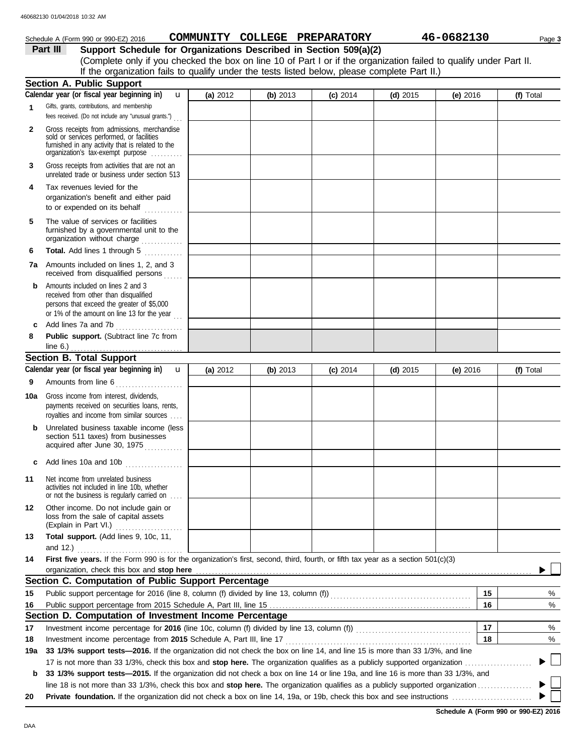#### **Part III Support Schedule for Organizations Described in Section 509(a)(2)** (Complete only if you checked the box on line 10 of Part I or if the organization failed to qualify under Part II. **1 2** Schedule A (Form 990 or 990-EZ) 2016 **COMMUNITY COLLEGE PREPARATORY** 46-0682130 Page 3 Gifts, grants, contributions, and membership fees received. (Do not include any "unusual grants.") . . . Gross receipts from admissions, merchandise sold or services performed, or facilities furnished in any activity that is related to the **Section A. Public Support** organization's tax-exempt purpose .......... **(a)** 2012 **(b)** 2013 **(c)** 2014 **(d)** 2015 **(e)** 2016 **(f)** Total **Calendar year (or fiscal year beginning in)**  If the organization fails to qualify under the tests listed below, please complete Part II.) u

| -3 | Gross receipts from activities that are not an |
|----|------------------------------------------------|
|    | unrelated trade or business under section 513  |

| 4 | Tax revenues levied for the            |
|---|----------------------------------------|
|   | organization's benefit and either paid |
|   | to or expended on its behalf           |

| 5 | The value of services or facilities     |  |  |  |  |
|---|-----------------------------------------|--|--|--|--|
|   | furnished by a governmental unit to the |  |  |  |  |
|   | organization without charge<br>.        |  |  |  |  |
| 6 | <b>Total.</b> Add lines 1 through 5     |  |  |  |  |

|    | .                                                                           |  |
|----|-----------------------------------------------------------------------------|--|
| 7а | Amounts included on lines 1, 2, and 3<br>received from disqualified persons |  |
|    |                                                                             |  |

| <b>b</b> Amounts included on lines 2 and 3<br>received from other than disqualified<br>persons that exceed the greater of \$5,000<br>or 1% of the amount on line 13 for the year |  |  |  |
|----------------------------------------------------------------------------------------------------------------------------------------------------------------------------------|--|--|--|
| .<br>c Add lines 7a and 7b                                                                                                                                                       |  |  |  |
|                                                                                                                                                                                  |  |  |  |

| 8 |             | <b>Public support.</b> (Subtract line 7c from |  |
|---|-------------|-----------------------------------------------|--|
|   | line $6.$ ) |                                               |  |

### **Section B. Total Support**

|                 | Calendar year (or fiscal year beginning in) $\mathbf u$                                                                                                                          | (a) 2012 | (b) 2013 | $(c)$ 2014 | $(d)$ 2015 | (e) 2016 | (f) Total             |
|-----------------|----------------------------------------------------------------------------------------------------------------------------------------------------------------------------------|----------|----------|------------|------------|----------|-----------------------|
| 9               | Amounts from line 6<br>.                                                                                                                                                         |          |          |            |            |          |                       |
| 10a             | Gross income from interest, dividends,<br>payments received on securities loans, rents,<br>royalties and income from similar sources                                             |          |          |            |            |          |                       |
| b               | Unrelated business taxable income (less<br>section 511 taxes) from businesses<br>acquired after June 30, 1975                                                                    |          |          |            |            |          |                       |
| C               | Add lines 10a and 10b                                                                                                                                                            |          |          |            |            |          |                       |
| 11              | Net income from unrelated business<br>activities not included in line 10b, whether<br>or not the business is regularly carried on                                                |          |          |            |            |          |                       |
| 12 <sup>°</sup> | Other income. Do not include gain or<br>loss from the sale of capital assets<br>(Explain in Part VI.)                                                                            |          |          |            |            |          |                       |
| 13              | Total support. (Add lines 9, 10c, 11,                                                                                                                                            |          |          |            |            |          |                       |
|                 | and 12.) $\qquad \qquad$                                                                                                                                                         |          |          |            |            |          |                       |
| 14              | First five years. If the Form 990 is for the organization's first, second, third, fourth, or fifth tax year as a section 501(c)(3)<br>organization, check this box and stop here |          |          |            |            |          |                       |
|                 | Section C. Computation of Public Support Percentage                                                                                                                              |          |          |            |            |          |                       |
| 15              | Public support percentage for 2016 (line 8, column (f) divided by line 13, column (f)) [[[[[[[[[[[[[[[[[[[[[[                                                                    |          |          |            |            | 15       | %                     |
| 16              |                                                                                                                                                                                  |          |          |            |            | 16       | %                     |
|                 | Section D. Computation of Investment Income Percentage                                                                                                                           |          |          |            |            |          |                       |
| 17              |                                                                                                                                                                                  |          |          |            |            | 17       | %                     |
| 18              | Investment income percentage from 2015 Schedule A, Part III, line 17                                                                                                             |          |          |            |            | 18       | %                     |
| 19a             | 33 1/3% support tests—2016. If the organization did not check the box on line 14, and line 15 is more than 33 1/3%, and line                                                     |          |          |            |            |          |                       |
|                 | 17 is not more than 33 1/3%, check this box and stop here. The organization qualifies as a publicly supported organization                                                       |          |          |            |            |          | $\blacktriangleright$ |
| b               | 33 1/3% support tests-2015. If the organization did not check a box on line 14 or line 19a, and line 16 is more than 33 1/3%, and                                                |          |          |            |            |          |                       |
|                 |                                                                                                                                                                                  |          |          |            |            |          | $\blacktriangleright$ |
| 20              |                                                                                                                                                                                  |          |          |            |            |          |                       |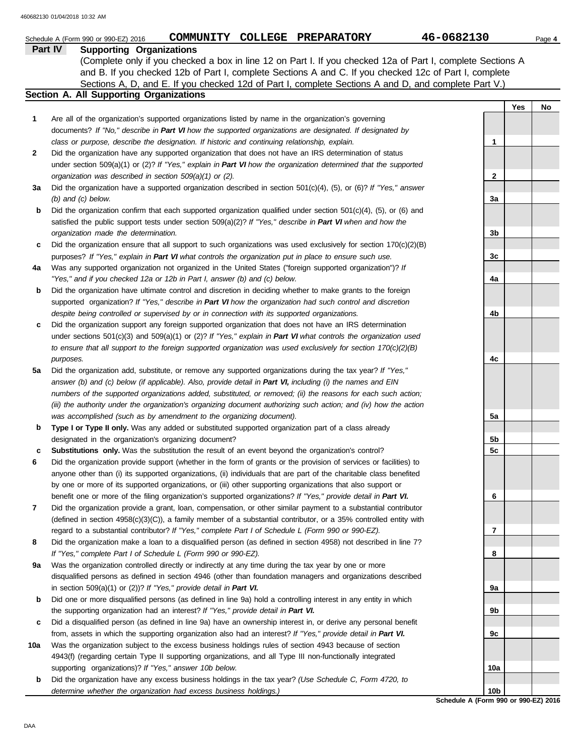|     | 46-0682130<br>COMMUNITY COLLEGE PREPARATORY<br>Schedule A (Form 990 or 990-EZ) 2016                                                                                                                                                                                                                                                                                         |                 |     | Page 4 |
|-----|-----------------------------------------------------------------------------------------------------------------------------------------------------------------------------------------------------------------------------------------------------------------------------------------------------------------------------------------------------------------------------|-----------------|-----|--------|
|     | Part IV<br><b>Supporting Organizations</b><br>(Complete only if you checked a box in line 12 on Part I. If you checked 12a of Part I, complete Sections A<br>and B. If you checked 12b of Part I, complete Sections A and C. If you checked 12c of Part I, complete<br>Sections A, D, and E. If you checked 12d of Part I, complete Sections A and D, and complete Part V.) |                 |     |        |
|     | <b>Section A. All Supporting Organizations</b>                                                                                                                                                                                                                                                                                                                              |                 |     |        |
| 1   | Are all of the organization's supported organizations listed by name in the organization's governing                                                                                                                                                                                                                                                                        |                 | Yes | No     |
|     | documents? If "No," describe in Part VI how the supported organizations are designated. If designated by<br>class or purpose, describe the designation. If historic and continuing relationship, explain.                                                                                                                                                                   | 1               |     |        |
| 2   | Did the organization have any supported organization that does not have an IRS determination of status                                                                                                                                                                                                                                                                      |                 |     |        |
|     | under section 509(a)(1) or (2)? If "Yes," explain in Part VI how the organization determined that the supported                                                                                                                                                                                                                                                             |                 |     |        |
|     | organization was described in section 509(a)(1) or (2).                                                                                                                                                                                                                                                                                                                     | 2               |     |        |
| За  | Did the organization have a supported organization described in section $501(c)(4)$ , (5), or (6)? If "Yes," answer                                                                                                                                                                                                                                                         |                 |     |        |
|     | $(b)$ and $(c)$ below.                                                                                                                                                                                                                                                                                                                                                      | 3a              |     |        |
| b   | Did the organization confirm that each supported organization qualified under section $501(c)(4)$ , $(5)$ , or $(6)$ and<br>satisfied the public support tests under section 509(a)(2)? If "Yes," describe in Part VI when and how the                                                                                                                                      |                 |     |        |
|     | organization made the determination.                                                                                                                                                                                                                                                                                                                                        | 3b              |     |        |
| c   | Did the organization ensure that all support to such organizations was used exclusively for section $170(c)(2)(B)$                                                                                                                                                                                                                                                          |                 |     |        |
|     | purposes? If "Yes," explain in Part VI what controls the organization put in place to ensure such use.                                                                                                                                                                                                                                                                      | 3c              |     |        |
| 4a  | Was any supported organization not organized in the United States ("foreign supported organization")? If                                                                                                                                                                                                                                                                    |                 |     |        |
|     | "Yes," and if you checked 12a or 12b in Part I, answer (b) and (c) below.                                                                                                                                                                                                                                                                                                   | 4a              |     |        |
| b   | Did the organization have ultimate control and discretion in deciding whether to make grants to the foreign                                                                                                                                                                                                                                                                 |                 |     |        |
|     | supported organization? If "Yes," describe in Part VI how the organization had such control and discretion                                                                                                                                                                                                                                                                  |                 |     |        |
|     | despite being controlled or supervised by or in connection with its supported organizations.                                                                                                                                                                                                                                                                                | 4b              |     |        |
| c   | Did the organization support any foreign supported organization that does not have an IRS determination<br>under sections $501(c)(3)$ and $509(a)(1)$ or (2)? If "Yes," explain in Part VI what controls the organization used                                                                                                                                              |                 |     |        |
|     | to ensure that all support to the foreign supported organization was used exclusively for section $170(c)(2)(B)$                                                                                                                                                                                                                                                            |                 |     |        |
|     | purposes.                                                                                                                                                                                                                                                                                                                                                                   | 4с              |     |        |
| 5a  | Did the organization add, substitute, or remove any supported organizations during the tax year? If "Yes,"                                                                                                                                                                                                                                                                  |                 |     |        |
|     | answer (b) and (c) below (if applicable). Also, provide detail in Part VI, including (i) the names and EIN                                                                                                                                                                                                                                                                  |                 |     |        |
|     | numbers of the supported organizations added, substituted, or removed; (ii) the reasons for each such action;                                                                                                                                                                                                                                                               |                 |     |        |
|     | (iii) the authority under the organization's organizing document authorizing such action; and (iv) how the action                                                                                                                                                                                                                                                           |                 |     |        |
|     | was accomplished (such as by amendment to the organizing document).                                                                                                                                                                                                                                                                                                         | 5a              |     |        |
| b   | Type I or Type II only. Was any added or substituted supported organization part of a class already<br>designated in the organization's organizing document?                                                                                                                                                                                                                | 5b              |     |        |
| c   | Substitutions only. Was the substitution the result of an event beyond the organization's control?                                                                                                                                                                                                                                                                          | 5c              |     |        |
| 6   | Did the organization provide support (whether in the form of grants or the provision of services or facilities) to                                                                                                                                                                                                                                                          |                 |     |        |
|     | anyone other than (i) its supported organizations, (ii) individuals that are part of the charitable class benefited                                                                                                                                                                                                                                                         |                 |     |        |
|     | by one or more of its supported organizations, or (iii) other supporting organizations that also support or                                                                                                                                                                                                                                                                 |                 |     |        |
|     | benefit one or more of the filing organization's supported organizations? If "Yes," provide detail in Part VI.                                                                                                                                                                                                                                                              | 6               |     |        |
| 7   | Did the organization provide a grant, loan, compensation, or other similar payment to a substantial contributor                                                                                                                                                                                                                                                             |                 |     |        |
|     | (defined in section $4958(c)(3)(C)$ ), a family member of a substantial contributor, or a 35% controlled entity with                                                                                                                                                                                                                                                        |                 |     |        |
| 8   | regard to a substantial contributor? If "Yes," complete Part I of Schedule L (Form 990 or 990-EZ).<br>Did the organization make a loan to a disqualified person (as defined in section 4958) not described in line 7?                                                                                                                                                       | 7               |     |        |
|     | If "Yes," complete Part I of Schedule L (Form 990 or 990-EZ).                                                                                                                                                                                                                                                                                                               | 8               |     |        |
| 9а  | Was the organization controlled directly or indirectly at any time during the tax year by one or more                                                                                                                                                                                                                                                                       |                 |     |        |
|     | disqualified persons as defined in section 4946 (other than foundation managers and organizations described                                                                                                                                                                                                                                                                 |                 |     |        |
|     | in section $509(a)(1)$ or $(2)$ ? If "Yes," provide detail in Part VI.                                                                                                                                                                                                                                                                                                      | 9a              |     |        |
| b   | Did one or more disqualified persons (as defined in line 9a) hold a controlling interest in any entity in which                                                                                                                                                                                                                                                             |                 |     |        |
|     | the supporting organization had an interest? If "Yes," provide detail in Part VI.                                                                                                                                                                                                                                                                                           | 9b              |     |        |
| c   | Did a disqualified person (as defined in line 9a) have an ownership interest in, or derive any personal benefit                                                                                                                                                                                                                                                             |                 |     |        |
|     | from, assets in which the supporting organization also had an interest? If "Yes," provide detail in Part VI.                                                                                                                                                                                                                                                                | 9c              |     |        |
| 10a | Was the organization subject to the excess business holdings rules of section 4943 because of section<br>4943(f) (regarding certain Type II supporting organizations, and all Type III non-functionally integrated                                                                                                                                                          |                 |     |        |
|     | supporting organizations)? If "Yes," answer 10b below.                                                                                                                                                                                                                                                                                                                      | 10a             |     |        |
| b   | Did the organization have any excess business holdings in the tax year? (Use Schedule C, Form 4720, to                                                                                                                                                                                                                                                                      |                 |     |        |
|     | determine whether the organization had excess business holdings.)                                                                                                                                                                                                                                                                                                           | 10 <sub>b</sub> |     |        |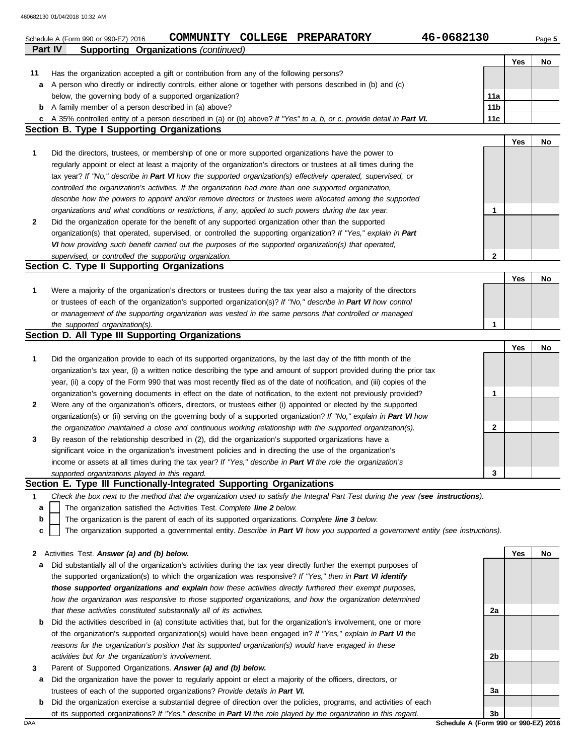|              | COMMUNITY COLLEGE PREPARATORY<br>Schedule A (Form 990 or 990-EZ) 2016                                                             | 46-0682130      |     | Page 5 |
|--------------|-----------------------------------------------------------------------------------------------------------------------------------|-----------------|-----|--------|
|              | Part IV<br><b>Supporting Organizations (continued)</b>                                                                            |                 |     |        |
|              |                                                                                                                                   |                 | Yes | No     |
| 11           | Has the organization accepted a gift or contribution from any of the following persons?                                           |                 |     |        |
| a            | A person who directly or indirectly controls, either alone or together with persons described in (b) and (c)                      |                 |     |        |
|              | below, the governing body of a supported organization?                                                                            | 11a             |     |        |
|              | <b>b</b> A family member of a person described in (a) above?                                                                      | 11 <sub>b</sub> |     |        |
| c            | A 35% controlled entity of a person described in (a) or (b) above? If "Yes" to a, b, or c, provide detail in Part VI.             | 11c             |     |        |
|              | <b>Section B. Type I Supporting Organizations</b>                                                                                 |                 |     |        |
|              |                                                                                                                                   |                 | Yes | No     |
| 1            | Did the directors, trustees, or membership of one or more supported organizations have the power to                               |                 |     |        |
|              | regularly appoint or elect at least a majority of the organization's directors or trustees at all times during the                |                 |     |        |
|              | tax year? If "No," describe in Part VI how the supported organization(s) effectively operated, supervised, or                     |                 |     |        |
|              | controlled the organization's activities. If the organization had more than one supported organization,                           |                 |     |        |
|              | describe how the powers to appoint and/or remove directors or trustees were allocated among the supported                         |                 |     |        |
|              | organizations and what conditions or restrictions, if any, applied to such powers during the tax year.                            | 1               |     |        |
| 2            | Did the organization operate for the benefit of any supported organization other than the supported                               |                 |     |        |
|              | organization(s) that operated, supervised, or controlled the supporting organization? If "Yes," explain in Part                   |                 |     |        |
|              | VI how providing such benefit carried out the purposes of the supported organization(s) that operated,                            |                 |     |        |
|              | supervised, or controlled the supporting organization.                                                                            | $\mathbf{2}$    |     |        |
|              | Section C. Type II Supporting Organizations                                                                                       |                 |     |        |
|              |                                                                                                                                   |                 | Yes | No     |
| 1            | Were a majority of the organization's directors or trustees during the tax year also a majority of the directors                  |                 |     |        |
|              | or trustees of each of the organization's supported organization(s)? If "No," describe in Part VI how control                     |                 |     |        |
|              | or management of the supporting organization was vested in the same persons that controlled or managed                            |                 |     |        |
|              | the supported organization(s).                                                                                                    | 1               |     |        |
|              | Section D. All Type III Supporting Organizations                                                                                  |                 |     |        |
|              |                                                                                                                                   |                 | Yes | No     |
| 1            | Did the organization provide to each of its supported organizations, by the last day of the fifth month of the                    |                 |     |        |
|              | organization's tax year, (i) a written notice describing the type and amount of support provided during the prior tax             |                 |     |        |
|              | year, (ii) a copy of the Form 990 that was most recently filed as of the date of notification, and (iii) copies of the            |                 |     |        |
|              | organization's governing documents in effect on the date of notification, to the extent not previously provided?                  | 1               |     |        |
| 2            | Were any of the organization's officers, directors, or trustees either (i) appointed or elected by the supported                  |                 |     |        |
|              | organization(s) or (ii) serving on the governing body of a supported organization? If "No," explain in Part VI how                |                 |     |        |
|              | the organization maintained a close and continuous working relationship with the supported organization(s).                       | 2               |     |        |
| 3            | By reason of the relationship described in (2), did the organization's supported organizations have a                             |                 |     |        |
|              | significant voice in the organization's investment policies and in directing the use of the organization's                        |                 |     |        |
|              | income or assets at all times during the tax year? If "Yes," describe in Part VI the role the organization's                      |                 |     |        |
|              | supported organizations played in this regard.                                                                                    | 3               |     |        |
|              | Section E. Type III Functionally-Integrated Supporting Organizations                                                              |                 |     |        |
| 1            | Check the box next to the method that the organization used to satisfy the Integral Part Test during the year (see instructions). |                 |     |        |
| а            | The organization satisfied the Activities Test. Complete line 2 below.                                                            |                 |     |        |
| b            | The organization is the parent of each of its supported organizations. Complete line 3 below.                                     |                 |     |        |
| c            | The organization supported a governmental entity. Describe in Part VI how you supported a government entity (see instructions).   |                 |     |        |
|              |                                                                                                                                   |                 |     |        |
| $\mathbf{z}$ | Activities Test. Answer (a) and (b) below.                                                                                        |                 | Yes | No     |
| а            | Did substantially all of the organization's activities during the tax year directly further the exempt purposes of                |                 |     |        |
|              | the supported organization(s) to which the organization was responsive? If "Yes," then in Part VI identify                        |                 |     |        |
|              | those supported organizations and explain how these activities directly furthered their exempt purposes,                          |                 |     |        |
|              | how the organization was responsive to those supported organizations, and how the organization determined                         |                 |     |        |
|              | that these activities constituted substantially all of its activities.                                                            | 2a              |     |        |
| b            | Did the activities described in (a) constitute activities that, but for the organization's involvement, one or more               |                 |     |        |
|              | of the organization's supported organization(s) would have been engaged in? If "Yes," explain in Part VI the                      |                 |     |        |
|              | reasons for the organization's position that its supported organization(s) would have engaged in these                            |                 |     |        |
|              | activities but for the organization's involvement.                                                                                | 2b              |     |        |
| 3            | Parent of Supported Organizations. Answer (a) and (b) below.                                                                      |                 |     |        |
| а            | Did the organization have the power to regularly appoint or elect a majority of the officers, directors, or                       |                 |     |        |

DAA **Schedule A (Form 990 or 990-EZ) 2016 3b**

**3a**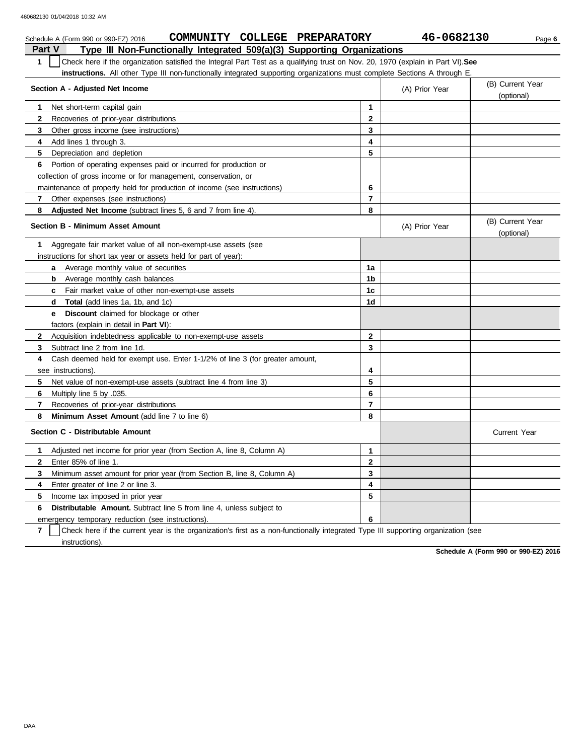|               | COMMUNITY COLLEGE PREPARATORY<br>Schedule A (Form 990 or 990-EZ) 2016                                                            |                         | 46-0682130     | Page 6                         |  |  |  |  |  |
|---------------|----------------------------------------------------------------------------------------------------------------------------------|-------------------------|----------------|--------------------------------|--|--|--|--|--|
| <b>Part V</b> | Type III Non-Functionally Integrated 509(a)(3) Supporting Organizations                                                          |                         |                |                                |  |  |  |  |  |
| $\mathbf{1}$  | Check here if the organization satisfied the Integral Part Test as a qualifying trust on Nov. 20, 1970 (explain in Part VI). See |                         |                |                                |  |  |  |  |  |
|               | instructions. All other Type III non-functionally integrated supporting organizations must complete Sections A through E.        |                         |                |                                |  |  |  |  |  |
|               |                                                                                                                                  |                         |                | (B) Current Year               |  |  |  |  |  |
|               | Section A - Adjusted Net Income                                                                                                  |                         | (A) Prior Year | (optional)                     |  |  |  |  |  |
| 1             | Net short-term capital gain                                                                                                      | 1                       |                |                                |  |  |  |  |  |
| $\mathbf{2}$  | Recoveries of prior-year distributions                                                                                           | $\mathbf{2}$            |                |                                |  |  |  |  |  |
| 3             | Other gross income (see instructions)                                                                                            | 3                       |                |                                |  |  |  |  |  |
| 4             | Add lines 1 through 3.                                                                                                           | 4                       |                |                                |  |  |  |  |  |
| 5             | Depreciation and depletion                                                                                                       | 5                       |                |                                |  |  |  |  |  |
| 6             | Portion of operating expenses paid or incurred for production or                                                                 |                         |                |                                |  |  |  |  |  |
|               | collection of gross income or for management, conservation, or                                                                   |                         |                |                                |  |  |  |  |  |
|               | maintenance of property held for production of income (see instructions)                                                         | 6                       |                |                                |  |  |  |  |  |
| 7             | Other expenses (see instructions)                                                                                                | $\overline{7}$          |                |                                |  |  |  |  |  |
| 8             | Adjusted Net Income (subtract lines 5, 6 and 7 from line 4).                                                                     | 8                       |                |                                |  |  |  |  |  |
|               | <b>Section B - Minimum Asset Amount</b>                                                                                          |                         | (A) Prior Year | (B) Current Year<br>(optional) |  |  |  |  |  |
| 1             | Aggregate fair market value of all non-exempt-use assets (see                                                                    |                         |                |                                |  |  |  |  |  |
|               | instructions for short tax year or assets held for part of year):                                                                |                         |                |                                |  |  |  |  |  |
|               | Average monthly value of securities<br>a                                                                                         | 1a                      |                |                                |  |  |  |  |  |
|               | Average monthly cash balances<br>b                                                                                               | 1 <sub>b</sub>          |                |                                |  |  |  |  |  |
|               | Fair market value of other non-exempt-use assets<br>$\mathbf{c}$                                                                 | 1c                      |                |                                |  |  |  |  |  |
|               | <b>d</b> Total (add lines 1a, 1b, and 1c)                                                                                        | 1d                      |                |                                |  |  |  |  |  |
|               | <b>Discount</b> claimed for blockage or other<br>e.                                                                              |                         |                |                                |  |  |  |  |  |
|               | factors (explain in detail in Part VI):                                                                                          |                         |                |                                |  |  |  |  |  |
| $\mathbf{2}$  | Acquisition indebtedness applicable to non-exempt-use assets                                                                     | $\mathbf{2}$            |                |                                |  |  |  |  |  |
| 3             | Subtract line 2 from line 1d.                                                                                                    | 3                       |                |                                |  |  |  |  |  |
| 4             | Cash deemed held for exempt use. Enter 1-1/2% of line 3 (for greater amount,                                                     |                         |                |                                |  |  |  |  |  |
|               | see instructions).                                                                                                               | 4                       |                |                                |  |  |  |  |  |
| 5             | Net value of non-exempt-use assets (subtract line 4 from line 3)                                                                 | 5                       |                |                                |  |  |  |  |  |
| 6             | Multiply line 5 by .035.                                                                                                         | 6                       |                |                                |  |  |  |  |  |
| 7             | Recoveries of prior-year distributions                                                                                           | $\overline{\mathbf{r}}$ |                |                                |  |  |  |  |  |
| 8             | Minimum Asset Amount (add line 7 to line 6)                                                                                      | 8                       |                |                                |  |  |  |  |  |
|               | Section C - Distributable Amount                                                                                                 |                         |                | <b>Current Year</b>            |  |  |  |  |  |
| 1             | Adjusted net income for prior year (from Section A, line 8, Column A)                                                            | 1                       |                |                                |  |  |  |  |  |
| $\mathbf{2}$  | Enter 85% of line 1.                                                                                                             | 2                       |                |                                |  |  |  |  |  |
| 3             | Minimum asset amount for prior year (from Section B, line 8, Column A)                                                           | 3                       |                |                                |  |  |  |  |  |
| 4             | Enter greater of line 2 or line 3.                                                                                               | 4                       |                |                                |  |  |  |  |  |
| 5             | Income tax imposed in prior year                                                                                                 | 5                       |                |                                |  |  |  |  |  |
| 6             | <b>Distributable Amount.</b> Subtract line 5 from line 4, unless subject to                                                      |                         |                |                                |  |  |  |  |  |
|               | emergency temporary reduction (see instructions).                                                                                | 6                       |                |                                |  |  |  |  |  |

**7** instructions). Check here if the current year is the organization's first as a non-functionally integrated Type III supporting organization (see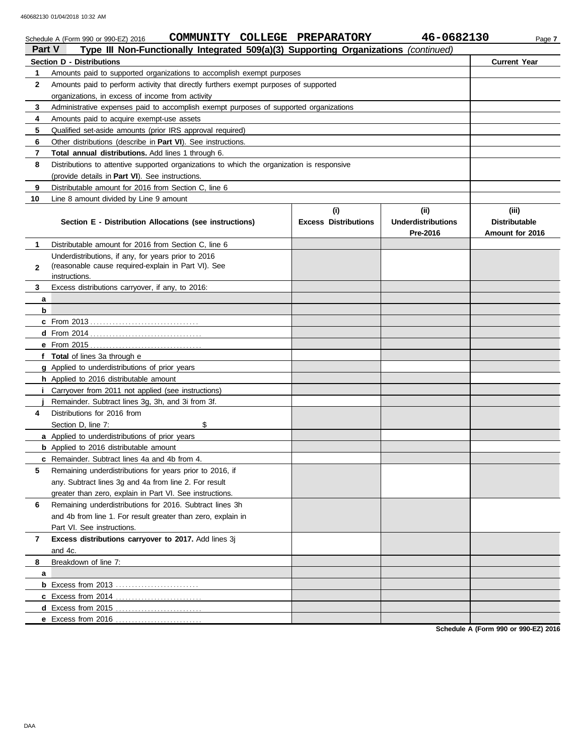| Part V       | COMMUNITY COLLEGE PREPARATORY<br>Schedule A (Form 990 or 990-EZ) 2016<br>Type III Non-Functionally Integrated 509(a)(3) Supporting Organizations (continued) |                                    | 46-0682130                                    | Page 7                                           |
|--------------|--------------------------------------------------------------------------------------------------------------------------------------------------------------|------------------------------------|-----------------------------------------------|--------------------------------------------------|
|              | <b>Section D - Distributions</b>                                                                                                                             |                                    |                                               | <b>Current Year</b>                              |
| 1            | Amounts paid to supported organizations to accomplish exempt purposes                                                                                        |                                    |                                               |                                                  |
| $\mathbf{2}$ | Amounts paid to perform activity that directly furthers exempt purposes of supported                                                                         |                                    |                                               |                                                  |
|              | organizations, in excess of income from activity                                                                                                             |                                    |                                               |                                                  |
| 3            | Administrative expenses paid to accomplish exempt purposes of supported organizations                                                                        |                                    |                                               |                                                  |
| 4            | Amounts paid to acquire exempt-use assets                                                                                                                    |                                    |                                               |                                                  |
| 5            | Qualified set-aside amounts (prior IRS approval required)                                                                                                    |                                    |                                               |                                                  |
| 6            | Other distributions (describe in Part VI). See instructions.                                                                                                 |                                    |                                               |                                                  |
| 7            | Total annual distributions. Add lines 1 through 6.                                                                                                           |                                    |                                               |                                                  |
| 8            | Distributions to attentive supported organizations to which the organization is responsive                                                                   |                                    |                                               |                                                  |
|              | (provide details in Part VI). See instructions.                                                                                                              |                                    |                                               |                                                  |
| 9            | Distributable amount for 2016 from Section C, line 6                                                                                                         |                                    |                                               |                                                  |
| 10           | Line 8 amount divided by Line 9 amount                                                                                                                       |                                    |                                               |                                                  |
|              | Section E - Distribution Allocations (see instructions)                                                                                                      | (i)<br><b>Excess Distributions</b> | (ii)<br><b>Underdistributions</b><br>Pre-2016 | (iii)<br><b>Distributable</b><br>Amount for 2016 |
| 1            | Distributable amount for 2016 from Section C, line 6                                                                                                         |                                    |                                               |                                                  |
|              | Underdistributions, if any, for years prior to 2016                                                                                                          |                                    |                                               |                                                  |
| $\mathbf{2}$ | (reasonable cause required-explain in Part VI). See<br>instructions.                                                                                         |                                    |                                               |                                                  |
| 3            | Excess distributions carryover, if any, to 2016:                                                                                                             |                                    |                                               |                                                  |
| a            |                                                                                                                                                              |                                    |                                               |                                                  |
| b            |                                                                                                                                                              |                                    |                                               |                                                  |
|              |                                                                                                                                                              |                                    |                                               |                                                  |
|              |                                                                                                                                                              |                                    |                                               |                                                  |
|              |                                                                                                                                                              |                                    |                                               |                                                  |
|              | f Total of lines 3a through e                                                                                                                                |                                    |                                               |                                                  |
|              | <b>g</b> Applied to underdistributions of prior years                                                                                                        |                                    |                                               |                                                  |
|              | h Applied to 2016 distributable amount                                                                                                                       |                                    |                                               |                                                  |
|              | <i>i</i> Carryover from 2011 not applied (see instructions)                                                                                                  |                                    |                                               |                                                  |
|              | Remainder. Subtract lines 3g, 3h, and 3i from 3f.                                                                                                            |                                    |                                               |                                                  |
| 4            | Distributions for 2016 from                                                                                                                                  |                                    |                                               |                                                  |
|              | Section D. line 7:<br>\$                                                                                                                                     |                                    |                                               |                                                  |
|              | a Applied to underdistributions of prior years                                                                                                               |                                    |                                               |                                                  |
|              | <b>b</b> Applied to 2016 distributable amount                                                                                                                |                                    |                                               |                                                  |
|              | c Remainder. Subtract lines 4a and 4b from 4.                                                                                                                |                                    |                                               |                                                  |
| 5            | Remaining underdistributions for years prior to 2016, if                                                                                                     |                                    |                                               |                                                  |
|              | any. Subtract lines 3g and 4a from line 2. For result                                                                                                        |                                    |                                               |                                                  |
|              | greater than zero, explain in Part VI. See instructions.                                                                                                     |                                    |                                               |                                                  |
| 6            | Remaining underdistributions for 2016. Subtract lines 3h                                                                                                     |                                    |                                               |                                                  |
|              | and 4b from line 1. For result greater than zero, explain in                                                                                                 |                                    |                                               |                                                  |
|              | Part VI. See instructions.                                                                                                                                   |                                    |                                               |                                                  |
| 7            | Excess distributions carryover to 2017. Add lines 3j                                                                                                         |                                    |                                               |                                                  |
|              | and 4c.                                                                                                                                                      |                                    |                                               |                                                  |
| 8            | Breakdown of line 7:                                                                                                                                         |                                    |                                               |                                                  |
| а            |                                                                                                                                                              |                                    |                                               |                                                  |
|              |                                                                                                                                                              |                                    |                                               |                                                  |
|              | c Excess from 2014                                                                                                                                           |                                    |                                               |                                                  |
|              |                                                                                                                                                              |                                    |                                               |                                                  |
|              | e Excess from 2016                                                                                                                                           |                                    |                                               |                                                  |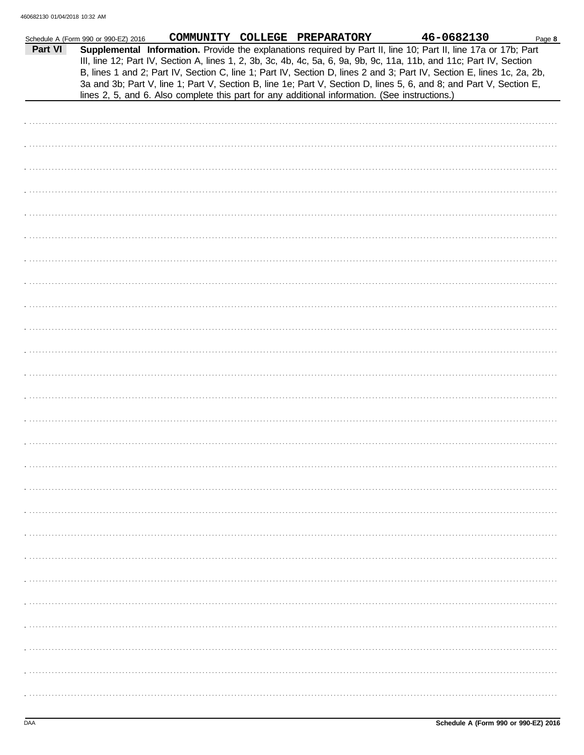|         | Schedule A (Form 990 or 990-EZ) 2016 | COMMUNITY COLLEGE PREPARATORY |                                                                                                | 46-0682130                                                                                                                                                                                                                                                                                                                                                                                                                                                                               | Page 8 |
|---------|--------------------------------------|-------------------------------|------------------------------------------------------------------------------------------------|------------------------------------------------------------------------------------------------------------------------------------------------------------------------------------------------------------------------------------------------------------------------------------------------------------------------------------------------------------------------------------------------------------------------------------------------------------------------------------------|--------|
| Part VI |                                      |                               |                                                                                                | Supplemental Information. Provide the explanations required by Part II, line 10; Part II, line 17a or 17b; Part<br>III, line 12; Part IV, Section A, lines 1, 2, 3b, 3c, 4b, 4c, 5a, 6, 9a, 9b, 9c, 11a, 11b, and 11c; Part IV, Section<br>B, lines 1 and 2; Part IV, Section C, line 1; Part IV, Section D, lines 2 and 3; Part IV, Section E, lines 1c, 2a, 2b,<br>3a and 3b; Part V, line 1; Part V, Section B, line 1e; Part V, Section D, lines 5, 6, and 8; and Part V, Section E, |        |
|         |                                      |                               | lines 2, 5, and 6. Also complete this part for any additional information. (See instructions.) |                                                                                                                                                                                                                                                                                                                                                                                                                                                                                          |        |
|         |                                      |                               |                                                                                                |                                                                                                                                                                                                                                                                                                                                                                                                                                                                                          |        |
|         |                                      |                               |                                                                                                |                                                                                                                                                                                                                                                                                                                                                                                                                                                                                          |        |
|         |                                      |                               |                                                                                                |                                                                                                                                                                                                                                                                                                                                                                                                                                                                                          |        |
|         |                                      |                               |                                                                                                |                                                                                                                                                                                                                                                                                                                                                                                                                                                                                          |        |
|         |                                      |                               |                                                                                                |                                                                                                                                                                                                                                                                                                                                                                                                                                                                                          |        |
|         |                                      |                               |                                                                                                |                                                                                                                                                                                                                                                                                                                                                                                                                                                                                          |        |
|         |                                      |                               |                                                                                                |                                                                                                                                                                                                                                                                                                                                                                                                                                                                                          |        |
|         |                                      |                               |                                                                                                |                                                                                                                                                                                                                                                                                                                                                                                                                                                                                          |        |
|         |                                      |                               |                                                                                                |                                                                                                                                                                                                                                                                                                                                                                                                                                                                                          |        |
|         |                                      |                               |                                                                                                |                                                                                                                                                                                                                                                                                                                                                                                                                                                                                          |        |
|         |                                      |                               |                                                                                                |                                                                                                                                                                                                                                                                                                                                                                                                                                                                                          |        |
|         |                                      |                               |                                                                                                |                                                                                                                                                                                                                                                                                                                                                                                                                                                                                          |        |
|         |                                      |                               |                                                                                                |                                                                                                                                                                                                                                                                                                                                                                                                                                                                                          |        |
|         |                                      |                               |                                                                                                |                                                                                                                                                                                                                                                                                                                                                                                                                                                                                          |        |
|         |                                      |                               |                                                                                                |                                                                                                                                                                                                                                                                                                                                                                                                                                                                                          |        |
|         |                                      |                               |                                                                                                |                                                                                                                                                                                                                                                                                                                                                                                                                                                                                          |        |
|         |                                      |                               |                                                                                                |                                                                                                                                                                                                                                                                                                                                                                                                                                                                                          |        |
|         |                                      |                               |                                                                                                |                                                                                                                                                                                                                                                                                                                                                                                                                                                                                          |        |
|         |                                      |                               |                                                                                                |                                                                                                                                                                                                                                                                                                                                                                                                                                                                                          |        |
|         |                                      |                               |                                                                                                |                                                                                                                                                                                                                                                                                                                                                                                                                                                                                          |        |
|         |                                      |                               |                                                                                                |                                                                                                                                                                                                                                                                                                                                                                                                                                                                                          |        |
|         |                                      |                               |                                                                                                |                                                                                                                                                                                                                                                                                                                                                                                                                                                                                          |        |
|         |                                      |                               |                                                                                                |                                                                                                                                                                                                                                                                                                                                                                                                                                                                                          |        |
|         |                                      |                               |                                                                                                |                                                                                                                                                                                                                                                                                                                                                                                                                                                                                          |        |
|         |                                      |                               |                                                                                                |                                                                                                                                                                                                                                                                                                                                                                                                                                                                                          |        |
|         |                                      |                               |                                                                                                |                                                                                                                                                                                                                                                                                                                                                                                                                                                                                          |        |
|         |                                      |                               |                                                                                                |                                                                                                                                                                                                                                                                                                                                                                                                                                                                                          |        |
|         |                                      |                               |                                                                                                |                                                                                                                                                                                                                                                                                                                                                                                                                                                                                          |        |
|         |                                      |                               |                                                                                                |                                                                                                                                                                                                                                                                                                                                                                                                                                                                                          |        |
|         |                                      |                               |                                                                                                |                                                                                                                                                                                                                                                                                                                                                                                                                                                                                          |        |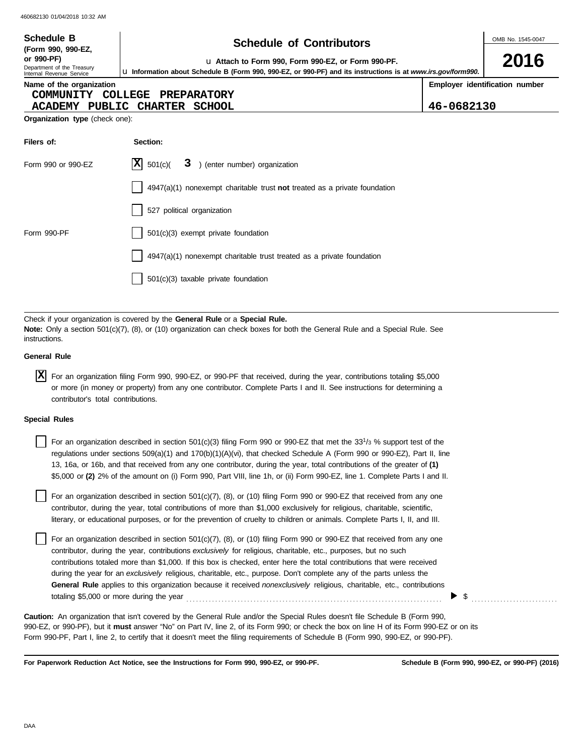| <b>Schedule B</b><br>(Form 990, 990-EZ,<br>or 990-PF)<br>Department of the Treasury<br>Internal Revenue Service | <b>Schedule of Contributors</b><br>La Attach to Form 990, Form 990-EZ, or Form 990-PF.<br>Lu Information about Schedule B (Form 990, 990-EZ, or 990-PF) and its instructions is at www.irs.gov/form990. | OMB No. 1545-0047<br>2016 |                                |  |  |  |  |  |
|-----------------------------------------------------------------------------------------------------------------|---------------------------------------------------------------------------------------------------------------------------------------------------------------------------------------------------------|---------------------------|--------------------------------|--|--|--|--|--|
| Name of the organization                                                                                        |                                                                                                                                                                                                         |                           | Employer identification number |  |  |  |  |  |
| COMMUNITY COLLEGE<br>PUBLIC<br><b>ACADEMY</b>                                                                   | <b>PREPARATORY</b><br>CHARTER<br><b>SCHOOL</b>                                                                                                                                                          | 46-0682130                |                                |  |  |  |  |  |
| <b>Organization type</b> (check one):                                                                           |                                                                                                                                                                                                         |                           |                                |  |  |  |  |  |
| Filers of:                                                                                                      | Section:                                                                                                                                                                                                |                           |                                |  |  |  |  |  |
| Form 990 or 990-EZ                                                                                              | Iх<br>3 ) (enter number) organization<br>501(c)                                                                                                                                                         |                           |                                |  |  |  |  |  |
|                                                                                                                 | $4947(a)(1)$ nonexempt charitable trust not treated as a private foundation                                                                                                                             |                           |                                |  |  |  |  |  |
|                                                                                                                 | 527 political organization                                                                                                                                                                              |                           |                                |  |  |  |  |  |
| Form 990-PF                                                                                                     | 501(c)(3) exempt private foundation                                                                                                                                                                     |                           |                                |  |  |  |  |  |
|                                                                                                                 | 4947(a)(1) nonexempt charitable trust treated as a private foundation                                                                                                                                   |                           |                                |  |  |  |  |  |
|                                                                                                                 | 501(c)(3) taxable private foundation                                                                                                                                                                    |                           |                                |  |  |  |  |  |
|                                                                                                                 |                                                                                                                                                                                                         |                           |                                |  |  |  |  |  |
|                                                                                                                 | Check if your organization is covered by the General Rule or a Special Rule.                                                                                                                            |                           |                                |  |  |  |  |  |

**Note:** Only a section 501(c)(7), (8), or (10) organization can check boxes for both the General Rule and a Special Rule. See instructions.

### **General Rule**

For an organization filing Form 990, 990-EZ, or 990-PF that received, during the year, contributions totaling \$5,000 **X** or more (in money or property) from any one contributor. Complete Parts I and II. See instructions for determining a contributor's total contributions.

### **Special Rules**

| For an organization described in section 501(c)(3) filing Form 990 or 990-EZ that met the 33 <sup>1</sup> /3 % support test of the |
|------------------------------------------------------------------------------------------------------------------------------------|
| regulations under sections $509(a)(1)$ and $170(b)(1)(A)(vi)$ , that checked Schedule A (Form 990 or 990-EZ), Part II, line        |
| 13, 16a, or 16b, and that received from any one contributor, during the year, total contributions of the greater of (1)            |
| \$5,000 or (2) 2% of the amount on (i) Form 990, Part VIII, line 1h, or (ii) Form 990-EZ, line 1. Complete Parts I and II.         |

literary, or educational purposes, or for the prevention of cruelty to children or animals. Complete Parts I, II, and III. For an organization described in section 501(c)(7), (8), or (10) filing Form 990 or 990-EZ that received from any one contributor, during the year, total contributions of more than \$1,000 exclusively for religious, charitable, scientific,

For an organization described in section 501(c)(7), (8), or (10) filing Form 990 or 990-EZ that received from any one contributor, during the year, contributions *exclusively* for religious, charitable, etc., purposes, but no such contributions totaled more than \$1,000. If this box is checked, enter here the total contributions that were received during the year for an *exclusively* religious, charitable, etc., purpose. Don't complete any of the parts unless the **General Rule** applies to this organization because it received *nonexclusively* religious, charitable, etc., contributions totaling \$5,000 or more during the year . . . . . . . . . . . . . . . . . . . . . . . . . . . . . . . . . . . . . . . . . . . . . . . . . . . . . . . . . . . . . . . . . . . . . . . . . . . . . . . .

990-EZ, or 990-PF), but it **must** answer "No" on Part IV, line 2, of its Form 990; or check the box on line H of its Form 990-EZ or on its Form 990-PF, Part I, line 2, to certify that it doesn't meet the filing requirements of Schedule B (Form 990, 990-EZ, or 990-PF). **Caution:** An organization that isn't covered by the General Rule and/or the Special Rules doesn't file Schedule B (Form 990,

**For Paperwork Reduction Act Notice, see the Instructions for Form 990, 990-EZ, or 990-PF.**

\$ . . . . . . . . . . . . . . . . . . . . . . . . . . .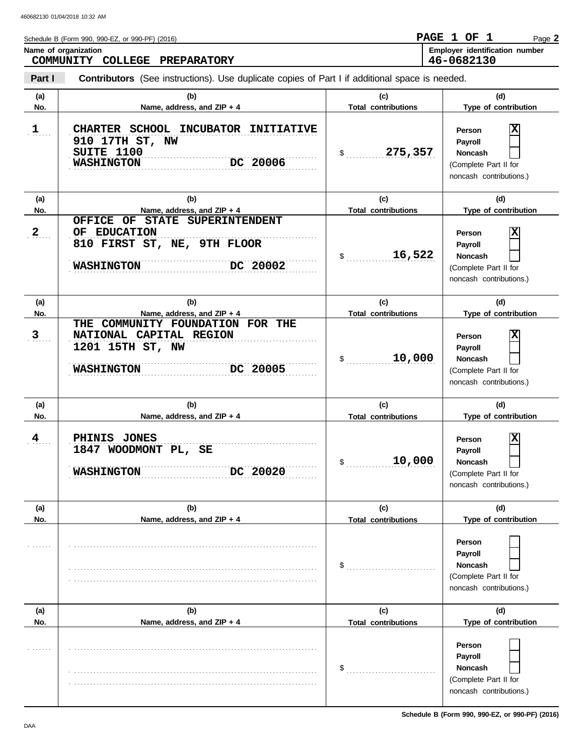| Schedule B (Form 990, 990-EZ, or 990-PF) (2016) | PAGE 1 OF  |  | Page $\lambda$                 |
|-------------------------------------------------|------------|--|--------------------------------|
| Name of organization                            |            |  | Employer identification number |
| COMMUNITY COLLEGE PREPARATORY                   | 46-0682130 |  |                                |

**Part I Type of contribution Person Payroll Noncash (a) (b) (c) (d) No. Name, address, and ZIP + 4 Type of contribution Person Payroll Noncash (a) (b) (c) (d) No. Name, address, and ZIP + 4 Type of contribution Person Payroll Noncash (a) (b) (c) (d) No. Name, address, and ZIP + 4 Type of contribution Person Payroll Noncash** \$ . . . . . . . . . . . . . . . . . . . . . . . . . . . . **275,357** (Complete Part II for noncash contributions.) \$ . . . . . . . . . . . . . . . . . . . . . . . . . . . . **16,522** (Complete Part II for noncash contributions.) \$ . . . . . . . . . . . . . . . . . . . . . . . . . . . . **10,000** (Complete Part II for noncash contributions.) \$ . . . . . . . . . . . . . . . . . . . . . . . . . . . . **10,000** (Complete Part II for noncash contributions.)  $\frac{1}{2}$ (Complete Part II for noncash contributions.)  $\frac{1}{2}$ (Complete Part II for noncash contributions.) **Contributors** (See instructions). Use duplicate copies of Part I if additional space is needed. **(a) (b) (c) (d) No. Name, address, and ZIP + 4 Total contributions Type of contribution Person Payroll Noncash (a) (b) (c) (d) No. Name, address, and ZIP + 4 Type of contribution Person Payroll Noncash (a) (b) (c) (d) No. Name, address, and ZIP + 4**  $\mathbf{1}$ .... . **2** . . . . . . . **3**  $4$ ... . . . . . . . . . . . . . . . . . . . . . . . . . . . . . . . . . . . . . . . . . . . . . . . . . . . . . . . . . . . . . . . . . . . . . . . . . . . . . . . . . . . . . . . . . . . . . . . . . . . . . . . . . . . . . . . . . . . . . . . . . . . . . . . . . . . . . . . . . . . . . . . . . . . . . . . . . . . . . . . . . . . . . . . . . . . . . . . . . . . . . . . . . . . . . . . . . . . . . . . . . . . . . . . . . . . . . . . . . . . . . . . . . . . . . . . . . . . . . . . . . . . . . . . . . . . . . . . . . . . . . . . . . . . . . . . . . . . . . . . . . . . . . . . . . . . . . . . . . . . . . . . . . . . . . . . . . . . . . . . . . . . . . . . . . . . . . . . . . . . . . . . . . . . . . . . . . . . . . . . . . . . . . . . . . . . . . . . . . . . . . . . . . . . . . . . . . . . . . . . . . . . . . . . . . . . . . . . . . . . . . . . . . . . . . . . . . . . . . . . . . . . . . . . . . . . . . . . . . . . . . . . . . . . . . . . . . . . . DC 20020 . . . . . . . . . . . . . . . . . . . . . . . . . . . . . . . . . . . . . . . . . . . . . . . . . . . . . . . . . . . . . . . . . . . . . . . . . . . . . . . . . . . . . . . . . . . . . . . . . . . . . . . . . . . . . . . . . . . . . . . . . . . . . . . . . . . . . . . . . . . . . . . . . . . . . . . . . . **4 PHINIS JONES NATIONAL CAPITAL REGION** . . . . . . . . . . . . . . . . . . . . . . . . . . . . . . . . . . . . . . . . . . . . . . . . . . . . . . . . . . . . . . . . . . . . . . . . . . . . . **WASHINGTON DC** 20005 DC 20002 . . . . . . . . . . . . . . . . . . . . . . . . . . . . . . . . . . . . . . . . . . . . . . . . . . . . . . . . . . . . . . . . . . . . . . . . . . . . . OF EDUCATION 1 . . . . . CHARTER SCHOOL INCUBATOR INITIATIVE . . . . . . . . . . . . . . . . . . . . . . . . . . . . . . . . . . . . . . . . . . . . . . . . . . . . . . . . . . . . . . . . . . . . . . . . . . . . . **SUITE 1100** DC 20006 **Total contributions Total contributions Total contributions Total contributions Total contributions 910 17TH ST, NW WASHINGTON DC 20006 X OFFICE OF STATE SUPERINTENDENT 810 FIRST ST, NE, 9TH FLOOR WASHINGTON DC 20002 X THE COMMUNITY FOUNDATION FOR THE 1201 15TH ST, NW X 1847 WOODMONT PL, SE WASHINGTON DC 20020 X**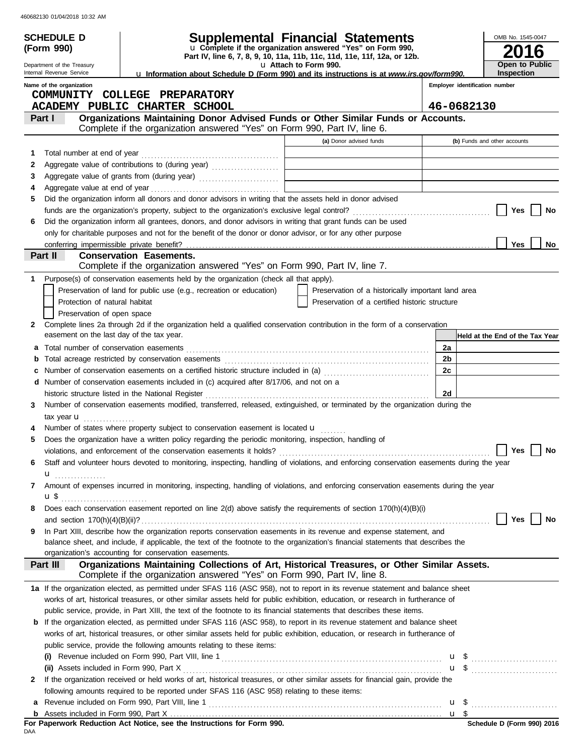|   | <b>SCHEDULE D</b>                         |                                                                                                                                                                                                                                                                     | <b>Supplemental Financial Statements</b>                                                          |                       | OMB No. 1545-0047               |
|---|-------------------------------------------|---------------------------------------------------------------------------------------------------------------------------------------------------------------------------------------------------------------------------------------------------------------------|---------------------------------------------------------------------------------------------------|-----------------------|---------------------------------|
|   | (Form 990)                                |                                                                                                                                                                                                                                                                     | u Complete if the organization answered "Yes" on Form 990,                                        | 6                     |                                 |
|   | Department of the Treasury                |                                                                                                                                                                                                                                                                     | Part IV, line 6, 7, 8, 9, 10, 11a, 11b, 11c, 11d, 11e, 11f, 12a, or 12b.<br>u Attach to Form 990. | <b>Open to Public</b> |                                 |
|   | Internal Revenue Service                  |                                                                                                                                                                                                                                                                     | La Information about Schedule D (Form 990) and its instructions is at www.irs.gov/form990.        |                       | <b>Inspection</b>               |
|   | Name of the organization                  |                                                                                                                                                                                                                                                                     |                                                                                                   |                       | Employer identification number  |
|   |                                           | COMMUNITY COLLEGE PREPARATORY<br>ACADEMY PUBLIC CHARTER SCHOOL                                                                                                                                                                                                      |                                                                                                   | 46-0682130            |                                 |
|   | Part I                                    | Organizations Maintaining Donor Advised Funds or Other Similar Funds or Accounts.                                                                                                                                                                                   |                                                                                                   |                       |                                 |
|   |                                           | Complete if the organization answered "Yes" on Form 990, Part IV, line 6.                                                                                                                                                                                           |                                                                                                   |                       |                                 |
|   |                                           |                                                                                                                                                                                                                                                                     | (a) Donor advised funds                                                                           |                       | (b) Funds and other accounts    |
| 1 | Total number at end of year               |                                                                                                                                                                                                                                                                     |                                                                                                   |                       |                                 |
| 2 |                                           |                                                                                                                                                                                                                                                                     |                                                                                                   |                       |                                 |
| 3 |                                           |                                                                                                                                                                                                                                                                     |                                                                                                   |                       |                                 |
| 4 |                                           |                                                                                                                                                                                                                                                                     |                                                                                                   |                       |                                 |
| 5 |                                           | Did the organization inform all donors and donor advisors in writing that the assets held in donor advised                                                                                                                                                          |                                                                                                   |                       |                                 |
|   |                                           |                                                                                                                                                                                                                                                                     |                                                                                                   |                       | Yes<br>No                       |
| 6 |                                           | Did the organization inform all grantees, donors, and donor advisors in writing that grant funds can be used                                                                                                                                                        |                                                                                                   |                       |                                 |
|   |                                           | only for charitable purposes and not for the benefit of the donor or donor advisor, or for any other purpose                                                                                                                                                        |                                                                                                   |                       | Yes<br>No                       |
|   | Part II                                   | <b>Conservation Easements.</b>                                                                                                                                                                                                                                      |                                                                                                   |                       |                                 |
|   |                                           | Complete if the organization answered "Yes" on Form 990, Part IV, line 7.                                                                                                                                                                                           |                                                                                                   |                       |                                 |
| 1 |                                           | Purpose(s) of conservation easements held by the organization (check all that apply).                                                                                                                                                                               |                                                                                                   |                       |                                 |
|   |                                           | Preservation of land for public use (e.g., recreation or education)                                                                                                                                                                                                 | Preservation of a historically important land area                                                |                       |                                 |
|   | Protection of natural habitat             |                                                                                                                                                                                                                                                                     | Preservation of a certified historic structure                                                    |                       |                                 |
|   | Preservation of open space                |                                                                                                                                                                                                                                                                     |                                                                                                   |                       |                                 |
| 2 |                                           | Complete lines 2a through 2d if the organization held a qualified conservation contribution in the form of a conservation                                                                                                                                           |                                                                                                   |                       |                                 |
|   | easement on the last day of the tax year. |                                                                                                                                                                                                                                                                     |                                                                                                   |                       | Held at the End of the Tax Year |
| а | Total number of conservation easements    |                                                                                                                                                                                                                                                                     |                                                                                                   | 2a                    |                                 |
| b |                                           | Number of conservation easements on a certified historic structure included in (a) [[[[[ [ [ ]]]                                                                                                                                                                    |                                                                                                   | 2 <sub>b</sub><br>2c  |                                 |
| d |                                           | Number of conservation easements included in (c) acquired after 8/17/06, and not on a                                                                                                                                                                               |                                                                                                   |                       |                                 |
|   |                                           | historic structure listed in the National Register                                                                                                                                                                                                                  |                                                                                                   | 2d                    |                                 |
| 3 |                                           | Number of conservation easements modified, transferred, released, extinguished, or terminated by the organization during the                                                                                                                                        |                                                                                                   |                       |                                 |
|   | tax year $\mathbf u$<br>.                 |                                                                                                                                                                                                                                                                     |                                                                                                   |                       |                                 |
|   |                                           | Number of states where property subject to conservation easement is located u                                                                                                                                                                                       |                                                                                                   |                       |                                 |
|   |                                           | Does the organization have a written policy regarding the periodic monitoring, inspection, handling of                                                                                                                                                              |                                                                                                   |                       |                                 |
|   |                                           |                                                                                                                                                                                                                                                                     |                                                                                                   |                       | $\Box$ Yes $\Box$ No            |
| 6 |                                           | Staff and volunteer hours devoted to monitoring, inspecting, handling of violations, and enforcing conservation easements during the year                                                                                                                           |                                                                                                   |                       |                                 |
|   | $\mathbf{u}$                              |                                                                                                                                                                                                                                                                     |                                                                                                   |                       |                                 |
| 7 |                                           | Amount of expenses incurred in monitoring, inspecting, handling of violations, and enforcing conservation easements during the year                                                                                                                                 |                                                                                                   |                       |                                 |
| 8 |                                           | Does each conservation easement reported on line 2(d) above satisfy the requirements of section 170(h)(4)(B)(i)                                                                                                                                                     |                                                                                                   |                       |                                 |
|   |                                           |                                                                                                                                                                                                                                                                     |                                                                                                   |                       | Yes<br>No                       |
| 9 |                                           | In Part XIII, describe how the organization reports conservation easements in its revenue and expense statement, and                                                                                                                                                |                                                                                                   |                       |                                 |
|   |                                           | balance sheet, and include, if applicable, the text of the footnote to the organization's financial statements that describes the                                                                                                                                   |                                                                                                   |                       |                                 |
|   |                                           | organization's accounting for conservation easements.                                                                                                                                                                                                               |                                                                                                   |                       |                                 |
|   | Part III                                  | Organizations Maintaining Collections of Art, Historical Treasures, or Other Similar Assets.                                                                                                                                                                        |                                                                                                   |                       |                                 |
|   |                                           | Complete if the organization answered "Yes" on Form 990, Part IV, line 8.                                                                                                                                                                                           |                                                                                                   |                       |                                 |
|   |                                           | 1a If the organization elected, as permitted under SFAS 116 (ASC 958), not to report in its revenue statement and balance sheet<br>works of art, historical treasures, or other similar assets held for public exhibition, education, or research in furtherance of |                                                                                                   |                       |                                 |
|   |                                           | public service, provide, in Part XIII, the text of the footnote to its financial statements that describes these items.                                                                                                                                             |                                                                                                   |                       |                                 |
|   |                                           | <b>b</b> If the organization elected, as permitted under SFAS 116 (ASC 958), to report in its revenue statement and balance sheet                                                                                                                                   |                                                                                                   |                       |                                 |
|   |                                           | works of art, historical treasures, or other similar assets held for public exhibition, education, or research in furtherance of                                                                                                                                    |                                                                                                   |                       |                                 |
|   |                                           | public service, provide the following amounts relating to these items:                                                                                                                                                                                              |                                                                                                   |                       |                                 |
|   |                                           |                                                                                                                                                                                                                                                                     |                                                                                                   |                       |                                 |
|   | (ii) Assets included in Form 990, Part X  |                                                                                                                                                                                                                                                                     |                                                                                                   |                       | $\mathbf{u}$ \$                 |
| 2 |                                           | If the organization received or held works of art, historical treasures, or other similar assets for financial gain, provide the                                                                                                                                    |                                                                                                   |                       |                                 |
|   |                                           | following amounts required to be reported under SFAS 116 (ASC 958) relating to these items:                                                                                                                                                                         |                                                                                                   |                       |                                 |
| a |                                           |                                                                                                                                                                                                                                                                     |                                                                                                   |                       |                                 |
|   |                                           |                                                                                                                                                                                                                                                                     |                                                                                                   |                       |                                 |

| For Paperwork Reduction Act Notice, see the Instructions for Form 990. |  |  |  |
|------------------------------------------------------------------------|--|--|--|
| DAA                                                                    |  |  |  |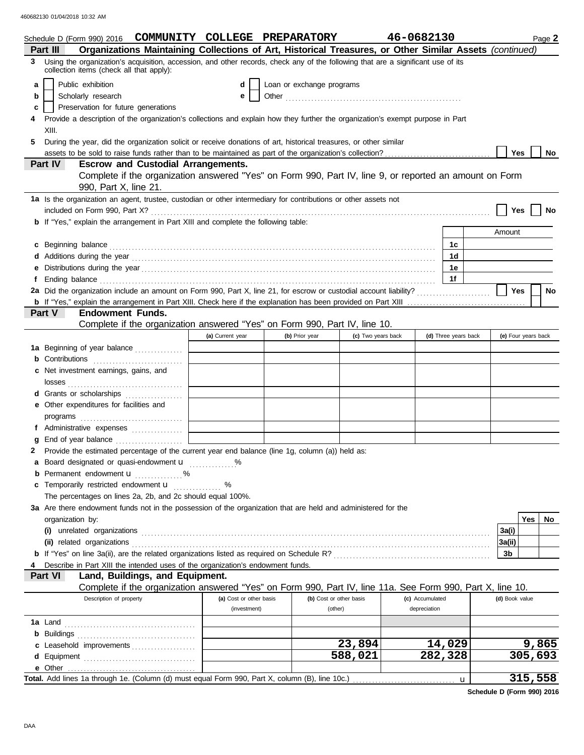|    | Schedule D (Form 990) 2016 COMMUNITY COLLEGE PREPARATORY                                                                                                                     |                         |                           |                    | 46-0682130      |                      |                | Page 2              |
|----|------------------------------------------------------------------------------------------------------------------------------------------------------------------------------|-------------------------|---------------------------|--------------------|-----------------|----------------------|----------------|---------------------|
|    | Organizations Maintaining Collections of Art, Historical Treasures, or Other Similar Assets (continued)<br>Part III                                                          |                         |                           |                    |                 |                      |                |                     |
| 3  | Using the organization's acquisition, accession, and other records, check any of the following that are a significant use of its<br>collection items (check all that apply): |                         |                           |                    |                 |                      |                |                     |
| a  | Public exhibition                                                                                                                                                            | d                       | Loan or exchange programs |                    |                 |                      |                |                     |
| b  | Scholarly research                                                                                                                                                           | е                       |                           |                    |                 |                      |                |                     |
| c  | Preservation for future generations                                                                                                                                          |                         |                           |                    |                 |                      |                |                     |
|    | Provide a description of the organization's collections and explain how they further the organization's exempt purpose in Part                                               |                         |                           |                    |                 |                      |                |                     |
|    | XIII.                                                                                                                                                                        |                         |                           |                    |                 |                      |                |                     |
| 5. | During the year, did the organization solicit or receive donations of art, historical treasures, or other similar                                                            |                         |                           |                    |                 |                      |                |                     |
|    |                                                                                                                                                                              |                         |                           |                    |                 |                      | Yes            | No                  |
|    | Part IV<br><b>Escrow and Custodial Arrangements.</b>                                                                                                                         |                         |                           |                    |                 |                      |                |                     |
|    | Complete if the organization answered "Yes" on Form 990, Part IV, line 9, or reported an amount on Form<br>990, Part X, line 21.                                             |                         |                           |                    |                 |                      |                |                     |
|    | 1a Is the organization an agent, trustee, custodian or other intermediary for contributions or other assets not                                                              |                         |                           |                    |                 |                      |                |                     |
|    |                                                                                                                                                                              |                         |                           |                    |                 |                      | Yes            | No                  |
|    | b If "Yes," explain the arrangement in Part XIII and complete the following table:                                                                                           |                         |                           |                    |                 |                      |                |                     |
|    |                                                                                                                                                                              |                         |                           |                    |                 |                      | Amount         |                     |
| c  |                                                                                                                                                                              |                         |                           |                    |                 | 1c                   |                |                     |
| d  |                                                                                                                                                                              |                         |                           |                    |                 | 1 <sub>d</sub>       |                |                     |
| е  |                                                                                                                                                                              |                         |                           |                    |                 | 1е                   |                |                     |
| f  |                                                                                                                                                                              |                         |                           |                    |                 | 1f                   |                |                     |
|    | 2a Did the organization include an amount on Form 990, Part X, line 21, for escrow or custodial account liability?                                                           |                         |                           |                    |                 |                      | Yes            | <b>No</b>           |
|    |                                                                                                                                                                              |                         |                           |                    |                 |                      |                |                     |
|    | <b>Endowment Funds.</b><br>Part V                                                                                                                                            |                         |                           |                    |                 |                      |                |                     |
|    | Complete if the organization answered "Yes" on Form 990, Part IV, line 10.                                                                                                   |                         |                           |                    |                 |                      |                |                     |
|    |                                                                                                                                                                              | (a) Current year        | (b) Prior year            | (c) Two years back |                 | (d) Three years back |                | (e) Four years back |
|    | 1a Beginning of year balance                                                                                                                                                 |                         |                           |                    |                 |                      |                |                     |
| b  | Contributions <b>Contributions</b>                                                                                                                                           |                         |                           |                    |                 |                      |                |                     |
| c  | Net investment earnings, gains, and                                                                                                                                          |                         |                           |                    |                 |                      |                |                     |
|    |                                                                                                                                                                              |                         |                           |                    |                 |                      |                |                     |
|    | d Grants or scholarships                                                                                                                                                     |                         |                           |                    |                 |                      |                |                     |
|    | e Other expenditures for facilities and                                                                                                                                      |                         |                           |                    |                 |                      |                |                     |
|    |                                                                                                                                                                              |                         |                           |                    |                 |                      |                |                     |
|    | f Administrative expenses                                                                                                                                                    |                         |                           |                    |                 |                      |                |                     |
| g  |                                                                                                                                                                              |                         |                           |                    |                 |                      |                |                     |
| 2  | Provide the estimated percentage of the current year end balance (line 1g, column (a)) held as:                                                                              |                         |                           |                    |                 |                      |                |                     |
|    | a Board designated or quasi-endowment u                                                                                                                                      | $\%$                    |                           |                    |                 |                      |                |                     |
|    | Permanent endowment <b>u</b> %                                                                                                                                               |                         |                           |                    |                 |                      |                |                     |
| c  | Temporarily restricted endowment <b>u</b>                                                                                                                                    | %                       |                           |                    |                 |                      |                |                     |
|    | The percentages on lines 2a, 2b, and 2c should equal 100%.                                                                                                                   |                         |                           |                    |                 |                      |                |                     |
|    | 3a Are there endowment funds not in the possession of the organization that are held and administered for the                                                                |                         |                           |                    |                 |                      |                |                     |
|    | organization by:                                                                                                                                                             |                         |                           |                    |                 |                      |                | Yes<br>No           |
|    |                                                                                                                                                                              |                         |                           |                    |                 |                      | 3a(i)          |                     |
|    | (ii) related organizations                                                                                                                                                   |                         |                           |                    |                 |                      | 3a(ii)         |                     |
|    |                                                                                                                                                                              |                         |                           |                    |                 |                      | 3b             |                     |
|    | Describe in Part XIII the intended uses of the organization's endowment funds.                                                                                               |                         |                           |                    |                 |                      |                |                     |
|    | Land, Buildings, and Equipment.<br>Part VI<br>Complete if the organization answered "Yes" on Form 990, Part IV, line 11a. See Form 990, Part X, line 10.                     |                         |                           |                    |                 |                      |                |                     |
|    | Description of property                                                                                                                                                      | (a) Cost or other basis | (b) Cost or other basis   |                    | (c) Accumulated |                      | (d) Book value |                     |
|    |                                                                                                                                                                              | (investment)            | (other)                   |                    | depreciation    |                      |                |                     |
|    |                                                                                                                                                                              |                         |                           |                    |                 |                      |                |                     |
|    |                                                                                                                                                                              |                         |                           |                    |                 |                      |                |                     |
| c  |                                                                                                                                                                              |                         |                           | 23,894             |                 | 14,029               |                | 9,865               |
| d  | Leasehold improvements                                                                                                                                                       |                         |                           | 588,021            |                 | 282,328              |                | 305,693             |
|    |                                                                                                                                                                              |                         |                           |                    |                 |                      |                |                     |
|    |                                                                                                                                                                              |                         |                           |                    |                 | u                    |                | 315,558             |
|    |                                                                                                                                                                              |                         |                           |                    |                 |                      |                |                     |

**Schedule D (Form 990) 2016**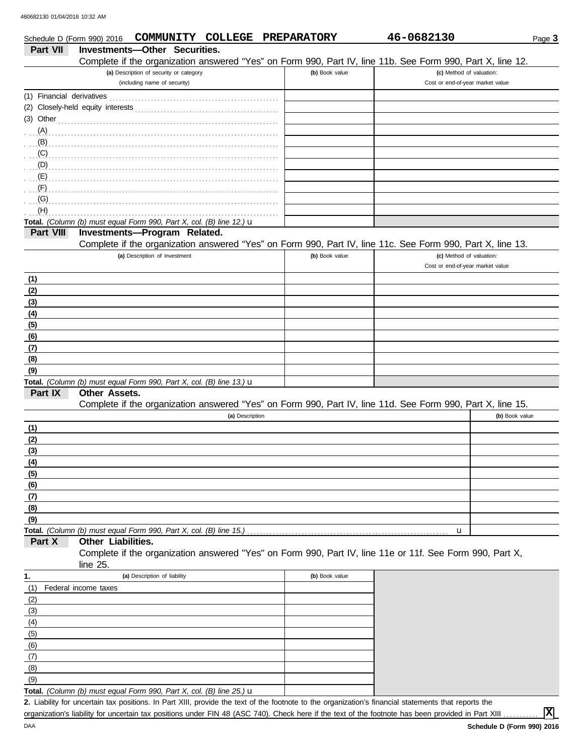|                           | Schedule D (Form 990) 2016 COMMUNITY COLLEGE PREPARATORY                                                   |                | 46-0682130                       | Page 3         |
|---------------------------|------------------------------------------------------------------------------------------------------------|----------------|----------------------------------|----------------|
| <b>Part VII</b>           | <b>Investments-Other Securities.</b>                                                                       |                |                                  |                |
|                           | Complete if the organization answered "Yes" on Form 990, Part IV, line 11b. See Form 990, Part X, line 12. |                |                                  |                |
|                           | (a) Description of security or category                                                                    | (b) Book value | (c) Method of valuation:         |                |
|                           | (including name of security)                                                                               |                | Cost or end-of-year market value |                |
| (1) Financial derivatives |                                                                                                            |                |                                  |                |
|                           |                                                                                                            |                |                                  |                |
| $(3)$ Other               |                                                                                                            |                |                                  |                |
|                           |                                                                                                            |                |                                  |                |
|                           |                                                                                                            |                |                                  |                |
|                           |                                                                                                            |                |                                  |                |
|                           |                                                                                                            |                |                                  |                |
|                           |                                                                                                            |                |                                  |                |
|                           |                                                                                                            |                |                                  |                |
|                           |                                                                                                            |                |                                  |                |
| (H)                       |                                                                                                            |                |                                  |                |
|                           | Total. (Column (b) must equal Form 990, Part X, col. (B) line 12.) $\mathbf u$                             |                |                                  |                |
| Part VIII                 | Investments-Program Related.                                                                               |                |                                  |                |
|                           | Complete if the organization answered "Yes" on Form 990, Part IV, line 11c. See Form 990, Part X, line 13. |                |                                  |                |
|                           | (a) Description of investment                                                                              | (b) Book value | (c) Method of valuation:         |                |
|                           |                                                                                                            |                | Cost or end-of-year market value |                |
| (1)                       |                                                                                                            |                |                                  |                |
| (2)                       |                                                                                                            |                |                                  |                |
| (3)                       |                                                                                                            |                |                                  |                |
| (4)                       |                                                                                                            |                |                                  |                |
| (5)                       |                                                                                                            |                |                                  |                |
| (6)                       |                                                                                                            |                |                                  |                |
| (7)                       |                                                                                                            |                |                                  |                |
| (8)                       |                                                                                                            |                |                                  |                |
| (9)                       |                                                                                                            |                |                                  |                |
|                           | Total. (Column (b) must equal Form 990, Part X, col. (B) line 13.) $\mathbf u$                             |                |                                  |                |
| Part IX                   | <b>Other Assets.</b>                                                                                       |                |                                  |                |
|                           | Complete if the organization answered "Yes" on Form 990, Part IV, line 11d. See Form 990, Part X, line 15. |                |                                  |                |
|                           | (a) Description                                                                                            |                |                                  | (b) Book value |
| (1)                       |                                                                                                            |                |                                  |                |
| (2)                       |                                                                                                            |                |                                  |                |
| (3)                       |                                                                                                            |                |                                  |                |
| (4)                       |                                                                                                            |                |                                  |                |
| (5)                       |                                                                                                            |                |                                  |                |
| (6)                       |                                                                                                            |                |                                  |                |
| (7)                       |                                                                                                            |                |                                  |                |
| (8)                       |                                                                                                            |                |                                  |                |
| (9)                       |                                                                                                            |                |                                  |                |
|                           | Total. (Column (b) must equal Form 990, Part X, col. (B) line 15.)                                         |                | u                                |                |
| Part X                    | Other Liabilities.                                                                                         |                |                                  |                |
|                           | Complete if the organization answered "Yes" on Form 990, Part IV, line 11e or 11f. See Form 990, Part X,   |                |                                  |                |
|                           | line 25.                                                                                                   |                |                                  |                |
| 1.                        | (a) Description of liability                                                                               | (b) Book value |                                  |                |
| (1)                       | Federal income taxes                                                                                       |                |                                  |                |
| (2)                       |                                                                                                            |                |                                  |                |
| (3)                       |                                                                                                            |                |                                  |                |
| (4)                       |                                                                                                            |                |                                  |                |
| (5)                       |                                                                                                            |                |                                  |                |
| (6)                       |                                                                                                            |                |                                  |                |
| (7)                       |                                                                                                            |                |                                  |                |
| (8)                       |                                                                                                            |                |                                  |                |
| (9)                       |                                                                                                            |                |                                  |                |

**Total.** *(Column (b) must equal Form 990, Part X, col. (B) line 25.)* u

Liability for uncertain tax positions. In Part XIII, provide the text of the footnote to the organization's financial statements that reports the **2.** organization's liability for uncertain tax positions under FIN 48 (ASC 740). Check here if the text of the footnote has been provided in Part XIII

**X**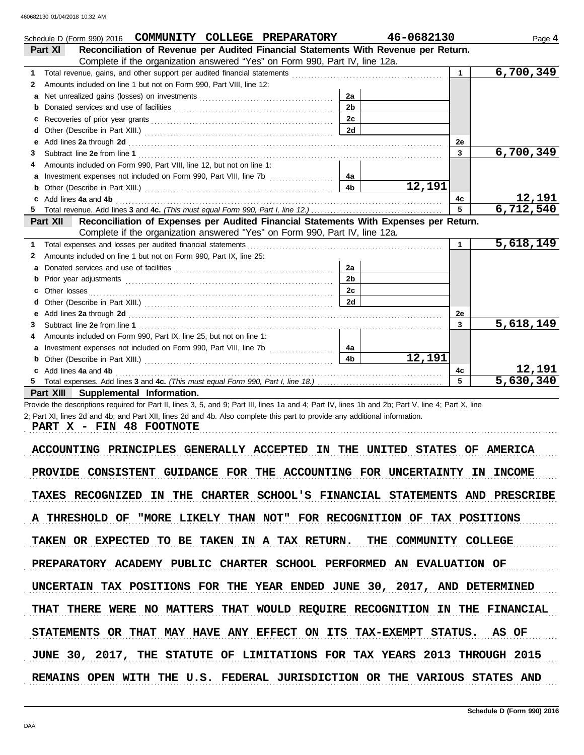|    | Schedule D (Form 990) 2016 COMMUNITY COLLEGE PREPARATORY                                          | 46-0682130               |                | Page 4    |
|----|---------------------------------------------------------------------------------------------------|--------------------------|----------------|-----------|
|    | Reconciliation of Revenue per Audited Financial Statements With Revenue per Return.<br>Part XI    |                          |                |           |
|    | Complete if the organization answered "Yes" on Form 990, Part IV, line 12a.                       |                          |                |           |
| 1  |                                                                                                   |                          | $\mathbf{1}$   | 6,700,349 |
| 2  | Amounts included on line 1 but not on Form 990, Part VIII, line 12:                               |                          |                |           |
| а  |                                                                                                   | 2a                       |                |           |
| b  |                                                                                                   | 2 <sub>b</sub>           |                |           |
| c  |                                                                                                   | 2c                       |                |           |
| d  |                                                                                                   | 2d                       |                |           |
| е  | Add lines 2a through 2d                                                                           |                          | 2e             |           |
|    |                                                                                                   |                          | $\overline{3}$ | 6,700,349 |
| 4  | Amounts included on Form 990, Part VIII, line 12, but not on line 1:                              |                          |                |           |
| a  |                                                                                                   | 4a                       |                |           |
| b  |                                                                                                   | 12,191<br>4 <sub>b</sub> |                |           |
|    | Add lines 4a and 4b                                                                               |                          | 4c             | 12,191    |
|    |                                                                                                   |                          | 5              | 6,712,540 |
|    | Reconciliation of Expenses per Audited Financial Statements With Expenses per Return.<br>Part XII |                          |                |           |
|    | Complete if the organization answered "Yes" on Form 990, Part IV, line 12a.                       |                          |                |           |
| 1. | Total expenses and losses per audited financial statements                                        |                          | $\mathbf 1$    | 5,618,149 |
| 2  | Amounts included on line 1 but not on Form 990, Part IX, line 25:                                 |                          |                |           |
| a  |                                                                                                   | 2a                       |                |           |
| b  |                                                                                                   | 2 <sub>b</sub>           |                |           |
|    | Other losses                                                                                      | 2c                       |                |           |
| d  |                                                                                                   | 2d                       |                |           |
|    |                                                                                                   |                          | 2e             |           |
| 3  |                                                                                                   |                          | 3              | 5,618,149 |
|    | Amounts included on Form 990, Part IX, line 25, but not on line 1:                                |                          |                |           |
| a  | Investment expenses not included on Form 990, Part VIII, line 7b                                  | 4a                       |                |           |
|    |                                                                                                   | 12,191<br>4 <sub>b</sub> |                |           |
|    | Add lines 4a and 4b                                                                               |                          | 4c             | 12,191    |
|    |                                                                                                   |                          | 5              | 5,630,340 |

**Part XIII Supplemental Information.**

Provide the descriptions required for Part II, lines 3, 5, and 9; Part III, lines 1a and 4; Part IV, lines 1b and 2b; Part V, line 4; Part X, line 2; Part XI, lines 2d and 4b; and Part XII, lines 2d and 4b. Also complete this part to provide any additional information.

PART X - FIN 48 FOOTNOTE

ACCOUNTING PRINCIPLES GENERALLY ACCEPTED IN THE UNITED STATES OF AMERICA PROVIDE CONSISTENT GUIDANCE FOR THE ACCOUNTING FOR UNCERTAINTY IN INCOME TAXES RECOGNIZED IN THE CHARTER SCHOOL'S FINANCIAL STATEMENTS AND PRESCRIBE A THRESHOLD OF "MORE LIKELY THAN NOT" FOR RECOGNITION OF TAX POSITIONS TAKEN OR EXPECTED TO BE TAKEN IN A TAX RETURN. THE COMMUNITY COLLEGE PREPARATORY ACADEMY PUBLIC CHARTER SCHOOL PERFORMED AN EVALUATION OF STATEMENTS OR THAT MAY HAVE ANY EFFECT ON ITS TAX-EXEMPT STATUS. AS OF UNCERTAIN TAX POSITIONS FOR THE YEAR ENDED JUNE 30, 2017, AND DETERMINED THAT THERE WERE NO MATTERS THAT WOULD REQUIRE RECOGNITION IN THE FINANCIAL JUNE 30, 2017, THE STATUTE OF LIMITATIONS FOR TAX YEARS 2013 THROUGH 2015 REMAINS OPEN WITH THE U.S. FEDERAL JURISDICTION OR THE VARIOUS STATES AND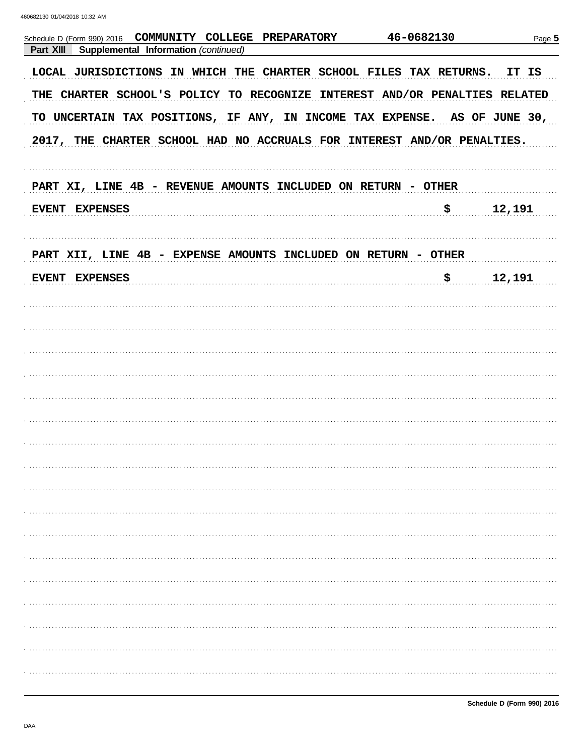| Schedule D (Form 990) 2016 COMMUNITY COLLEGE PREPARATORY                   | 46-0682130 | Page 5 |
|----------------------------------------------------------------------------|------------|--------|
| Part XIII<br>Supplemental Information (continued)                          |            |        |
| LOCAL JURISDICTIONS IN WHICH THE CHARTER SCHOOL FILES TAX RETURNS.         |            | IT IS  |
| THE CHARTER SCHOOL'S POLICY TO RECOGNIZE INTEREST AND/OR PENALTIES RELATED |            |        |
| TO UNCERTAIN TAX POSITIONS, IF ANY, IN INCOME TAX EXPENSE. AS OF JUNE 30,  |            |        |
| 2017, THE CHARTER SCHOOL HAD NO ACCRUALS FOR INTEREST AND/OR PENALTIES.    |            |        |
|                                                                            |            |        |
|                                                                            |            |        |
| PART XI, LINE 4B - REVENUE AMOUNTS INCLUDED ON RETURN - OTHER              |            |        |
| EVENT EXPENSES                                                             | \$         | 12,191 |
|                                                                            |            |        |
| PART XII, LINE 4B - EXPENSE AMOUNTS INCLUDED ON RETURN - OTHER             |            |        |
| EVENT EXPENSES                                                             | \$         | 12,191 |
|                                                                            |            |        |
|                                                                            |            |        |
|                                                                            |            |        |
|                                                                            |            |        |
|                                                                            |            |        |
|                                                                            |            |        |
|                                                                            |            |        |
|                                                                            |            |        |
|                                                                            |            |        |
|                                                                            |            |        |
|                                                                            |            |        |
|                                                                            |            |        |
|                                                                            |            |        |
|                                                                            |            |        |
|                                                                            |            |        |
|                                                                            |            |        |
|                                                                            |            |        |
|                                                                            |            |        |
|                                                                            |            |        |
|                                                                            |            |        |
|                                                                            |            |        |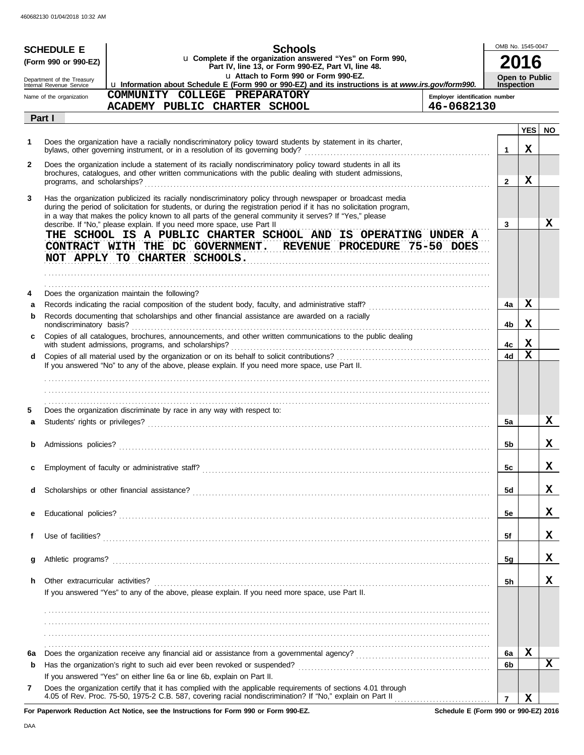|              | <b>Schools</b><br><b>SCHEDULE E</b>                                                                                                       |                                                                                                                                                                                                                                                                                                                                              |                                | OMB No. 1545-0047     |                  |             |
|--------------|-------------------------------------------------------------------------------------------------------------------------------------------|----------------------------------------------------------------------------------------------------------------------------------------------------------------------------------------------------------------------------------------------------------------------------------------------------------------------------------------------|--------------------------------|-----------------------|------------------|-------------|
|              | u Complete if the organization answered "Yes" on Form 990,<br>(Form 990 or 990-EZ)<br>Part IV, line 13, or Form 990-EZ, Part VI, line 48. |                                                                                                                                                                                                                                                                                                                                              |                                |                       |                  |             |
|              | Department of the Treasury<br>Internal Revenue Service                                                                                    | La Attach to Form 990 or Form 990-EZ.                                                                                                                                                                                                                                                                                                        |                                | <b>Open to Public</b> |                  |             |
|              | Name of the organization                                                                                                                  | <b>u Information about Schedule E (Form 990 or 990-EZ) and its instructions is at www.irs.gov/form990.</b><br>COMMUNITY COLLEGE PREPARATORY                                                                                                                                                                                                  | Employer identification number | <b>Inspection</b>     |                  |             |
|              |                                                                                                                                           | ACADEMY PUBLIC CHARTER SCHOOL                                                                                                                                                                                                                                                                                                                | 46-0682130                     |                       |                  |             |
|              | Part I                                                                                                                                    |                                                                                                                                                                                                                                                                                                                                              |                                |                       |                  |             |
|              |                                                                                                                                           |                                                                                                                                                                                                                                                                                                                                              |                                |                       | YES              | NO.         |
| 1            |                                                                                                                                           | Does the organization have a racially nondiscriminatory policy toward students by statement in its charter,                                                                                                                                                                                                                                  |                                | $\mathbf{1}$          | X                |             |
| $\mathbf{2}$ | programs, and scholarships?                                                                                                               | Does the organization include a statement of its racially nondiscriminatory policy toward students in all its<br>brochures, catalogues, and other written communications with the public dealing with student admissions,                                                                                                                    |                                | $\mathbf{2}$          | $\mathbf x$      |             |
| 3            |                                                                                                                                           | Has the organization publicized its racially nondiscriminatory policy through newspaper or broadcast media<br>during the period of solicitation for students, or during the registration period if it has no solicitation program,<br>in a way that makes the policy known to all parts of the general community it serves? If "Yes," please |                                |                       |                  |             |
|              |                                                                                                                                           | describe. If "No," please explain. If you need more space, use Part II<br>THE SCHOOL IS A PUBLIC CHARTER SCHOOL AND IS OPERATING UNDER A                                                                                                                                                                                                     |                                | 3                     |                  | X           |
|              |                                                                                                                                           | CONTRACT WITH THE DC GOVERNMENT. REVENUE PROCEDURE 75-50 DOES<br>NOT APPLY TO CHARTER SCHOOLS.                                                                                                                                                                                                                                               |                                |                       |                  |             |
| 4            |                                                                                                                                           | Does the organization maintain the following?                                                                                                                                                                                                                                                                                                |                                |                       |                  |             |
| a            |                                                                                                                                           |                                                                                                                                                                                                                                                                                                                                              |                                | 4a                    | X                |             |
| b            |                                                                                                                                           | Records documenting that scholarships and other financial assistance are awarded on a racially                                                                                                                                                                                                                                               |                                |                       |                  |             |
|              |                                                                                                                                           | Copies of all catalogues, brochures, announcements, and other written communications to the public dealing                                                                                                                                                                                                                                   |                                | 4b                    | X                |             |
| d            |                                                                                                                                           |                                                                                                                                                                                                                                                                                                                                              |                                | 4c<br>4d              | $\mathbf x$<br>X |             |
|              |                                                                                                                                           | If you answered "No" to any of the above, please explain. If you need more space, use Part II.                                                                                                                                                                                                                                               |                                |                       |                  |             |
|              |                                                                                                                                           |                                                                                                                                                                                                                                                                                                                                              |                                |                       |                  |             |
|              |                                                                                                                                           |                                                                                                                                                                                                                                                                                                                                              |                                |                       |                  |             |
| 5            |                                                                                                                                           | Does the organization discriminate by race in any way with respect to:                                                                                                                                                                                                                                                                       |                                |                       |                  |             |
| a            |                                                                                                                                           |                                                                                                                                                                                                                                                                                                                                              |                                | 5a                    |                  | X           |
|              |                                                                                                                                           |                                                                                                                                                                                                                                                                                                                                              |                                |                       |                  |             |
|              |                                                                                                                                           |                                                                                                                                                                                                                                                                                                                                              |                                | 5b                    |                  | x           |
|              |                                                                                                                                           |                                                                                                                                                                                                                                                                                                                                              |                                | 5c                    |                  | Δ.          |
| d            |                                                                                                                                           |                                                                                                                                                                                                                                                                                                                                              |                                | <b>5d</b>             |                  | X           |
| е            |                                                                                                                                           |                                                                                                                                                                                                                                                                                                                                              |                                | 5е                    |                  | X           |
| f            |                                                                                                                                           |                                                                                                                                                                                                                                                                                                                                              |                                | 5f                    |                  | X           |
| g            |                                                                                                                                           |                                                                                                                                                                                                                                                                                                                                              |                                | 5g                    |                  | X           |
|              |                                                                                                                                           |                                                                                                                                                                                                                                                                                                                                              |                                |                       |                  |             |
| h            | Other extracurricular activities?                                                                                                         | If you answered "Yes" to any of the above, please explain. If you need more space, use Part II.                                                                                                                                                                                                                                              |                                | 5h                    |                  | х           |
|              |                                                                                                                                           |                                                                                                                                                                                                                                                                                                                                              |                                |                       |                  |             |
|              |                                                                                                                                           |                                                                                                                                                                                                                                                                                                                                              |                                |                       |                  |             |
|              |                                                                                                                                           |                                                                                                                                                                                                                                                                                                                                              |                                |                       |                  |             |
|              |                                                                                                                                           |                                                                                                                                                                                                                                                                                                                                              |                                |                       | X                |             |
| 6а<br>b      |                                                                                                                                           |                                                                                                                                                                                                                                                                                                                                              |                                | 6a<br>6b              |                  | $\mathbf x$ |
|              |                                                                                                                                           | If you answered "Yes" on either line 6a or line 6b, explain on Part II.                                                                                                                                                                                                                                                                      |                                |                       |                  |             |
| 7            |                                                                                                                                           | Does the organization certify that it has complied with the applicable requirements of sections 4.01 through<br>4.05 of Rev. Proc. 75-50, 1975-2 C.B. 587, covering racial nondiscrimination? If "No," explain on Part II                                                                                                                    |                                | $\overline{7}$        | X                |             |
|              |                                                                                                                                           |                                                                                                                                                                                                                                                                                                                                              |                                |                       |                  |             |

**For Paperwork Reduction Act Notice, see the Instructions for Form 990 or Form 990-EZ.**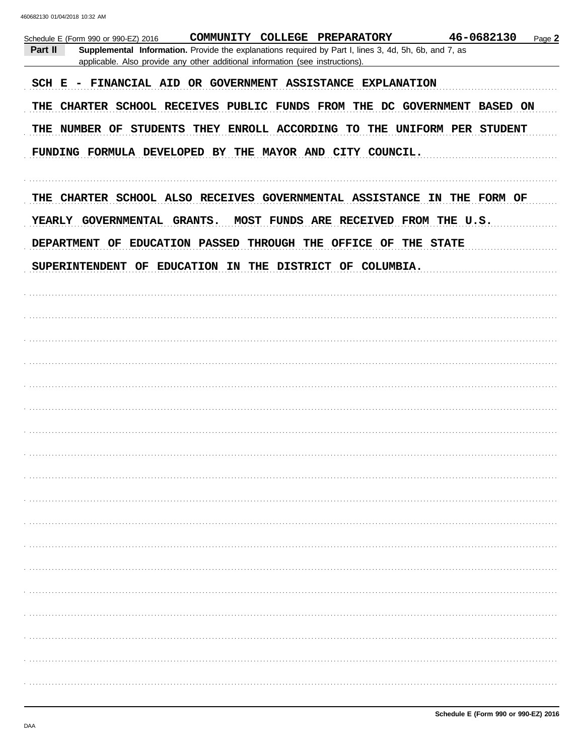| 46-0682130<br>COMMUNITY COLLEGE PREPARATORY<br>Page 2<br>Schedule E (Form 990 or 990-EZ) 2016                                                                                                     |
|---------------------------------------------------------------------------------------------------------------------------------------------------------------------------------------------------|
| Part II<br>Supplemental Information. Provide the explanations required by Part I, lines 3, 4d, 5h, 6b, and 7, as<br>applicable. Also provide any other additional information (see instructions). |
| SCH E - FINANCIAL AID OR GOVERNMENT ASSISTANCE EXPLANATION                                                                                                                                        |
| CHARTER SCHOOL RECEIVES PUBLIC FUNDS FROM THE DC GOVERNMENT BASED ON<br><b>THE</b>                                                                                                                |
| THE NUMBER OF STUDENTS THEY ENROLL ACCORDING TO THE UNIFORM PER STUDENT                                                                                                                           |
| FUNDING FORMULA DEVELOPED BY THE MAYOR AND CITY COUNCIL.                                                                                                                                          |
| CHARTER SCHOOL ALSO RECEIVES GOVERNMENTAL ASSISTANCE IN THE FORM OF<br>THE                                                                                                                        |
| YEARLY GOVERNMENTAL GRANTS.<br>MOST FUNDS ARE RECEIVED FROM THE U.S.                                                                                                                              |
| DEPARTMENT OF EDUCATION PASSED THROUGH THE OFFICE OF THE STATE                                                                                                                                    |
| SUPERINTENDENT OF EDUCATION IN THE DISTRICT OF COLUMBIA.                                                                                                                                          |
|                                                                                                                                                                                                   |
|                                                                                                                                                                                                   |
|                                                                                                                                                                                                   |
|                                                                                                                                                                                                   |
|                                                                                                                                                                                                   |
|                                                                                                                                                                                                   |
|                                                                                                                                                                                                   |
|                                                                                                                                                                                                   |
|                                                                                                                                                                                                   |
|                                                                                                                                                                                                   |
|                                                                                                                                                                                                   |
|                                                                                                                                                                                                   |
|                                                                                                                                                                                                   |
|                                                                                                                                                                                                   |
|                                                                                                                                                                                                   |
|                                                                                                                                                                                                   |
|                                                                                                                                                                                                   |
|                                                                                                                                                                                                   |
|                                                                                                                                                                                                   |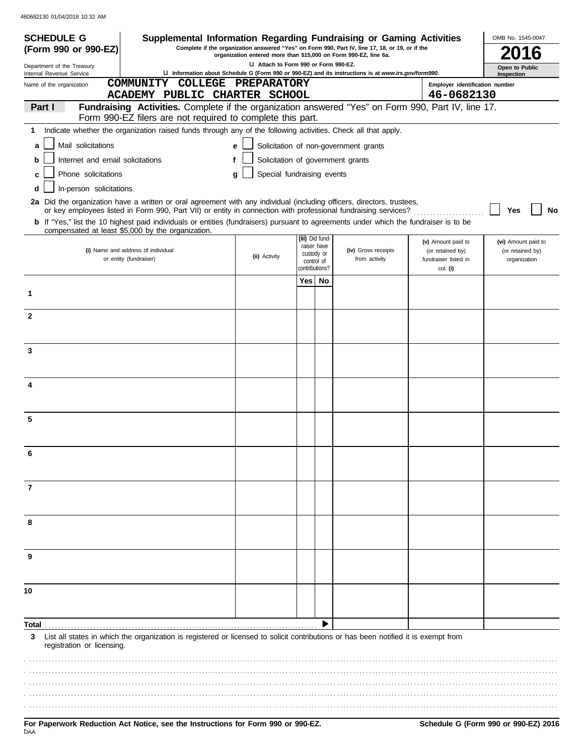| <b>SCHEDULE G</b>                                      | Supplemental Information Regarding Fundraising or Gaming Activities                                                                                                                                                                                     |                                 |                |                                |                                       |                                        | OMB No. 1545-0047                       |
|--------------------------------------------------------|---------------------------------------------------------------------------------------------------------------------------------------------------------------------------------------------------------------------------------------------------------|---------------------------------|----------------|--------------------------------|---------------------------------------|----------------------------------------|-----------------------------------------|
| (Form 990 or 990-EZ)                                   | Complete if the organization answered "Yes" on Form 990, Part IV, line 17, 18, or 19, or if the<br>organization entered more than \$15,000 on Form 990-EZ, line 6a.                                                                                     |                                 |                |                                |                                       |                                        |                                         |
| Department of the Treasury<br>Internal Revenue Service | LI Attach to Form 990 or Form 990-EZ.<br>U Information about Schedule G (Form 990 or 990-EZ) and its instructions is at www.irs.gov/form990.                                                                                                            |                                 |                |                                |                                       |                                        | Open to Public<br>Inspection            |
| Name of the organization                               | COMMUNITY COLLEGE                                                                                                                                                                                                                                       | <b>PREPARATORY</b>              |                |                                |                                       | Employer identification number         |                                         |
|                                                        | ACADEMY PUBLIC CHARTER SCHOOL                                                                                                                                                                                                                           |                                 |                |                                |                                       | 46-0682130                             |                                         |
| Part I                                                 | Fundraising Activities. Complete if the organization answered "Yes" on Form 990, Part IV, line 17.<br>Form 990-EZ filers are not required to complete this part.                                                                                        |                                 |                |                                |                                       |                                        |                                         |
| 1                                                      | Indicate whether the organization raised funds through any of the following activities. Check all that apply.                                                                                                                                           |                                 |                |                                |                                       |                                        |                                         |
| Mail solicitations<br>a                                |                                                                                                                                                                                                                                                         | e                               |                |                                | Solicitation of non-government grants |                                        |                                         |
| Internet and email solicitations<br>b                  |                                                                                                                                                                                                                                                         | f                               |                |                                | Solicitation of government grants     |                                        |                                         |
| Phone solicitations<br>C                               |                                                                                                                                                                                                                                                         | Special fundraising events<br>a |                |                                |                                       |                                        |                                         |
| In-person solicitations<br>d                           |                                                                                                                                                                                                                                                         |                                 |                |                                |                                       |                                        |                                         |
|                                                        | 2a Did the organization have a written or oral agreement with any individual (including officers, directors, trustees,                                                                                                                                  |                                 |                |                                |                                       |                                        |                                         |
|                                                        | or key employees listed in Form 990, Part VII) or entity in connection with professional fundraising services?<br>b If "Yes," list the 10 highest paid individuals or entities (fundraisers) pursuant to agreements under which the fundraiser is to be |                                 |                |                                |                                       |                                        | No<br>Yes                               |
|                                                        | compensated at least \$5,000 by the organization.                                                                                                                                                                                                       |                                 |                |                                |                                       |                                        |                                         |
|                                                        | (i) Name and address of individual                                                                                                                                                                                                                      |                                 |                | (iii) Did fund-<br>raiser have | (iv) Gross receipts                   | (v) Amount paid to<br>(or retained by) | (vi) Amount paid to<br>(or retained by) |
|                                                        | or entity (fundraiser)                                                                                                                                                                                                                                  | (ii) Activity                   |                | custody or<br>control of       | from activity                         | fundraiser listed in                   | organization                            |
|                                                        |                                                                                                                                                                                                                                                         |                                 | contributions? |                                |                                       | col. (i)                               |                                         |
| 1                                                      |                                                                                                                                                                                                                                                         |                                 | Yes            | No                             |                                       |                                        |                                         |
|                                                        |                                                                                                                                                                                                                                                         |                                 |                |                                |                                       |                                        |                                         |
| $\mathbf{2}$                                           |                                                                                                                                                                                                                                                         |                                 |                |                                |                                       |                                        |                                         |
|                                                        |                                                                                                                                                                                                                                                         |                                 |                |                                |                                       |                                        |                                         |
| 3                                                      |                                                                                                                                                                                                                                                         |                                 |                |                                |                                       |                                        |                                         |
|                                                        |                                                                                                                                                                                                                                                         |                                 |                |                                |                                       |                                        |                                         |
|                                                        |                                                                                                                                                                                                                                                         |                                 |                |                                |                                       |                                        |                                         |
| 4                                                      |                                                                                                                                                                                                                                                         |                                 |                |                                |                                       |                                        |                                         |
|                                                        |                                                                                                                                                                                                                                                         |                                 |                |                                |                                       |                                        |                                         |
| 5                                                      |                                                                                                                                                                                                                                                         |                                 |                |                                |                                       |                                        |                                         |
|                                                        |                                                                                                                                                                                                                                                         |                                 |                |                                |                                       |                                        |                                         |
|                                                        |                                                                                                                                                                                                                                                         |                                 |                |                                |                                       |                                        |                                         |
|                                                        |                                                                                                                                                                                                                                                         |                                 |                |                                |                                       |                                        |                                         |
|                                                        |                                                                                                                                                                                                                                                         |                                 |                |                                |                                       |                                        |                                         |
| 7                                                      |                                                                                                                                                                                                                                                         |                                 |                |                                |                                       |                                        |                                         |
|                                                        |                                                                                                                                                                                                                                                         |                                 |                |                                |                                       |                                        |                                         |
| 8                                                      |                                                                                                                                                                                                                                                         |                                 |                |                                |                                       |                                        |                                         |
|                                                        |                                                                                                                                                                                                                                                         |                                 |                |                                |                                       |                                        |                                         |
|                                                        |                                                                                                                                                                                                                                                         |                                 |                |                                |                                       |                                        |                                         |
| 9                                                      |                                                                                                                                                                                                                                                         |                                 |                |                                |                                       |                                        |                                         |
|                                                        |                                                                                                                                                                                                                                                         |                                 |                |                                |                                       |                                        |                                         |
| 10                                                     |                                                                                                                                                                                                                                                         |                                 |                |                                |                                       |                                        |                                         |
|                                                        |                                                                                                                                                                                                                                                         |                                 |                |                                |                                       |                                        |                                         |
|                                                        |                                                                                                                                                                                                                                                         |                                 |                |                                |                                       |                                        |                                         |
| 3                                                      | List all states in which the organization is registered or licensed to solicit contributions or has been notified it is exempt from                                                                                                                     |                                 |                |                                |                                       |                                        |                                         |
| registration or licensing.                             |                                                                                                                                                                                                                                                         |                                 |                |                                |                                       |                                        |                                         |
|                                                        |                                                                                                                                                                                                                                                         |                                 |                |                                |                                       |                                        |                                         |
|                                                        |                                                                                                                                                                                                                                                         |                                 |                |                                |                                       |                                        |                                         |
|                                                        |                                                                                                                                                                                                                                                         |                                 |                |                                |                                       |                                        |                                         |
|                                                        |                                                                                                                                                                                                                                                         |                                 |                |                                |                                       |                                        |                                         |
|                                                        |                                                                                                                                                                                                                                                         |                                 |                |                                |                                       |                                        |                                         |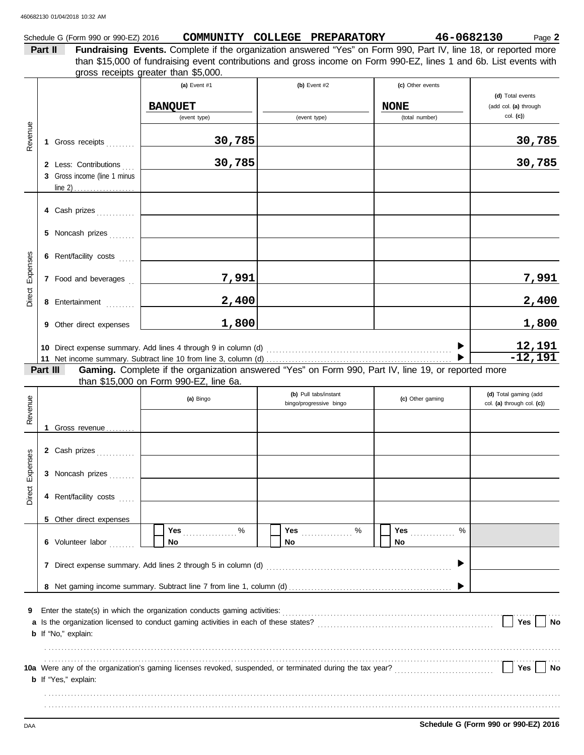|          | Part II  |                              | Fundraising Events. Complete if the organization answered "Yes" on Form 990, Part IV, line 18, or reported more<br>than \$15,000 of fundraising event contributions and gross income on Form 990-EZ, lines 1 and 6b. List events with |                                                  |                                            |                                                     |
|----------|----------|------------------------------|---------------------------------------------------------------------------------------------------------------------------------------------------------------------------------------------------------------------------------------|--------------------------------------------------|--------------------------------------------|-----------------------------------------------------|
|          |          |                              | gross receipts greater than \$5,000.                                                                                                                                                                                                  |                                                  |                                            |                                                     |
|          |          |                              | (a) Event #1                                                                                                                                                                                                                          | (b) Event $#2$                                   | (c) Other events                           |                                                     |
|          |          |                              | <b>BANQUET</b>                                                                                                                                                                                                                        |                                                  | <b>NONE</b>                                | (d) Total events<br>(add col. (a) through           |
|          |          |                              | (event type)                                                                                                                                                                                                                          | (event type)                                     | (total number)                             | col. (c)                                            |
| Revenue  |          | 1 Gross receipts             | 30,785                                                                                                                                                                                                                                |                                                  |                                            | 30,785                                              |
|          |          | 2 Less: Contributions        | 30,785                                                                                                                                                                                                                                |                                                  |                                            | 30,785                                              |
|          |          | 3 Gross income (line 1 minus |                                                                                                                                                                                                                                       |                                                  |                                            |                                                     |
|          |          | 4 Cash prizes                |                                                                                                                                                                                                                                       |                                                  |                                            |                                                     |
|          |          | 5 Noncash prizes             |                                                                                                                                                                                                                                       |                                                  |                                            |                                                     |
| Expenses |          | 6 Rent/facility costs        |                                                                                                                                                                                                                                       |                                                  |                                            |                                                     |
|          |          | 7 Food and beverages         | 7,991                                                                                                                                                                                                                                 |                                                  |                                            | <u>7,991</u>                                        |
| Direct   |          | 8 Entertainment              | 2,400                                                                                                                                                                                                                                 |                                                  |                                            | 2,400                                               |
|          |          | 9 Other direct expenses      | 1,800                                                                                                                                                                                                                                 |                                                  |                                            | 1,800                                               |
|          |          |                              | 10 Direct expense summary. Add lines 4 through 9 in column (d)                                                                                                                                                                        |                                                  |                                            | $\frac{12,191}{-12,191}$                            |
|          | Part III |                              | Gaming. Complete if the organization answered "Yes" on Form 990, Part IV, line 19, or reported more                                                                                                                                   |                                                  |                                            |                                                     |
|          |          |                              | than \$15,000 on Form 990-EZ, line 6a.                                                                                                                                                                                                |                                                  |                                            |                                                     |
| Revenue  |          |                              | (a) Bingo                                                                                                                                                                                                                             | (b) Pull tabs/instant<br>bingo/progressive bingo | (c) Other gaming                           | (d) Total gaming (add<br>col. (a) through col. (c)) |
|          |          | 1 Gross revenue              |                                                                                                                                                                                                                                       |                                                  |                                            |                                                     |
| enses    |          | 2 Cash prizes                |                                                                                                                                                                                                                                       |                                                  |                                            |                                                     |
| 찧        |          | 3 Noncash prizes             |                                                                                                                                                                                                                                       |                                                  |                                            |                                                     |
| Direct   |          | 4 Rent/facility costs        |                                                                                                                                                                                                                                       |                                                  |                                            |                                                     |
|          |          | 5 Other direct expenses      |                                                                                                                                                                                                                                       |                                                  |                                            |                                                     |
|          |          | 6 Volunteer labor            | Yes $%$<br>No.                                                                                                                                                                                                                        | No.                                              | <b>Yes</b> _____________<br>%<br><b>No</b> |                                                     |
|          |          |                              |                                                                                                                                                                                                                                       |                                                  |                                            |                                                     |
|          |          |                              |                                                                                                                                                                                                                                       |                                                  |                                            |                                                     |
|          |          |                              |                                                                                                                                                                                                                                       |                                                  |                                            |                                                     |
| 9        |          | <b>b</b> If "No," explain:   | Enter the state(s) in which the organization conducts gaming activities: [11] content conducts and state(s) in which the organization conducts gaming activities:                                                                     |                                                  |                                            | Yes<br>No                                           |
|          |          | <b>b</b> If "Yes," explain:  |                                                                                                                                                                                                                                       |                                                  |                                            | Yes<br>No                                           |
|          |          |                              |                                                                                                                                                                                                                                       |                                                  |                                            |                                                     |

Schedule G (Form 990 or 990-EZ) 2016 COMMUNITY COLLEGE PREPARATORY 46-0682130 Page 2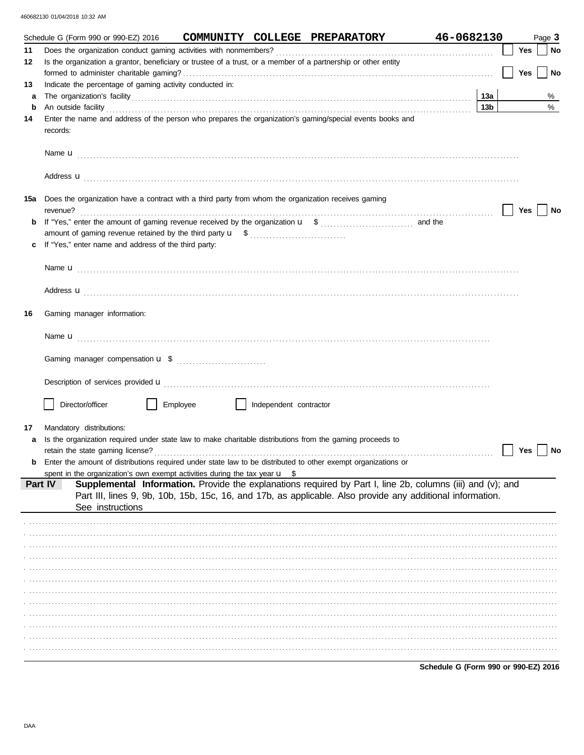|         | Schedule G (Form 990 or 990-EZ) 2016                                                                                                                                                                                                 |          |                        | COMMUNITY COLLEGE PREPARATORY | 46-0682130 |     | Page 3 |
|---------|--------------------------------------------------------------------------------------------------------------------------------------------------------------------------------------------------------------------------------------|----------|------------------------|-------------------------------|------------|-----|--------|
| 11      |                                                                                                                                                                                                                                      |          |                        |                               |            | Yes | No     |
| 12      | Is the organization a grantor, beneficiary or trustee of a trust, or a member of a partnership or other entity                                                                                                                       |          |                        |                               |            |     |        |
|         |                                                                                                                                                                                                                                      |          |                        |                               |            | Yes | No     |
| 13<br>a | Indicate the percentage of gaming activity conducted in:                                                                                                                                                                             |          |                        |                               | 13а        |     | %      |
| b       | An outside facility <b>contract and the contract of a contract of a contract of a contract of a contract of a contract of a contract of a contract of a contract of a contract of a contract of a contract of a contract of a co</b> |          |                        |                               | 13b        |     | %      |
| 14      | Enter the name and address of the person who prepares the organization's gaming/special events books and                                                                                                                             |          |                        |                               |            |     |        |
|         | records:                                                                                                                                                                                                                             |          |                        |                               |            |     |        |
|         |                                                                                                                                                                                                                                      |          |                        |                               |            |     |        |
|         |                                                                                                                                                                                                                                      |          |                        |                               |            |     |        |
|         |                                                                                                                                                                                                                                      |          |                        |                               |            |     |        |
|         | Address <b>u</b>                                                                                                                                                                                                                     |          |                        |                               |            |     |        |
|         | 15a Does the organization have a contract with a third party from whom the organization receives gaming                                                                                                                              |          |                        |                               |            |     |        |
|         |                                                                                                                                                                                                                                      |          |                        |                               |            | Yes | No     |
| b       |                                                                                                                                                                                                                                      |          |                        |                               |            |     |        |
|         | If "Yes," enter name and address of the third party:                                                                                                                                                                                 |          |                        |                               |            |     |        |
|         |                                                                                                                                                                                                                                      |          |                        |                               |            |     |        |
|         |                                                                                                                                                                                                                                      |          |                        |                               |            |     |        |
|         |                                                                                                                                                                                                                                      |          |                        |                               |            |     |        |
|         | Address <b>u</b>                                                                                                                                                                                                                     |          |                        |                               |            |     |        |
| 16      | Gaming manager information:                                                                                                                                                                                                          |          |                        |                               |            |     |        |
|         |                                                                                                                                                                                                                                      |          |                        |                               |            |     |        |
|         |                                                                                                                                                                                                                                      |          |                        |                               |            |     |        |
|         |                                                                                                                                                                                                                                      |          |                        |                               |            |     |        |
|         |                                                                                                                                                                                                                                      |          |                        |                               |            |     |        |
|         | Description of services provided <b>u</b> electron contract the contract of the contract of the contract of the contract of the contract of the contract of the contract of the contract of the contract of the contract of the con  |          |                        |                               |            |     |        |
|         |                                                                                                                                                                                                                                      |          |                        |                               |            |     |        |
|         | Director/officer                                                                                                                                                                                                                     | Employee | Independent contractor |                               |            |     |        |
|         |                                                                                                                                                                                                                                      |          |                        |                               |            |     |        |
| 17      | Mandatory distributions:                                                                                                                                                                                                             |          |                        |                               |            |     |        |
| а       | Is the organization required under state law to make charitable distributions from the gaming proceeds to<br>retain the state gaming license?                                                                                        |          |                        |                               |            | Yes | No     |
|         | <b>b</b> Enter the amount of distributions required under state law to be distributed to other exempt organizations or                                                                                                               |          |                        |                               |            |     |        |
|         | spent in the organization's own exempt activities during the tax year $\mathbf{u}$ \$                                                                                                                                                |          |                        |                               |            |     |        |
|         | Supplemental Information. Provide the explanations required by Part I, line 2b, columns (iii) and (v); and<br>Part IV                                                                                                                |          |                        |                               |            |     |        |
|         | Part III, lines 9, 9b, 10b, 15b, 15c, 16, and 17b, as applicable. Also provide any additional information.                                                                                                                           |          |                        |                               |            |     |        |
|         | See instructions                                                                                                                                                                                                                     |          |                        |                               |            |     |        |
|         |                                                                                                                                                                                                                                      |          |                        |                               |            |     |        |
|         |                                                                                                                                                                                                                                      |          |                        |                               |            |     |        |
|         |                                                                                                                                                                                                                                      |          |                        |                               |            |     |        |
|         |                                                                                                                                                                                                                                      |          |                        |                               |            |     |        |
|         |                                                                                                                                                                                                                                      |          |                        |                               |            |     |        |
|         |                                                                                                                                                                                                                                      |          |                        |                               |            |     |        |
|         |                                                                                                                                                                                                                                      |          |                        |                               |            |     |        |
|         |                                                                                                                                                                                                                                      |          |                        |                               |            |     |        |
|         |                                                                                                                                                                                                                                      |          |                        |                               |            |     |        |
|         |                                                                                                                                                                                                                                      |          |                        |                               |            |     |        |
|         |                                                                                                                                                                                                                                      |          |                        |                               |            |     |        |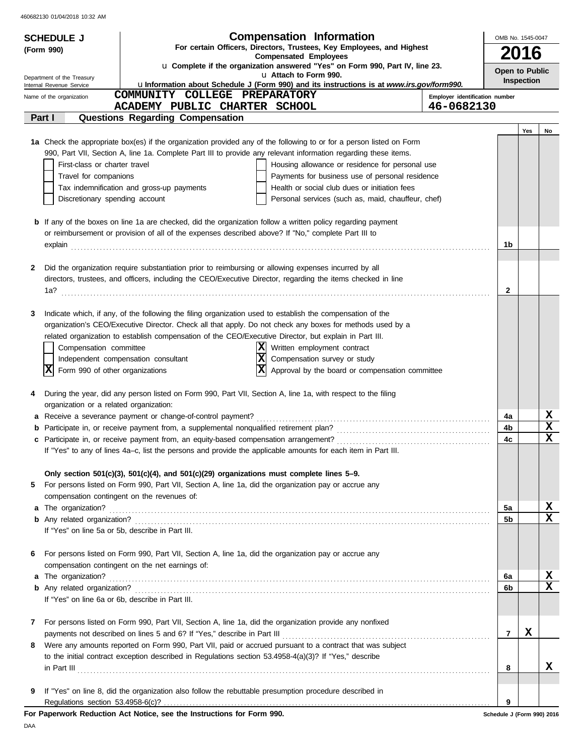|   | <b>SCHEDULE J</b>                                                                                                   |                                                                                                                                                                                                             | <b>Compensation Information</b>                                                                                                                                    |                                | OMB No. 1545-0047          |            |             |
|---|---------------------------------------------------------------------------------------------------------------------|-------------------------------------------------------------------------------------------------------------------------------------------------------------------------------------------------------------|--------------------------------------------------------------------------------------------------------------------------------------------------------------------|--------------------------------|----------------------------|------------|-------------|
|   | For certain Officers, Directors, Trustees, Key Employees, and Highest<br>(Form 990)<br><b>Compensated Employees</b> |                                                                                                                                                                                                             | 2016                                                                                                                                                               |                                |                            |            |             |
|   |                                                                                                                     |                                                                                                                                                                                                             | u Complete if the organization answered "Yes" on Form 990, Part IV, line 23.<br>u Attach to Form 990.                                                              |                                | Open to Public             |            |             |
|   | Department of the Treasury<br>Internal Revenue Service                                                              |                                                                                                                                                                                                             | <b>ulnformation about Schedule J (Form 990) and its instructions is at www.irs.gov/form990.</b>                                                                    |                                |                            | Inspection |             |
|   | Name of the organization                                                                                            | COMMUNITY COLLEGE PREPARATORY                                                                                                                                                                               |                                                                                                                                                                    | Employer identification number |                            |            |             |
|   |                                                                                                                     | ACADEMY PUBLIC CHARTER SCHOOL                                                                                                                                                                               |                                                                                                                                                                    | 46-0682130                     |                            |            |             |
|   | Part I                                                                                                              | Questions Regarding Compensation                                                                                                                                                                            |                                                                                                                                                                    |                                |                            |            |             |
|   |                                                                                                                     |                                                                                                                                                                                                             |                                                                                                                                                                    |                                |                            | Yes        | No          |
|   |                                                                                                                     |                                                                                                                                                                                                             | 1a Check the appropriate box(es) if the organization provided any of the following to or for a person listed on Form                                               |                                |                            |            |             |
|   | First-class or charter travel                                                                                       |                                                                                                                                                                                                             | 990, Part VII, Section A, line 1a. Complete Part III to provide any relevant information regarding these items.<br>Housing allowance or residence for personal use |                                |                            |            |             |
|   | Travel for companions                                                                                               |                                                                                                                                                                                                             | Payments for business use of personal residence                                                                                                                    |                                |                            |            |             |
|   |                                                                                                                     | Tax indemnification and gross-up payments                                                                                                                                                                   | Health or social club dues or initiation fees                                                                                                                      |                                |                            |            |             |
|   | Discretionary spending account                                                                                      |                                                                                                                                                                                                             | Personal services (such as, maid, chauffeur, chef)                                                                                                                 |                                |                            |            |             |
|   |                                                                                                                     |                                                                                                                                                                                                             |                                                                                                                                                                    |                                |                            |            |             |
|   |                                                                                                                     | <b>b</b> If any of the boxes on line 1a are checked, did the organization follow a written policy regarding payment                                                                                         |                                                                                                                                                                    |                                |                            |            |             |
|   |                                                                                                                     | or reimbursement or provision of all of the expenses described above? If "No," complete Part III to                                                                                                         |                                                                                                                                                                    |                                |                            |            |             |
|   | explain                                                                                                             |                                                                                                                                                                                                             |                                                                                                                                                                    |                                | 1b                         |            |             |
|   |                                                                                                                     |                                                                                                                                                                                                             |                                                                                                                                                                    |                                |                            |            |             |
| 2 |                                                                                                                     | Did the organization require substantiation prior to reimbursing or allowing expenses incurred by all                                                                                                       | directors, trustees, and officers, including the CEO/Executive Director, regarding the items checked in line                                                       |                                |                            |            |             |
|   | 1a?                                                                                                                 |                                                                                                                                                                                                             |                                                                                                                                                                    |                                | 2                          |            |             |
|   |                                                                                                                     |                                                                                                                                                                                                             |                                                                                                                                                                    |                                |                            |            |             |
| 3 |                                                                                                                     | Indicate which, if any, of the following the filing organization used to establish the compensation of the                                                                                                  |                                                                                                                                                                    |                                |                            |            |             |
|   |                                                                                                                     |                                                                                                                                                                                                             | organization's CEO/Executive Director. Check all that apply. Do not check any boxes for methods used by a                                                          |                                |                            |            |             |
|   |                                                                                                                     | related organization to establish compensation of the CEO/Executive Director, but explain in Part III.                                                                                                      |                                                                                                                                                                    |                                |                            |            |             |
|   | Compensation committee                                                                                              |                                                                                                                                                                                                             | Written employment contract                                                                                                                                        |                                |                            |            |             |
|   |                                                                                                                     | Independent compensation consultant                                                                                                                                                                         | 図<br>Compensation survey or study                                                                                                                                  |                                |                            |            |             |
|   | x<br>Form 990 of other organizations                                                                                |                                                                                                                                                                                                             | Ιx<br>Approval by the board or compensation committee                                                                                                              |                                |                            |            |             |
| 4 |                                                                                                                     | During the year, did any person listed on Form 990, Part VII, Section A, line 1a, with respect to the filing                                                                                                |                                                                                                                                                                    |                                |                            |            |             |
|   | organization or a related organization:                                                                             |                                                                                                                                                                                                             |                                                                                                                                                                    |                                |                            |            |             |
|   |                                                                                                                     | a Receive a severance payment or change-of-control payment?                                                                                                                                                 |                                                                                                                                                                    |                                | 4a                         |            | х           |
| b |                                                                                                                     |                                                                                                                                                                                                             |                                                                                                                                                                    |                                | 4b                         |            | $\mathbf x$ |
|   |                                                                                                                     |                                                                                                                                                                                                             |                                                                                                                                                                    |                                | 4c                         |            | $\mathbf x$ |
|   |                                                                                                                     | If "Yes" to any of lines 4a–c, list the persons and provide the applicable amounts for each item in Part III.                                                                                               |                                                                                                                                                                    |                                |                            |            |             |
|   |                                                                                                                     |                                                                                                                                                                                                             |                                                                                                                                                                    |                                |                            |            |             |
| 5 |                                                                                                                     | Only section $501(c)(3)$ , $501(c)(4)$ , and $501(c)(29)$ organizations must complete lines $5-9$ .<br>For persons listed on Form 990, Part VII, Section A, line 1a, did the organization pay or accrue any |                                                                                                                                                                    |                                |                            |            |             |
|   |                                                                                                                     | compensation contingent on the revenues of:                                                                                                                                                                 |                                                                                                                                                                    |                                |                            |            |             |
|   | a The organization?                                                                                                 |                                                                                                                                                                                                             |                                                                                                                                                                    |                                | 5a                         |            | x           |
|   |                                                                                                                     |                                                                                                                                                                                                             |                                                                                                                                                                    |                                | 5b                         |            | $\mathbf x$ |
|   | If "Yes" on line 5a or 5b, describe in Part III.                                                                    |                                                                                                                                                                                                             |                                                                                                                                                                    |                                |                            |            |             |
|   |                                                                                                                     |                                                                                                                                                                                                             |                                                                                                                                                                    |                                |                            |            |             |
| 6 |                                                                                                                     | For persons listed on Form 990, Part VII, Section A, line 1a, did the organization pay or accrue any                                                                                                        |                                                                                                                                                                    |                                |                            |            |             |
|   |                                                                                                                     | compensation contingent on the net earnings of:                                                                                                                                                             |                                                                                                                                                                    |                                |                            |            | X           |
|   | a The organization?                                                                                                 |                                                                                                                                                                                                             |                                                                                                                                                                    |                                | 6а<br>6b                   |            | X           |
|   | If "Yes" on line 6a or 6b, describe in Part III.                                                                    |                                                                                                                                                                                                             |                                                                                                                                                                    |                                |                            |            |             |
|   |                                                                                                                     |                                                                                                                                                                                                             |                                                                                                                                                                    |                                |                            |            |             |
| 7 |                                                                                                                     | For persons listed on Form 990, Part VII, Section A, line 1a, did the organization provide any nonfixed                                                                                                     |                                                                                                                                                                    |                                |                            |            |             |
|   |                                                                                                                     |                                                                                                                                                                                                             |                                                                                                                                                                    |                                | $\overline{7}$             | X          |             |
| 8 |                                                                                                                     |                                                                                                                                                                                                             | Were any amounts reported on Form 990, Part VII, paid or accrued pursuant to a contract that was subject                                                           |                                |                            |            |             |
|   |                                                                                                                     | to the initial contract exception described in Regulations section 53.4958-4(a)(3)? If "Yes," describe                                                                                                      |                                                                                                                                                                    |                                |                            |            |             |
|   |                                                                                                                     |                                                                                                                                                                                                             | $\ $ n Part III $\ $                                                                                                                                               |                                | 8                          |            | x           |
| 9 |                                                                                                                     | If "Yes" on line 8, did the organization also follow the rebuttable presumption procedure described in                                                                                                      |                                                                                                                                                                    |                                |                            |            |             |
|   |                                                                                                                     |                                                                                                                                                                                                             |                                                                                                                                                                    |                                | 9                          |            |             |
|   |                                                                                                                     | For Paperwork Reduction Act Notice, see the Instructions for Form 990.                                                                                                                                      |                                                                                                                                                                    |                                | Schedule J (Form 990) 2016 |            |             |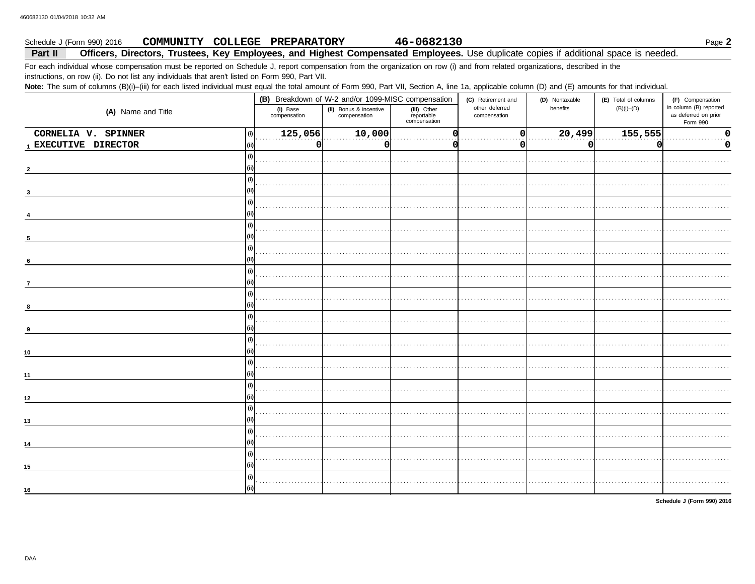#### 46-0682130 Schedule J (Form 990) 2016 COMMUNITY COLLEGE PREPARATORY

#### Part II Officers, Directors, Trustees, Key Employees, and Highest Compensated Employees. Use duplicate copies if additional space is needed.

For each individual whose compensation must be reported on Schedule J, report compensation from the organization on row (i) and from related organizations, described in the instructions, on row (ii). Do not list any individuals that aren't listed on Form 990, Part VII.

Note: The sum of columns (B)(i)-(iii) for each listed individual must equal the total amount of Form 990, Part VII, Section A, line 1a, applicable column (D) and (E) amounts for that individual.

|                      |                          | (B) Breakdown of W-2 and/or 1099-MISC compensation |                                           | (C) Retirement and             | (D) Nontaxable | (E) Total of columns | (F) Compensation                                           |
|----------------------|--------------------------|----------------------------------------------------|-------------------------------------------|--------------------------------|----------------|----------------------|------------------------------------------------------------|
| (A) Name and Title   | (i) Base<br>compensation | (ii) Bonus & incentive<br>compensation             | (iii) Other<br>reportable<br>compensation | other deferred<br>compensation | benefits       | $(B)(i)$ - $(D)$     | in column (B) reported<br>as deferred on prior<br>Form 990 |
| CORNELIA V. SPINNER  | 125,056<br>(i)           | 10,000                                             |                                           |                                | 20,499         | 155,555              | 0                                                          |
| 1 EXECUTIVE DIRECTOR | (ii)                     | $\Omega$                                           | $\Omega$                                  |                                | 0              |                      | 0                                                          |
|                      | (i)                      |                                                    |                                           |                                |                |                      |                                                            |
|                      |                          |                                                    |                                           |                                |                |                      |                                                            |
|                      | (i)                      |                                                    |                                           |                                |                |                      |                                                            |
|                      |                          |                                                    |                                           |                                |                |                      |                                                            |
|                      | (i)                      |                                                    |                                           |                                |                |                      |                                                            |
|                      |                          |                                                    |                                           |                                |                |                      |                                                            |
|                      | (i)                      |                                                    |                                           |                                |                |                      |                                                            |
|                      |                          |                                                    |                                           |                                |                |                      |                                                            |
|                      | (i)                      |                                                    |                                           |                                |                |                      |                                                            |
| 6                    |                          |                                                    |                                           |                                |                |                      |                                                            |
|                      | (i)                      |                                                    |                                           |                                |                |                      |                                                            |
|                      |                          |                                                    |                                           |                                |                |                      |                                                            |
|                      | (i)                      |                                                    |                                           |                                |                |                      |                                                            |
| 8                    |                          |                                                    |                                           |                                |                |                      |                                                            |
|                      | (i)                      |                                                    |                                           |                                |                |                      |                                                            |
| $\mathbf{Q}$         |                          |                                                    |                                           |                                |                |                      |                                                            |
|                      | (i)                      |                                                    |                                           |                                |                |                      |                                                            |
| 10                   |                          |                                                    |                                           |                                |                |                      |                                                            |
|                      | (i)                      |                                                    |                                           |                                |                |                      |                                                            |
| 11                   |                          |                                                    |                                           |                                |                |                      |                                                            |
|                      | (i)                      |                                                    |                                           |                                |                |                      |                                                            |
| 12                   |                          |                                                    |                                           |                                |                |                      |                                                            |
|                      | (i)                      |                                                    |                                           |                                |                |                      |                                                            |
| 13                   |                          |                                                    |                                           |                                |                |                      |                                                            |
|                      | (i)                      |                                                    |                                           |                                |                |                      |                                                            |
| 14                   |                          |                                                    |                                           |                                |                |                      |                                                            |
|                      | (i)                      |                                                    |                                           |                                |                |                      |                                                            |
| 15                   |                          |                                                    |                                           |                                |                |                      |                                                            |
|                      | (i)                      |                                                    |                                           |                                |                |                      |                                                            |
| 16                   |                          |                                                    |                                           |                                |                |                      |                                                            |
|                      |                          |                                                    |                                           |                                |                |                      |                                                            |

Schedule J (Form 990) 2016

Page 2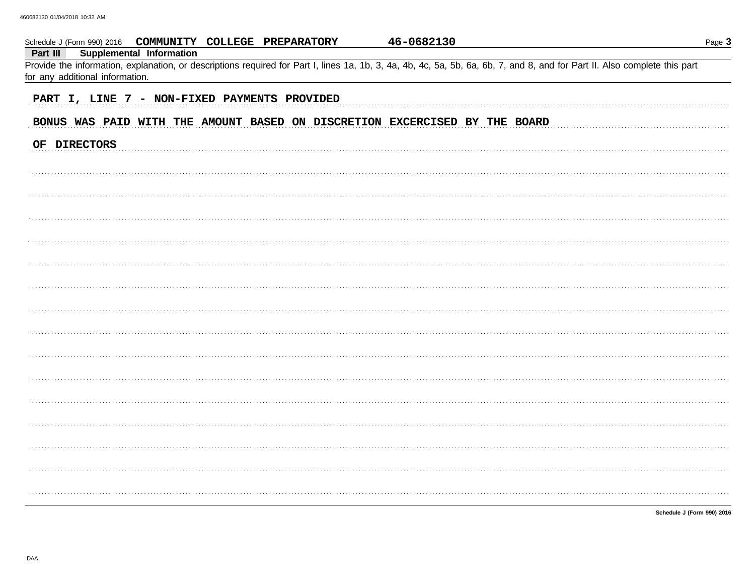| Schedule J (Form 990) 2016 COMMUNITY COLLEGE PREPARATORY                                                                                                                                                                                                     | 46-0682130 | Page 3                     |
|--------------------------------------------------------------------------------------------------------------------------------------------------------------------------------------------------------------------------------------------------------------|------------|----------------------------|
| <b>Supplemental Information</b><br>Part III<br>Provide the information, explanation, or descriptions required for Part I, lines 1a, 1b, 3, 4a, 4b, 4c, 5a, 5b, 6a, 6b, 7, and 8, and for Part II. Also complete this part<br>for any additional information. |            |                            |
| PART I, LINE 7 - NON-FIXED PAYMENTS PROVIDED                                                                                                                                                                                                                 |            |                            |
| BONUS WAS PAID WITH THE AMOUNT BASED ON DISCRETION EXCERCISED BY THE BOARD                                                                                                                                                                                   |            |                            |
| OF DIRECTORS                                                                                                                                                                                                                                                 |            |                            |
|                                                                                                                                                                                                                                                              |            |                            |
|                                                                                                                                                                                                                                                              |            |                            |
|                                                                                                                                                                                                                                                              |            |                            |
|                                                                                                                                                                                                                                                              |            |                            |
|                                                                                                                                                                                                                                                              |            |                            |
|                                                                                                                                                                                                                                                              |            |                            |
|                                                                                                                                                                                                                                                              |            |                            |
|                                                                                                                                                                                                                                                              |            |                            |
|                                                                                                                                                                                                                                                              |            |                            |
|                                                                                                                                                                                                                                                              |            |                            |
|                                                                                                                                                                                                                                                              |            |                            |
|                                                                                                                                                                                                                                                              |            |                            |
|                                                                                                                                                                                                                                                              |            |                            |
|                                                                                                                                                                                                                                                              |            |                            |
|                                                                                                                                                                                                                                                              |            |                            |
|                                                                                                                                                                                                                                                              |            | Schedule J (Form 990) 2016 |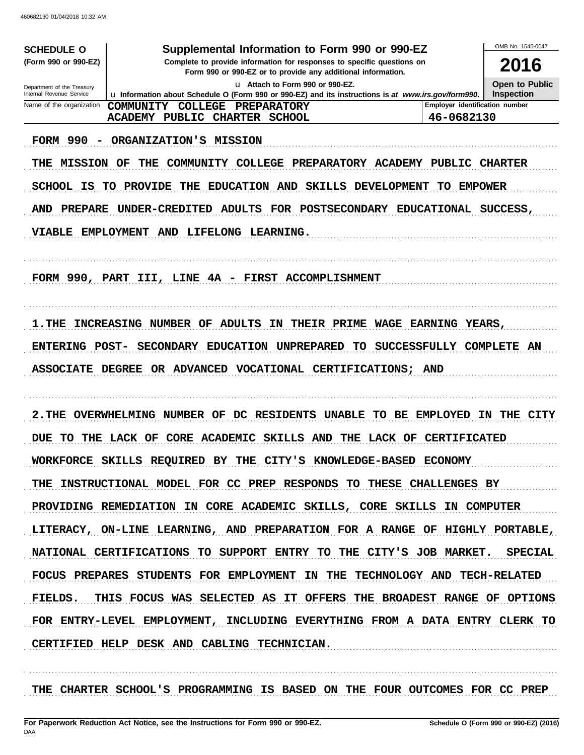| Supplemental Information to Form 990 or 990-EZ<br>Complete to provide information for responses to specific questions on<br>Form 990 or 990-EZ or to provide any additional information. |                                                                                                                                                                                                                                                                                                               | 2016                                                                                                                                                                                                                                                                                                                                                                                                                                                                                                                                                                                                                                                                                                                                                                                                                                                                                                                                                                 |
|------------------------------------------------------------------------------------------------------------------------------------------------------------------------------------------|---------------------------------------------------------------------------------------------------------------------------------------------------------------------------------------------------------------------------------------------------------------------------------------------------------------|----------------------------------------------------------------------------------------------------------------------------------------------------------------------------------------------------------------------------------------------------------------------------------------------------------------------------------------------------------------------------------------------------------------------------------------------------------------------------------------------------------------------------------------------------------------------------------------------------------------------------------------------------------------------------------------------------------------------------------------------------------------------------------------------------------------------------------------------------------------------------------------------------------------------------------------------------------------------|
|                                                                                                                                                                                          |                                                                                                                                                                                                                                                                                                               |                                                                                                                                                                                                                                                                                                                                                                                                                                                                                                                                                                                                                                                                                                                                                                                                                                                                                                                                                                      |
|                                                                                                                                                                                          |                                                                                                                                                                                                                                                                                                               |                                                                                                                                                                                                                                                                                                                                                                                                                                                                                                                                                                                                                                                                                                                                                                                                                                                                                                                                                                      |
| u Attach to Form 990 or 990-EZ.                                                                                                                                                          |                                                                                                                                                                                                                                                                                                               | Open to Public<br><b>Inspection</b>                                                                                                                                                                                                                                                                                                                                                                                                                                                                                                                                                                                                                                                                                                                                                                                                                                                                                                                                  |
|                                                                                                                                                                                          |                                                                                                                                                                                                                                                                                                               |                                                                                                                                                                                                                                                                                                                                                                                                                                                                                                                                                                                                                                                                                                                                                                                                                                                                                                                                                                      |
|                                                                                                                                                                                          |                                                                                                                                                                                                                                                                                                               |                                                                                                                                                                                                                                                                                                                                                                                                                                                                                                                                                                                                                                                                                                                                                                                                                                                                                                                                                                      |
| MISSION                                                                                                                                                                                  |                                                                                                                                                                                                                                                                                                               |                                                                                                                                                                                                                                                                                                                                                                                                                                                                                                                                                                                                                                                                                                                                                                                                                                                                                                                                                                      |
| OF<br>THE<br>COMMUNITY                                                                                                                                                                   |                                                                                                                                                                                                                                                                                                               |                                                                                                                                                                                                                                                                                                                                                                                                                                                                                                                                                                                                                                                                                                                                                                                                                                                                                                                                                                      |
| <b>PROVIDE</b><br>EDUCATION AND<br>THE                                                                                                                                                   | TО                                                                                                                                                                                                                                                                                                            |                                                                                                                                                                                                                                                                                                                                                                                                                                                                                                                                                                                                                                                                                                                                                                                                                                                                                                                                                                      |
| UNDER-CREDITED<br><b>ADULTS</b><br><b>FOR</b><br><b>POSTSECONDARY</b>                                                                                                                    |                                                                                                                                                                                                                                                                                                               | SUCCESS,                                                                                                                                                                                                                                                                                                                                                                                                                                                                                                                                                                                                                                                                                                                                                                                                                                                                                                                                                             |
| <b>LIFELONG</b><br><b>LEARNING.</b><br>AND                                                                                                                                               |                                                                                                                                                                                                                                                                                                               |                                                                                                                                                                                                                                                                                                                                                                                                                                                                                                                                                                                                                                                                                                                                                                                                                                                                                                                                                                      |
|                                                                                                                                                                                          |                                                                                                                                                                                                                                                                                                               |                                                                                                                                                                                                                                                                                                                                                                                                                                                                                                                                                                                                                                                                                                                                                                                                                                                                                                                                                                      |
|                                                                                                                                                                                          |                                                                                                                                                                                                                                                                                                               |                                                                                                                                                                                                                                                                                                                                                                                                                                                                                                                                                                                                                                                                                                                                                                                                                                                                                                                                                                      |
|                                                                                                                                                                                          |                                                                                                                                                                                                                                                                                                               |                                                                                                                                                                                                                                                                                                                                                                                                                                                                                                                                                                                                                                                                                                                                                                                                                                                                                                                                                                      |
| NUMBER OF<br><b>ADULTS</b><br>THEIR PRIME<br>WAGE<br>ΙN                                                                                                                                  |                                                                                                                                                                                                                                                                                                               |                                                                                                                                                                                                                                                                                                                                                                                                                                                                                                                                                                                                                                                                                                                                                                                                                                                                                                                                                                      |
| <b>SECONDARY</b><br><b>EDUCATION</b><br><b>UNPREPARED</b><br>TO                                                                                                                          |                                                                                                                                                                                                                                                                                                               | COMPLETE AN                                                                                                                                                                                                                                                                                                                                                                                                                                                                                                                                                                                                                                                                                                                                                                                                                                                                                                                                                          |
| ADVANCED VOCATIONAL<br>OR.                                                                                                                                                               |                                                                                                                                                                                                                                                                                                               |                                                                                                                                                                                                                                                                                                                                                                                                                                                                                                                                                                                                                                                                                                                                                                                                                                                                                                                                                                      |
|                                                                                                                                                                                          |                                                                                                                                                                                                                                                                                                               |                                                                                                                                                                                                                                                                                                                                                                                                                                                                                                                                                                                                                                                                                                                                                                                                                                                                                                                                                                      |
| <b>RESIDENTS</b><br><b>UNABLE</b><br><b>NUMBER</b><br>OF<br>DC<br>TO.<br>BE                                                                                                              |                                                                                                                                                                                                                                                                                                               | THE<br>ΙN<br>CITY                                                                                                                                                                                                                                                                                                                                                                                                                                                                                                                                                                                                                                                                                                                                                                                                                                                                                                                                                    |
| <b>CORE</b><br><b>ACADEMIC</b><br><b>SKILLS</b><br>AND<br>THE                                                                                                                            |                                                                                                                                                                                                                                                                                                               |                                                                                                                                                                                                                                                                                                                                                                                                                                                                                                                                                                                                                                                                                                                                                                                                                                                                                                                                                                      |
| <b>REQUIRED</b><br>BY<br>THE<br>CITY'S                                                                                                                                                   | <b>ECONOMY</b>                                                                                                                                                                                                                                                                                                |                                                                                                                                                                                                                                                                                                                                                                                                                                                                                                                                                                                                                                                                                                                                                                                                                                                                                                                                                                      |
|                                                                                                                                                                                          |                                                                                                                                                                                                                                                                                                               |                                                                                                                                                                                                                                                                                                                                                                                                                                                                                                                                                                                                                                                                                                                                                                                                                                                                                                                                                                      |
|                                                                                                                                                                                          |                                                                                                                                                                                                                                                                                                               |                                                                                                                                                                                                                                                                                                                                                                                                                                                                                                                                                                                                                                                                                                                                                                                                                                                                                                                                                                      |
|                                                                                                                                                                                          |                                                                                                                                                                                                                                                                                                               |                                                                                                                                                                                                                                                                                                                                                                                                                                                                                                                                                                                                                                                                                                                                                                                                                                                                                                                                                                      |
|                                                                                                                                                                                          |                                                                                                                                                                                                                                                                                                               | <b>SPECIAL</b>                                                                                                                                                                                                                                                                                                                                                                                                                                                                                                                                                                                                                                                                                                                                                                                                                                                                                                                                                       |
|                                                                                                                                                                                          |                                                                                                                                                                                                                                                                                                               |                                                                                                                                                                                                                                                                                                                                                                                                                                                                                                                                                                                                                                                                                                                                                                                                                                                                                                                                                                      |
|                                                                                                                                                                                          |                                                                                                                                                                                                                                                                                                               |                                                                                                                                                                                                                                                                                                                                                                                                                                                                                                                                                                                                                                                                                                                                                                                                                                                                                                                                                                      |
|                                                                                                                                                                                          |                                                                                                                                                                                                                                                                                                               |                                                                                                                                                                                                                                                                                                                                                                                                                                                                                                                                                                                                                                                                                                                                                                                                                                                                                                                                                                      |
|                                                                                                                                                                                          |                                                                                                                                                                                                                                                                                                               |                                                                                                                                                                                                                                                                                                                                                                                                                                                                                                                                                                                                                                                                                                                                                                                                                                                                                                                                                                      |
| <b>PREPARE</b>                                                                                                                                                                           | COMMUNITY COLLEGE PREPARATORY<br>ACADEMY PUBLIC CHARTER SCHOOL<br><b>ORGANIZATION'S</b><br><b>MISSION</b><br>TO.<br><b>EMPLOYMENT</b><br>FORM 990, PART III, LINE 4A - FIRST ACCOMPLISHMENT<br><b>INCREASING</b><br><b>ENTERING POST-</b><br><b>DEGREE</b><br><b>OVERWHELMING</b><br>LACK OF<br><b>SKILLS</b> | La Information about Schedule O (Form 990 or 990-EZ) and its instructions is at www.irs.gov/form990.<br>Employer identification number<br>46-0682130<br>COLLEGE PREPARATORY ACADEMY<br>PUBLIC CHARTER<br>SKILLS DEVELOPMENT<br><b>EMPOWER</b><br><b>EDUCATIONAL</b><br><b>EARNING</b><br><b>YEARS,</b><br><b>SUCCESSFULLY</b><br>CERTIFICATIONS; AND<br><b>EMPLOYED</b><br>LACK OF<br><b>CERTIFICATED</b><br>KNOWLEDGE-BASED<br>THE INSTRUCTIONAL MODEL FOR CC PREP RESPONDS TO THESE CHALLENGES BY<br>PROVIDING REMEDIATION IN CORE ACADEMIC SKILLS, CORE SKILLS IN COMPUTER<br>LITERACY, ON-LINE LEARNING, AND PREPARATION FOR A RANGE OF HIGHLY PORTABLE,<br>NATIONAL CERTIFICATIONS TO SUPPORT ENTRY TO THE CITY'S JOB MARKET.<br>FOCUS PREPARES STUDENTS FOR EMPLOYMENT IN THE TECHNOLOGY AND TECH-RELATED<br>THIS FOCUS WAS SELECTED AS IT OFFERS THE BROADEST RANGE OF OPTIONS<br>FOR ENTRY-LEVEL EMPLOYMENT, INCLUDING EVERYTHING FROM A DATA ENTRY CLERK TO |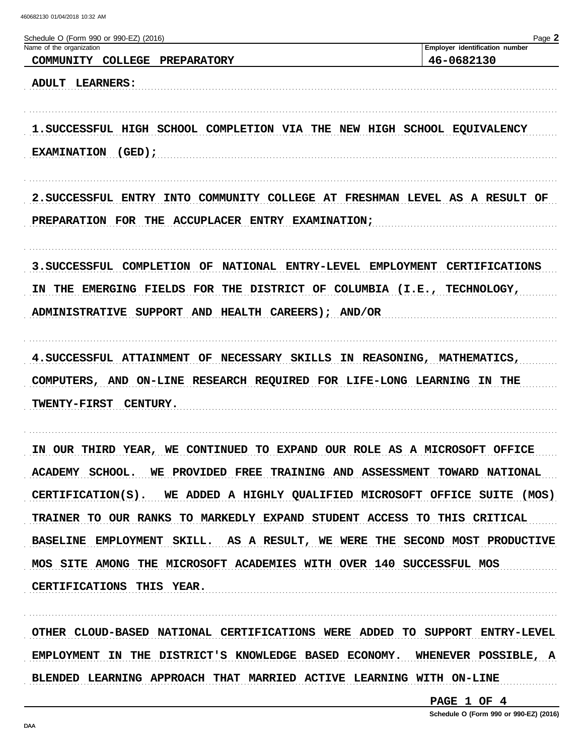| Name of the organization |                                                                               | Employer identification number |
|--------------------------|-------------------------------------------------------------------------------|--------------------------------|
|                          | COMMUNITY COLLEGE PREPARATORY                                                 | 46-0682130                     |
| <b>ADULT</b>             | <b>LEARNERS:</b>                                                              |                                |
|                          | 1. SUCCESSFUL HIGH SCHOOL COMPLETION VIA THE NEW HIGH SCHOOL EQUIVALENCY      |                                |
| <b>EXAMINATION</b>       | $(GED)$ ;                                                                     |                                |
|                          | 2.SUCCESSFUL ENTRY INTO COMMUNITY COLLEGE AT FRESHMAN LEVEL AS A RESULT OF    |                                |
|                          | PREPARATION FOR THE ACCUPLACER ENTRY EXAMINATION;                             |                                |
|                          | NATIONAL ENTRY-LEVEL EMPLOYMENT CERTIFICATIONS<br>3.SUCCESSFUL COMPLETION OF  |                                |
| ΙN                       | FOR THE DISTRICT OF COLUMBIA (I.E., TECHNOLOGY,<br>THE EMERGING FIELDS        |                                |
|                          | ADMINISTRATIVE SUPPORT AND HEALTH CAREERS); AND/OR                            |                                |
|                          |                                                                               |                                |
|                          | 4. SUCCESSFUL ATTAINMENT<br>NECESSARY SKILLS IN REASONING, MATHEMATICS,<br>OF |                                |
|                          | COMPUTERS, AND ON-LINE RESEARCH REQUIRED FOR LIFE-LONG LEARNING               | IN THE                         |
| <b>TWENTY-FIRST</b>      | CENTURY.                                                                      |                                |
|                          |                                                                               |                                |
|                          | IN OUR THIRD YEAR, WE CONTINUED TO EXPAND OUR ROLE AS A MICROSOFT OFFICE      |                                |
|                          | ACADEMY SCHOOL. WE PROVIDED FREE TRAINING AND ASSESSMENT TOWARD NATIONAL      |                                |
|                          | CERTIFICATION(S). WE ADDED A HIGHLY QUALIFIED MICROSOFT OFFICE SUITE (MOS)    |                                |
|                          | TRAINER TO OUR RANKS TO MARKEDLY EXPAND STUDENT ACCESS TO THIS CRITICAL       |                                |
|                          | BASELINE EMPLOYMENT SKILL. AS A RESULT, WE WERE THE SECOND MOST PRODUCTIVE    |                                |
|                          | MOS SITE AMONG THE MICROSOFT ACADEMIES WITH OVER 140 SUCCESSFUL MOS           |                                |
|                          | CERTIFICATIONS THIS YEAR.                                                     |                                |
|                          |                                                                               |                                |
|                          | OTHER CLOUD-BASED NATIONAL CERTIFICATIONS WERE ADDED TO SUPPORT ENTRY-LEVEL   |                                |
|                          | EMPLOYMENT IN THE DISTRICT'S KNOWLEDGE BASED ECONOMY. WHENEVER POSSIBLE, A    |                                |

BLENDED LEARNING APPROACH THAT MARRIED ACTIVE LEARNING WITH ON-LINE . . . . . . . . . . . . . . .

PAGE 1 OF 4

Schedule O (Form 990 or 990-EZ) (2016)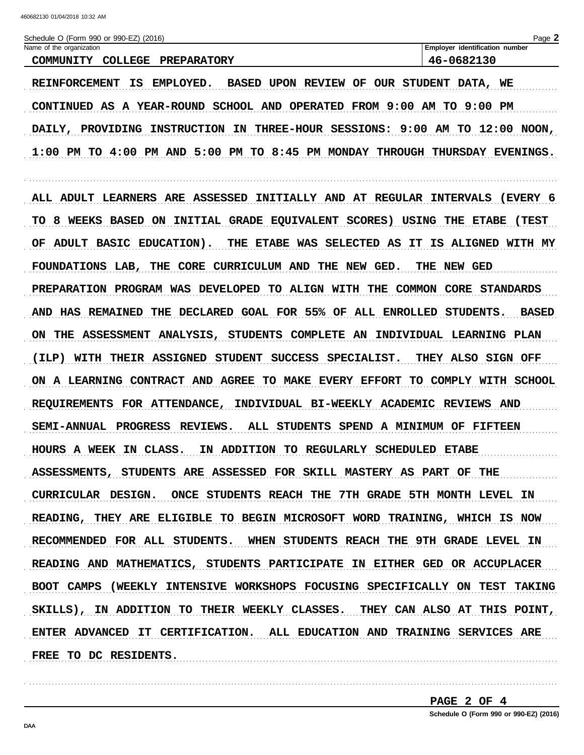| Schedule O (Form 990 or 990-EZ) (2016) |         |             |                                | $P$ aqe $\blacksquare$ |
|----------------------------------------|---------|-------------|--------------------------------|------------------------|
| Name of the organization               |         |             | Employer identification number |                        |
| COMMUNITY                              | COLLEGE | PREPARATORY | 46-0682130                     |                        |

REINFORCEMENT IS EMPLOYED. BASED UPON REVIEW OF OUR STUDENT DATA, WE CONTINUED AS A YEAR-ROUND SCHOOL AND OPERATED FROM 9:00 AM TO 9:00 PM DAILY, PROVIDING INSTRUCTION IN THREE-HOUR SESSIONS: 9:00 AM TO 12:00 NOON,  $1:00$  PM TO  $4:00$  PM AND 5:00 PM TO 8:45 PM MONDAY THROUGH THURSDAY EVENINGS.

ALL ADULT LEARNERS ARE ASSESSED INITIALLY AND AT REGULAR INTERVALS (EVERY 6 TO 8 WEEKS BASED ON INITIAL GRADE EQUIVALENT SCORES) USING THE ETABE (TEST OF ADULT BASIC EDUCATION). THE ETABE WAS SELECTED AS IT IS ALIGNED WITH MY FOUNDATIONS LAB, THE CORE CURRICULUM AND THE NEW GED. THE NEW GED PREPARATION PROGRAM WAS DEVELOPED TO ALIGN WITH THE COMMON CORE STANDARDS AND HAS REMAINED THE DECLARED GOAL FOR 55% OF ALL ENROLLED STUDENTS. BASED ON THE ASSESSMENT ANALYSIS, STUDENTS COMPLETE AN INDIVIDUAL LEARNING PLAN (ILP) WITH THEIR ASSIGNED STUDENT SUCCESS SPECIALIST. THEY ALSO SIGN OFF ON A LEARNING CONTRACT AND AGREE TO MAKE EVERY EFFORT TO COMPLY WITH SCHOOL REQUIREMENTS FOR ATTENDANCE, INDIVIDUAL BI-WEEKLY ACADEMIC REVIEWS AND SEMI-ANNUAL PROGRESS REVIEWS. ALL STUDENTS SPEND A MINIMUM OF FIFTEEN HOURS A WEEK IN CLASS. IN ADDITION TO REGULARLY SCHEDULED ETABE ASSESSMENTS, STUDENTS ARE ASSESSED FOR SKILL MASTERY AS PART OF THE CURRICULAR DESIGN. ONCE STUDENTS REACH THE 7TH GRADE 5TH MONTH LEVEL IN READING, THEY ARE ELIGIBLE TO BEGIN MICROSOFT WORD TRAINING, WHICH IS NOW RECOMMENDED FOR ALL STUDENTS. WHEN STUDENTS REACH THE 9TH GRADE LEVEL IN READING AND MATHEMATICS, STUDENTS PARTICIPATE IN EITHER GED OR ACCUPLACER BOOT CAMPS (WEEKLY INTENSIVE WORKSHOPS FOCUSING SPECIFICALLY ON TEST TAKING SKILLS), IN ADDITION TO THEIR WEEKLY CLASSES. THEY CAN ALSO AT THIS POINT, ENTER ADVANCED IT CERTIFICATION. ALL EDUCATION AND TRAINING SERVICES ARE FREE TO DC RESIDENTS.

```
PAGE 2 OF 4
Schedule O (Form 990 or 990-EZ) (2016)
```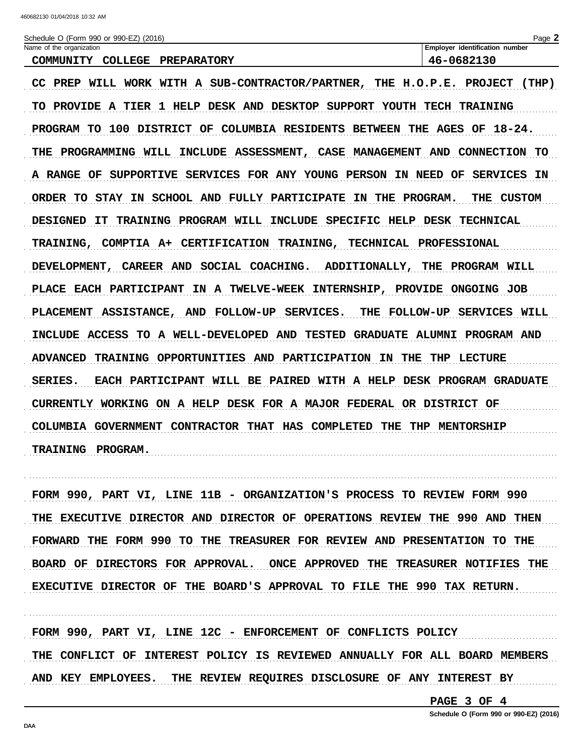| Schedule O (Form 990 or 990-EZ) (2016) |                     |                                | $P$ age $\blacktriangle$ |
|----------------------------------------|---------------------|--------------------------------|--------------------------|
| Name of the organization               |                     | Employer identification number |                          |
| COMMUNITY                              | COLLEGE PREPARATORY | 46-0682130                     |                          |

CC PREP WILL WORK WITH A SUB-CONTRACTOR/PARTNER, THE H.O.P.E. PROJECT (THP) TO PROVIDE A TIER 1 HELP DESK AND DESKTOP SUPPORT YOUTH TECH TRAINING PROGRAM TO 100 DISTRICT OF COLUMBIA RESIDENTS BETWEEN THE AGES OF 18-24. THE PROGRAMMING WILL INCLUDE ASSESSMENT, CASE MANAGEMENT AND CONNECTION TO A RANGE OF SUPPORTIVE SERVICES FOR ANY YOUNG PERSON IN NEED OF SERVICES IN ORDER TO STAY IN SCHOOL AND FULLY PARTICIPATE IN THE PROGRAM. THE CUSTOM DESIGNED IT TRAINING PROGRAM WILL INCLUDE SPECIFIC HELP DESK TECHNICAL TRAINING, COMPTIA A+ CERTIFICATION TRAINING, TECHNICAL PROFESSIONAL DEVELOPMENT, CAREER AND SOCIAL COACHING. ADDITIONALLY, THE PROGRAM WILL PLACE EACH PARTICIPANT IN A TWELVE-WEEK INTERNSHIP, PROVIDE ONGOING JOB PLACEMENT ASSISTANCE, AND FOLLOW-UP SERVICES. THE FOLLOW-UP SERVICES WILL INCLUDE ACCESS TO A WELL-DEVELOPED AND TESTED GRADUATE ALUMNI PROGRAM AND ADVANCED TRAINING OPPORTUNITIES AND PARTICIPATION IN THE THP LECTURE SERIES. EACH PARTICIPANT WILL BE PAIRED WITH A HELP DESK PROGRAM GRADUATE CURRENTLY WORKING ON A HELP DESK FOR A MAJOR FEDERAL OR DISTRICT OF COLUMBIA GOVERNMENT CONTRACTOR THAT HAS COMPLETED THE THP MENTORSHIP TRAINING PROGRAM.

FORM 990, PART VI, LINE 11B - ORGANIZATION'S PROCESS TO REVIEW FORM 990 THE EXECUTIVE DIRECTOR AND DIRECTOR OF OPERATIONS REVIEW THE 990 AND THEN FORWARD THE FORM 990 TO THE TREASURER FOR REVIEW AND PRESENTATION TO THE BOARD OF DIRECTORS FOR APPROVAL. ONCE APPROVED THE TREASURER NOTIFIES THE EXECUTIVE DIRECTOR OF THE BOARD'S APPROVAL TO FILE THE 990 TAX RETURN.

FORM 990, PART VI, LINE 12C - ENFORCEMENT OF CONFLICTS POLICY THE CONFLICT OF INTEREST POLICY IS REVIEWED ANNUALLY FOR ALL BOARD MEMBERS AND KEY EMPLOYEES. THE REVIEW REQUIRES DISCLOSURE OF ANY INTEREST BY

PAGE 3 OF 4

Schedule O (Form 990 or 990-EZ) (2016)